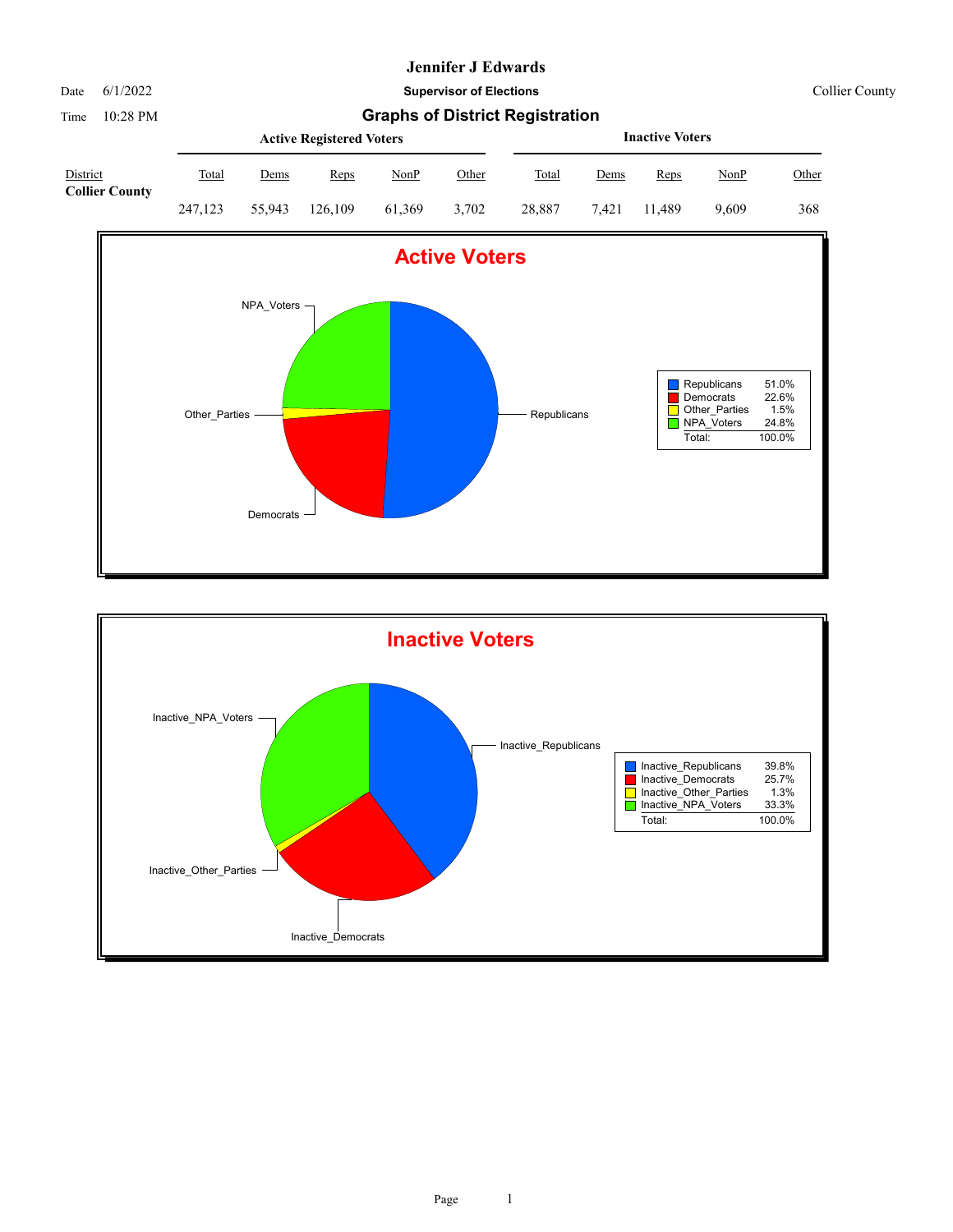Date 6/1/2022 **Supervisor of Elections** Collier County

Time 10:28 PM **Graphs of District Registration Active Registered Voters** District Total Dems Reps NonP Other **Inactive Voters** Total Dems Reps NonP Other **Collier County** 247,123 55,943 126,109 61,369 3,702 28,887 7,421 11,489 9,609 368



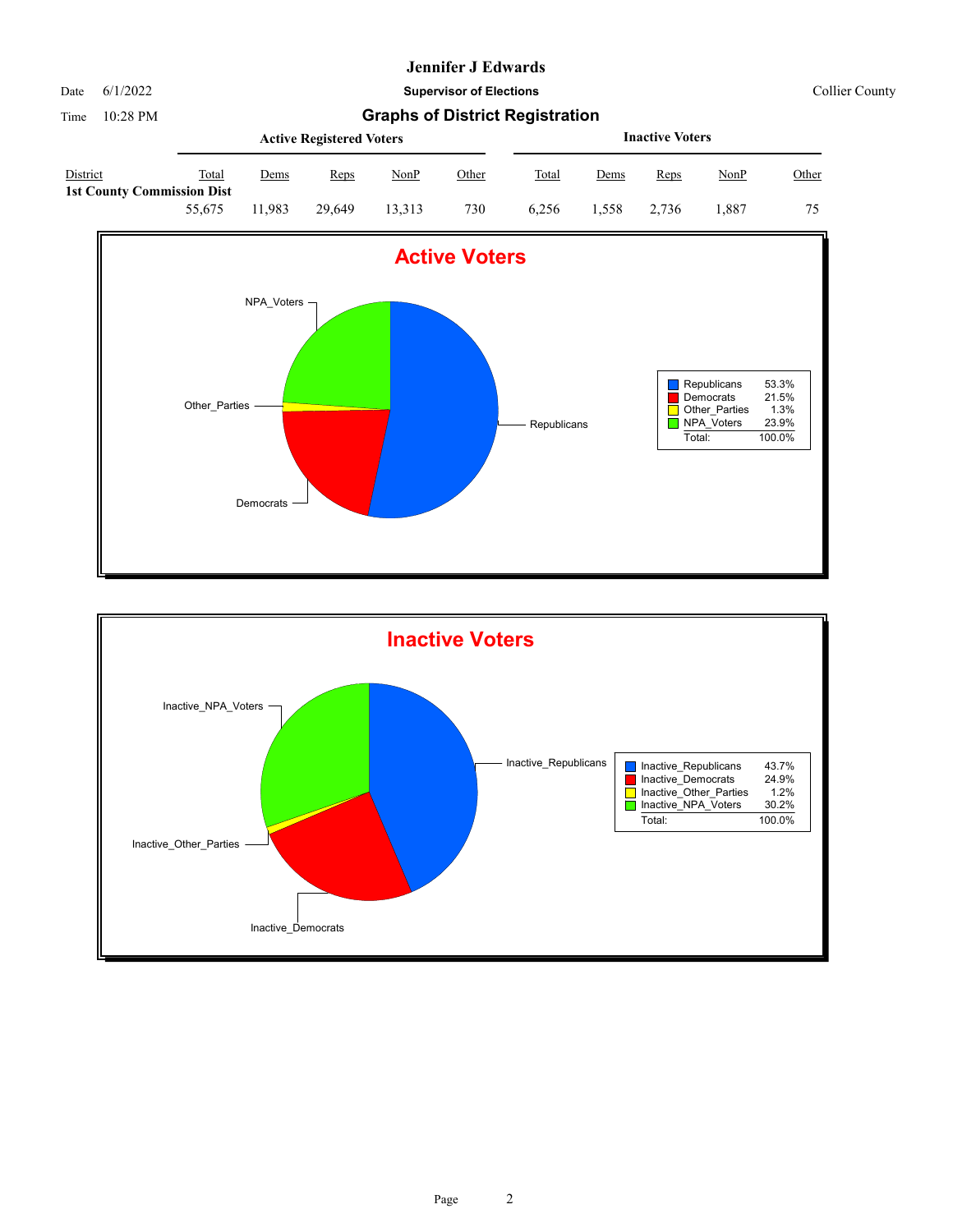Date 6/1/2022 **Supervisor of Elections** Collier County

|                                               |        |       | <b>Active Registered Voters</b> |        |       |       | <b>Inactive Voters</b> |       |       |       |  |  |
|-----------------------------------------------|--------|-------|---------------------------------|--------|-------|-------|------------------------|-------|-------|-------|--|--|
| District<br><b>1st County Commission Dist</b> | Total  | Dems  | Reps                            | NonP   | Other | Total | Dems                   | Reps  | NonP  | Other |  |  |
|                                               | 55,675 | 1.983 | 29.649                          | 13.313 | 730   | 6.256 | 1.558                  | 2.736 | 1.887 | 75    |  |  |



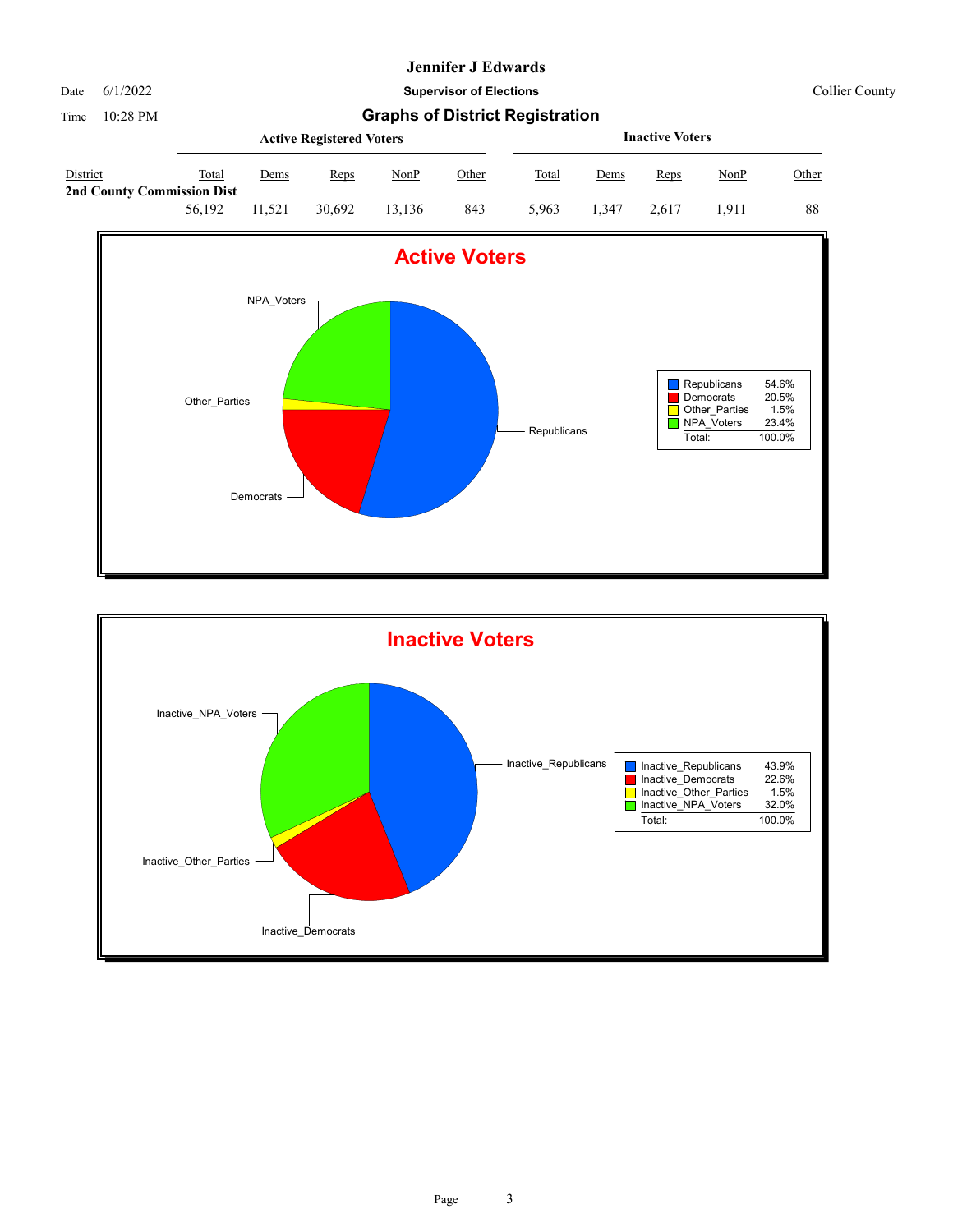Date 6/1/2022 **Supervisor of Elections** Collier County

|                                                      |        |        | <b>Active Registered Voters</b> |        |              | <b>Inactive Voters</b> |             |       |             |       |  |
|------------------------------------------------------|--------|--------|---------------------------------|--------|--------------|------------------------|-------------|-------|-------------|-------|--|
| <b>District</b><br><b>2nd County Commission Dist</b> | Total  | Dems   | Reps                            | NonP   | <u>Other</u> | Total                  | <u>Dems</u> | Reps  | <u>NonP</u> | Other |  |
|                                                      | 56,192 | 11.521 | 30.692                          | 13,136 | 843          | 5.963                  | 347. ا      | 2.617 | 1.911       | 88    |  |



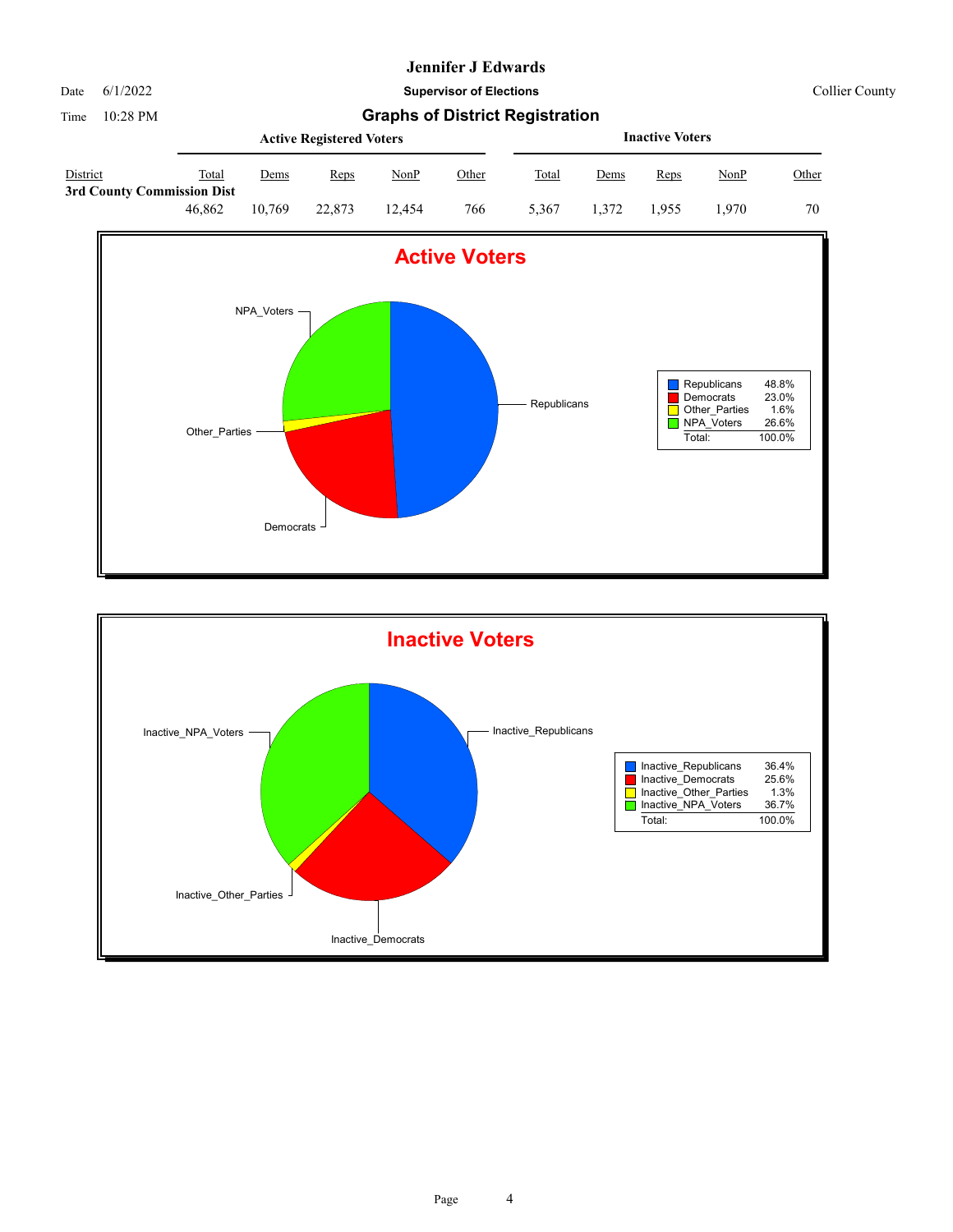

Date 6/1/2022 **Supervisor of Elections** Collier County

|                                        |        |        | <b>Active Registered Voters</b> |        |       | <b>Inactive Voters</b> |       |       |       |       |  |
|----------------------------------------|--------|--------|---------------------------------|--------|-------|------------------------|-------|-------|-------|-------|--|
| District<br>3rd County Commission Dist | Total  | Dems   | Reps                            | NonP   | Other | Total                  | Dems  | Reps  | NonP  | Other |  |
|                                        | 46.862 | 10.769 | 22,873                          | 12.454 | 766   | 5.367                  | 1.372 | 1.955 | 1.970 | 70    |  |



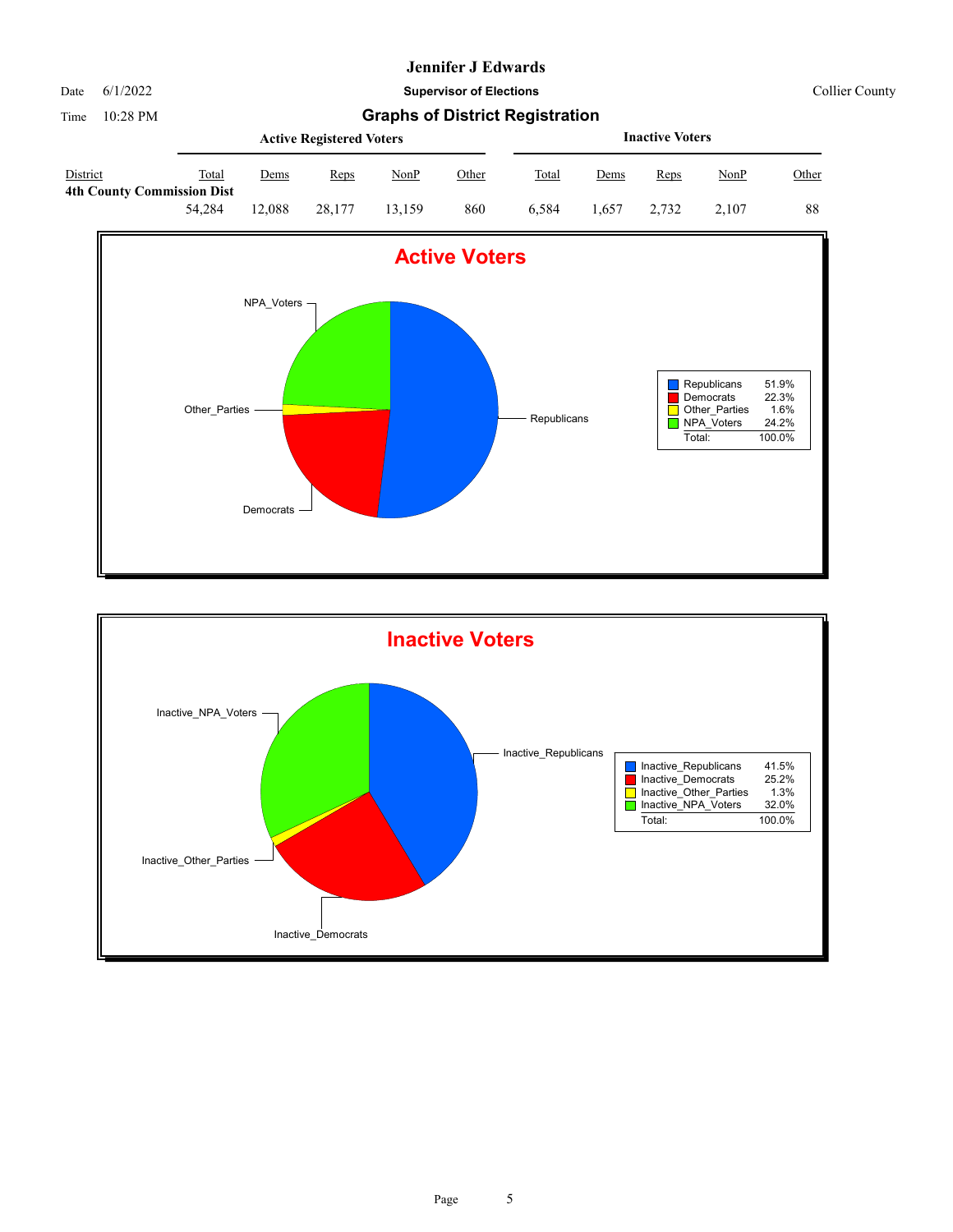Date 6/1/2022 **Supervisor of Elections** Collier County

|                 |                                            |             | <b>Active Registered Voters</b> |             |              | <b>Inactive Voters</b> |             |             |       |       |  |
|-----------------|--------------------------------------------|-------------|---------------------------------|-------------|--------------|------------------------|-------------|-------------|-------|-------|--|
| <b>District</b> | Total<br><b>4th County Commission Dist</b> | <u>Dems</u> | Reps                            | <u>NonP</u> | <u>Other</u> | Total                  | <u>Dems</u> | <b>Reps</b> | NonP  | Other |  |
|                 | 54.284                                     | !2.088      | 28.177                          | 13.159      | 860          | 6.584                  | 1.657       | 2.732       | 2.107 | 88    |  |



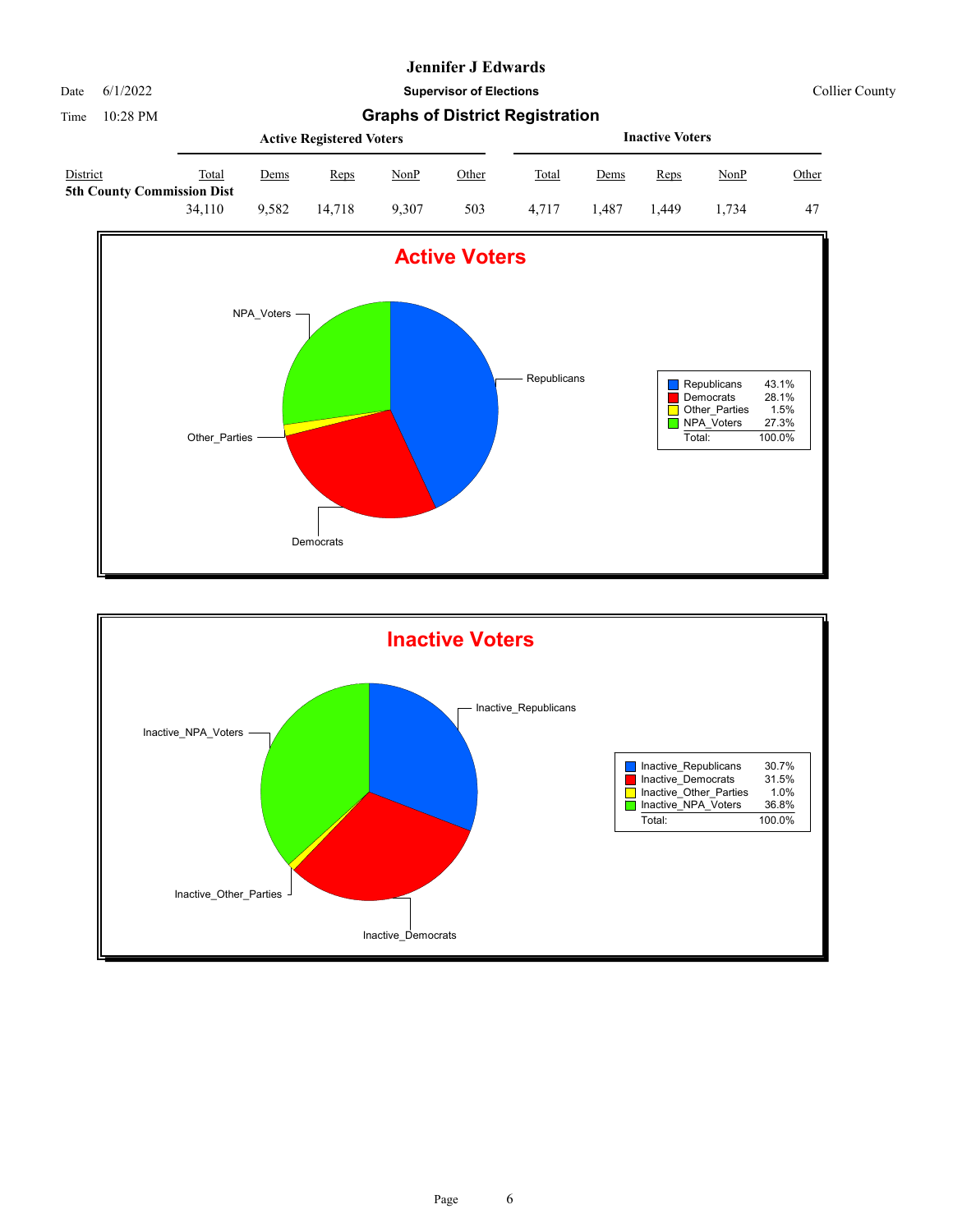

Date 6/1/2022 **Supervisor of Elections** Collier County

|                                                      |        |       | <b>Active Registered Voters</b> |       | <b>Inactive Voters</b> |       |      |       |       |       |
|------------------------------------------------------|--------|-------|---------------------------------|-------|------------------------|-------|------|-------|-------|-------|
| <b>District</b><br><b>5th County Commission Dist</b> | Total  | Dems  | Reps                            | NonP  | Other                  | Total | Dems | Reps  | NonP  | Other |
|                                                      | 34.110 | 9.582 | 14.718                          | 9.307 | 503                    | 4.717 | .487 | 1.449 | 1.734 | 47    |



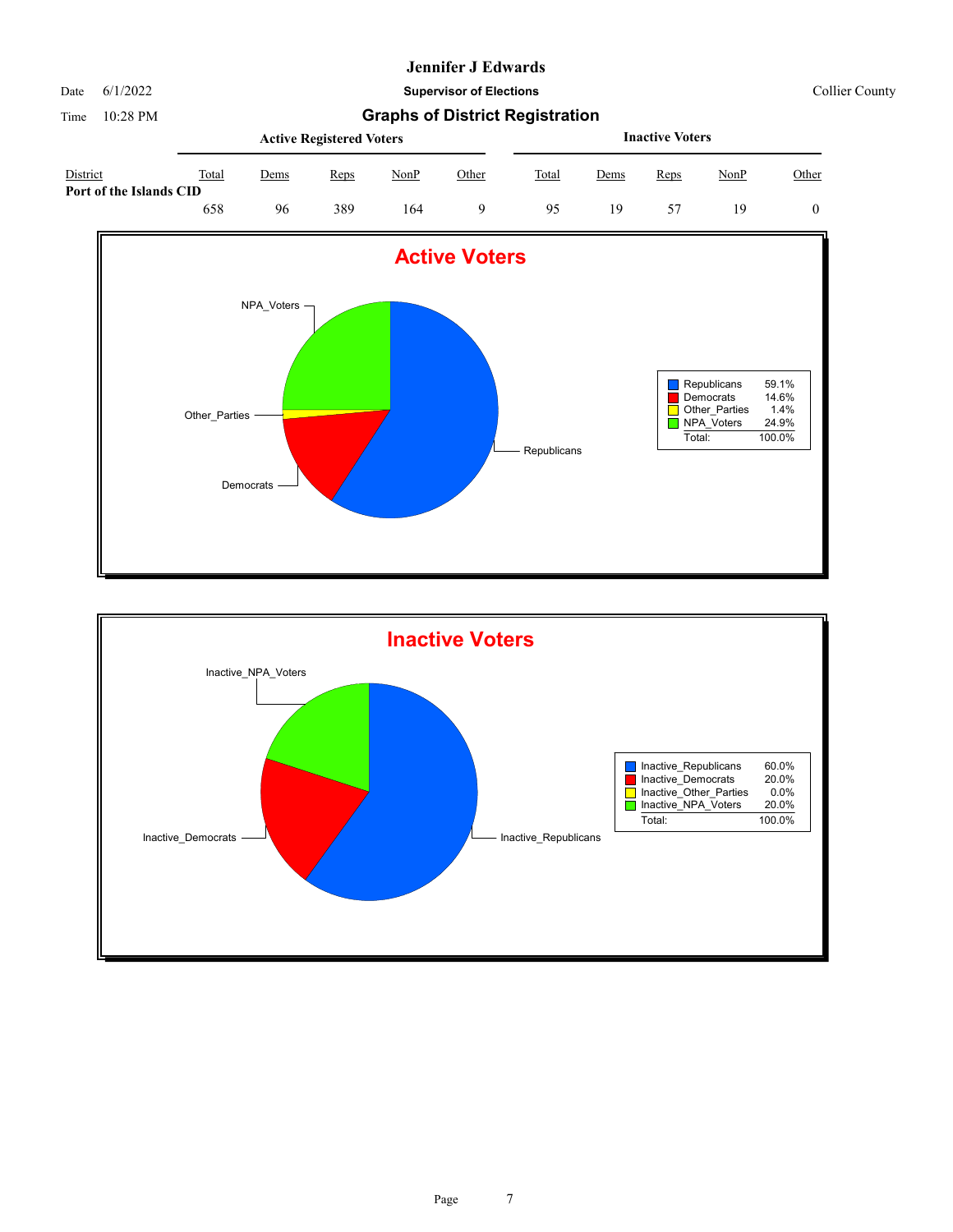Date 6/1/2022 **Supervisor of Elections** Collier County

|                                     |       | <b>Active Registered Voters</b> |      |      |       |       |             | <b>Inactive Voters</b> |             |       |
|-------------------------------------|-------|---------------------------------|------|------|-------|-------|-------------|------------------------|-------------|-------|
| District<br>Port of the Islands CID | Total | <u>Dems</u>                     | Reps | NonP | Other | Total | <u>Dems</u> | Reps                   | <u>NonP</u> | Other |
|                                     | 658   | 96                              | 389  | 164  |       | 95    | 19          |                        | 19          |       |



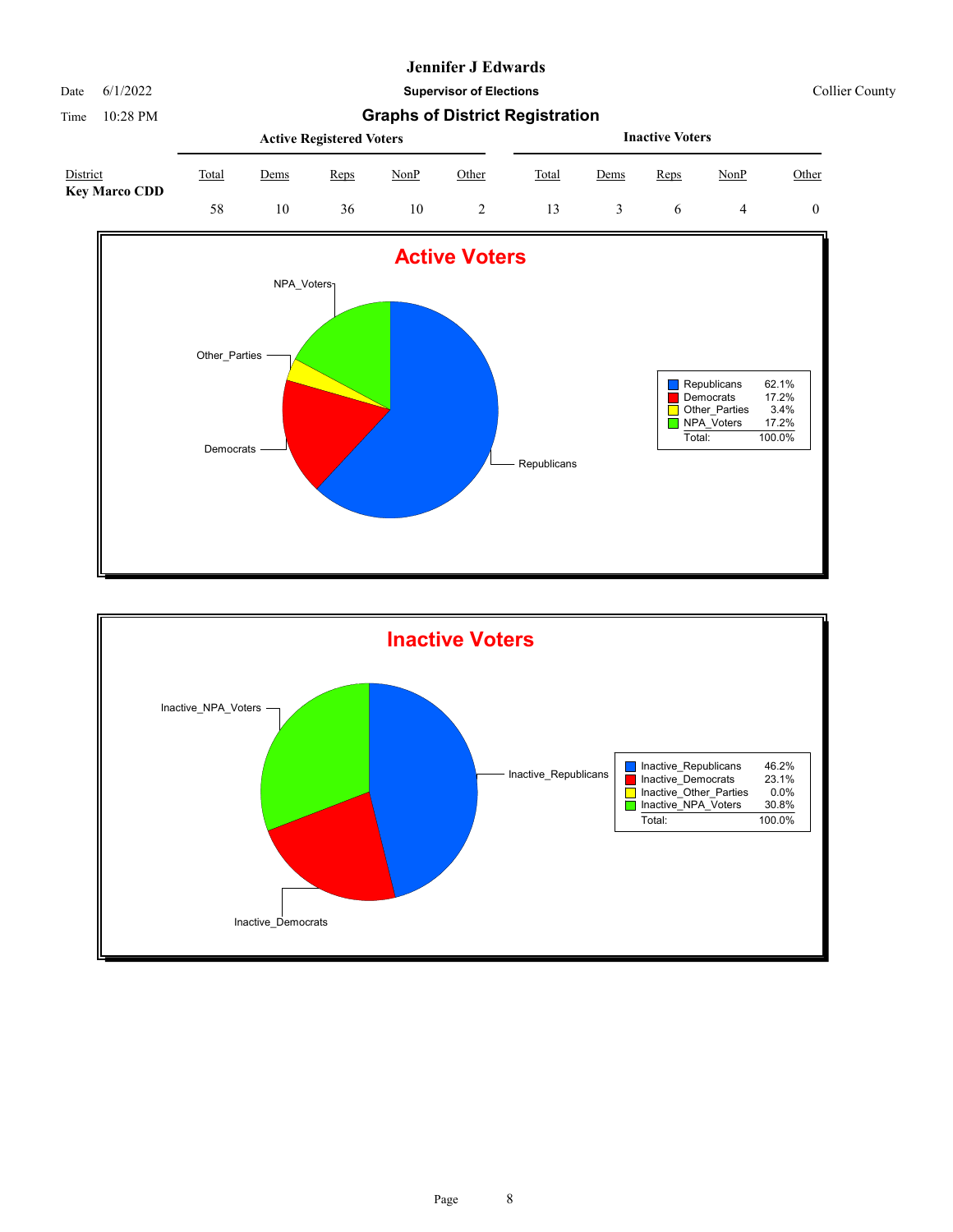# Date 6/1/2022 **Supervisor of Elections** Collier County

|                                  |       |      | <b>Active Registered Voters</b> |      | <b>Inactive Voters</b> |       |      |      |      |       |
|----------------------------------|-------|------|---------------------------------|------|------------------------|-------|------|------|------|-------|
| District<br><b>Key Marco CDD</b> | Total | Dems | Reps                            | NonP | Other                  | Total | Dems | Reps | NonP | Other |
|                                  | 58    | 10   | 36                              | 10   |                        |       |      |      |      |       |



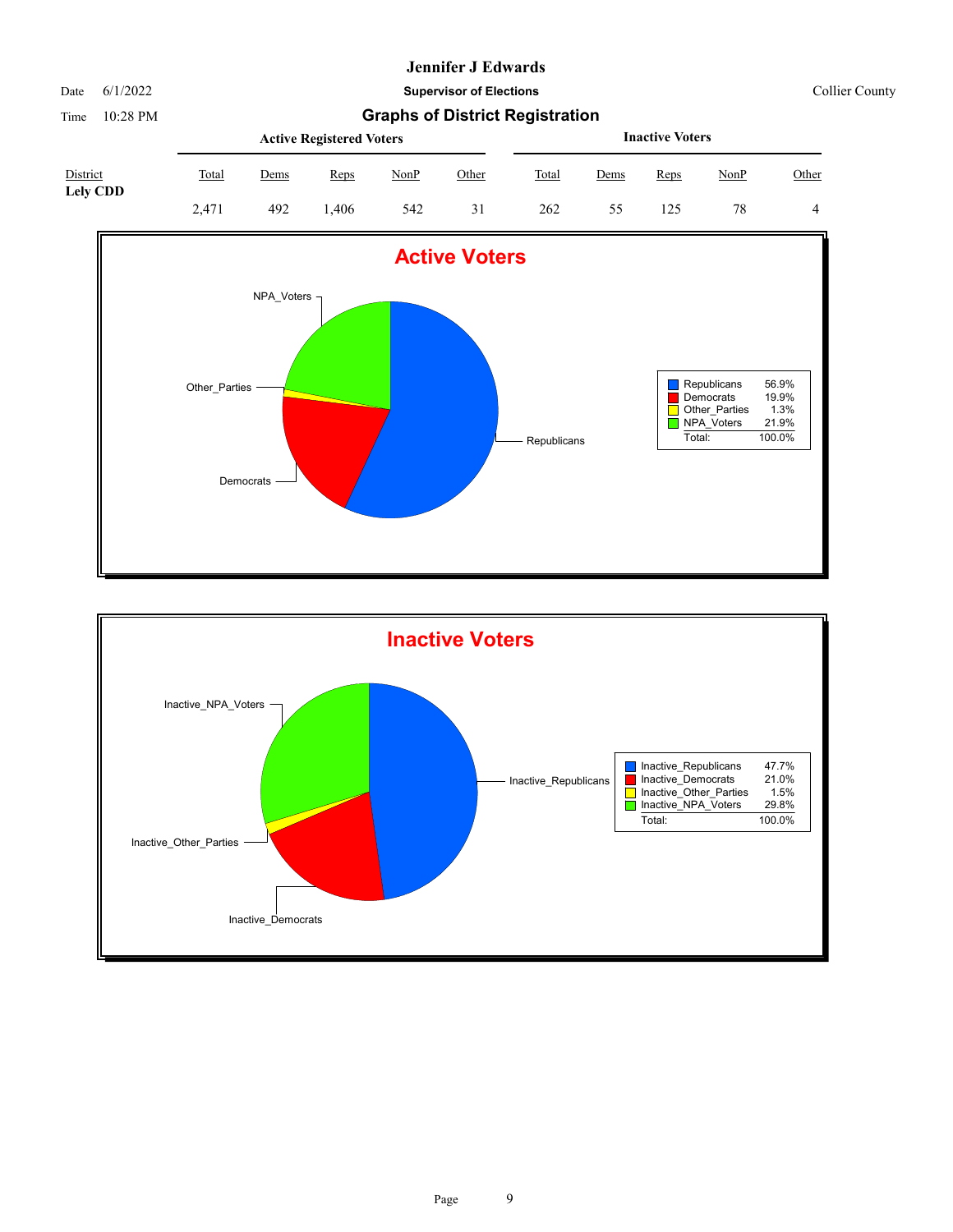Date 6/1/2022 **Supervisor of Elections** Collier County





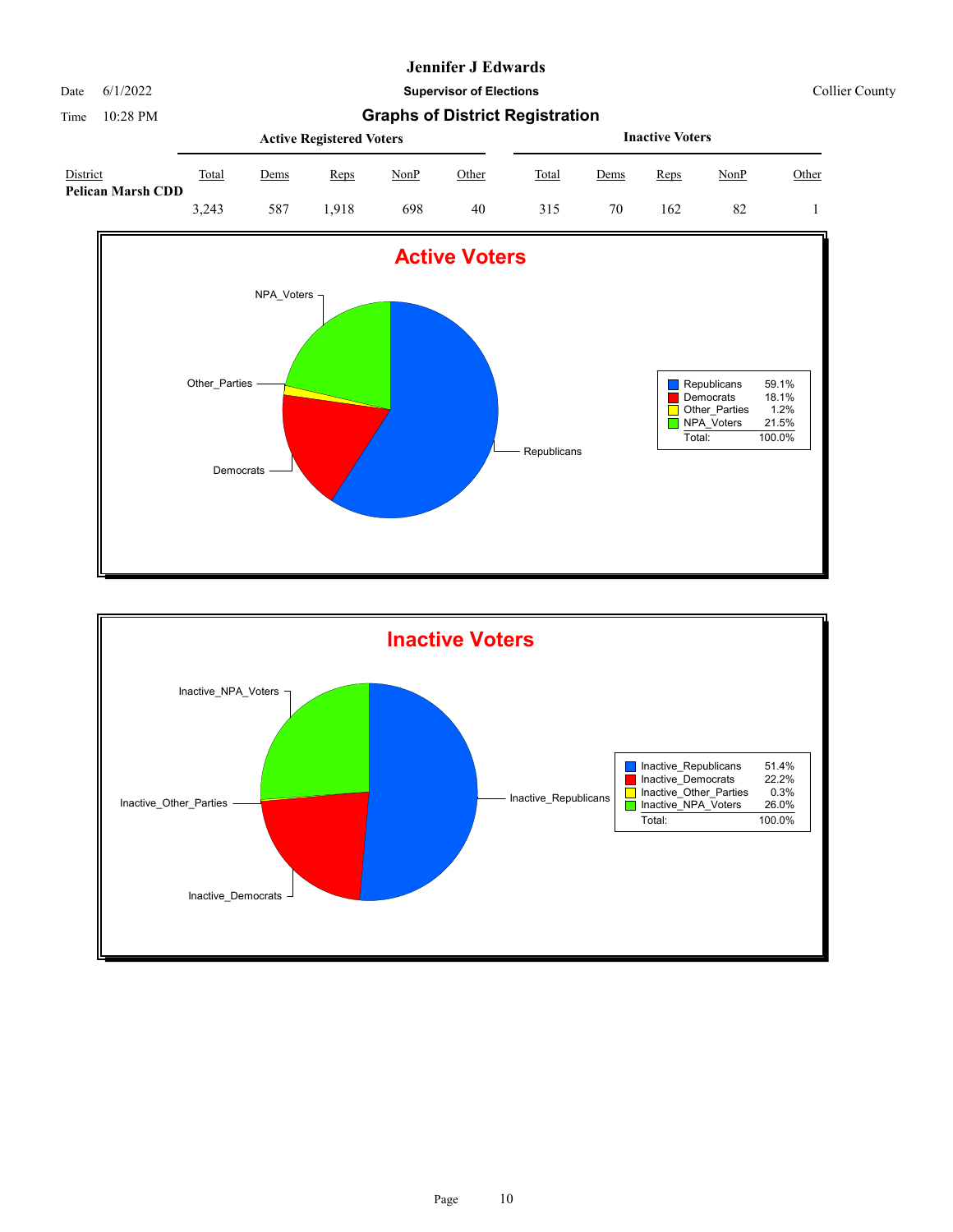Date 6/1/2022 **Supervisor of Elections** Collier County

|                                      |       |      | <b>Active Registered Voters</b> |      |       | <b>Inactive Voters</b> |             |             |      |       |  |
|--------------------------------------|-------|------|---------------------------------|------|-------|------------------------|-------------|-------------|------|-------|--|
| District<br><b>Pelican Marsh CDD</b> | Total | Dems | Reps                            | NonP | Other | Total                  | <u>Dems</u> | <b>Reps</b> | NonP | Other |  |
|                                      | 3.243 | 587  | .918                            | 698  | 40    | 315                    | 70          | 162         | 82   |       |  |



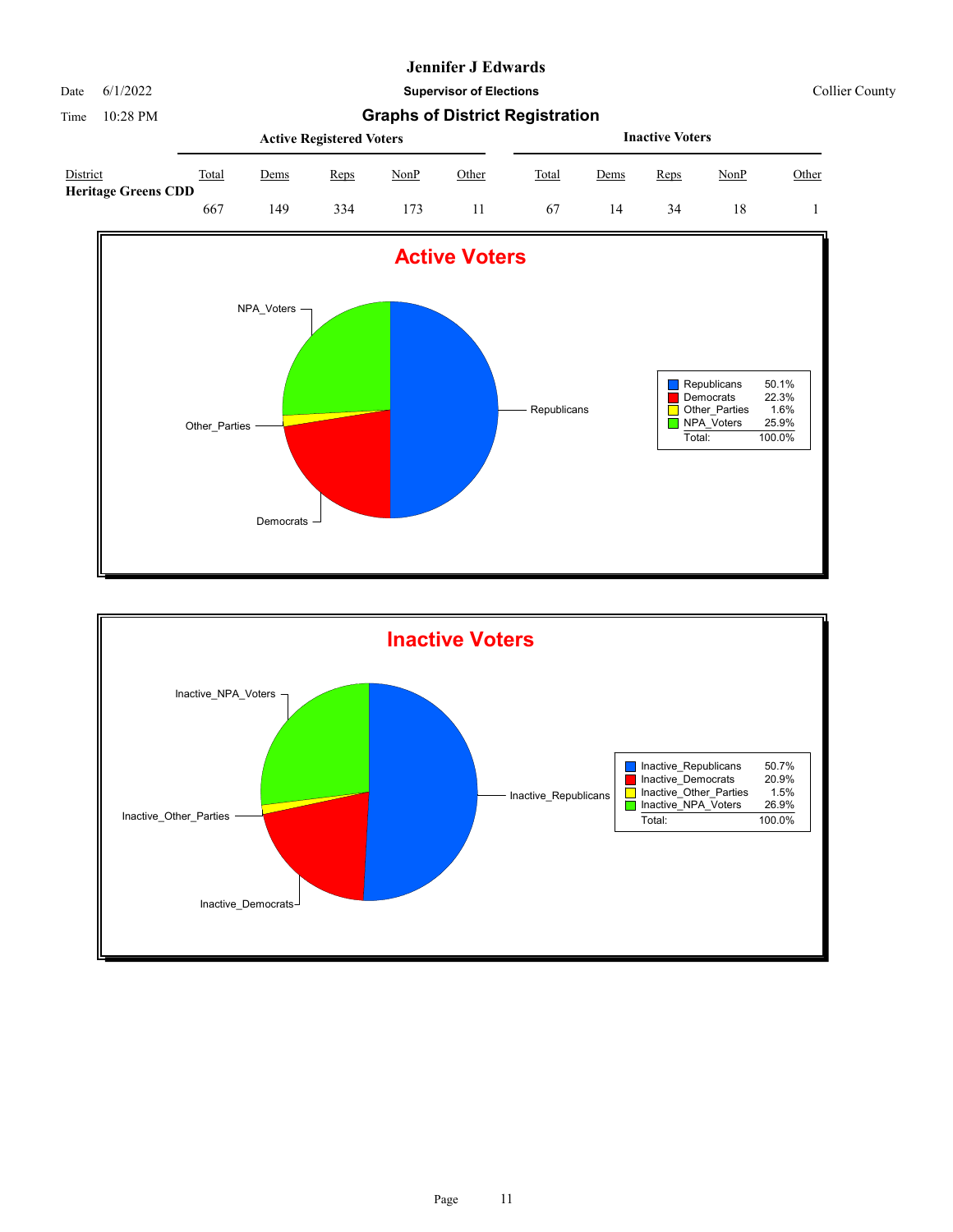Date 6/1/2022 **Supervisor of Elections** Collier County

|                                        |       |      | <b>Active Registered Voters</b> |      |       | <b>Inactive Voters</b> |      |      |      |       |  |
|----------------------------------------|-------|------|---------------------------------|------|-------|------------------------|------|------|------|-------|--|
| District<br><b>Heritage Greens CDD</b> | Total | Dems | Reps                            | NonP | Other | Total                  | Dems | Reps | NonP | Other |  |
|                                        | 667   | 49،  | 334                             | 73   |       | 67                     | 14   | 34   | 18   |       |  |



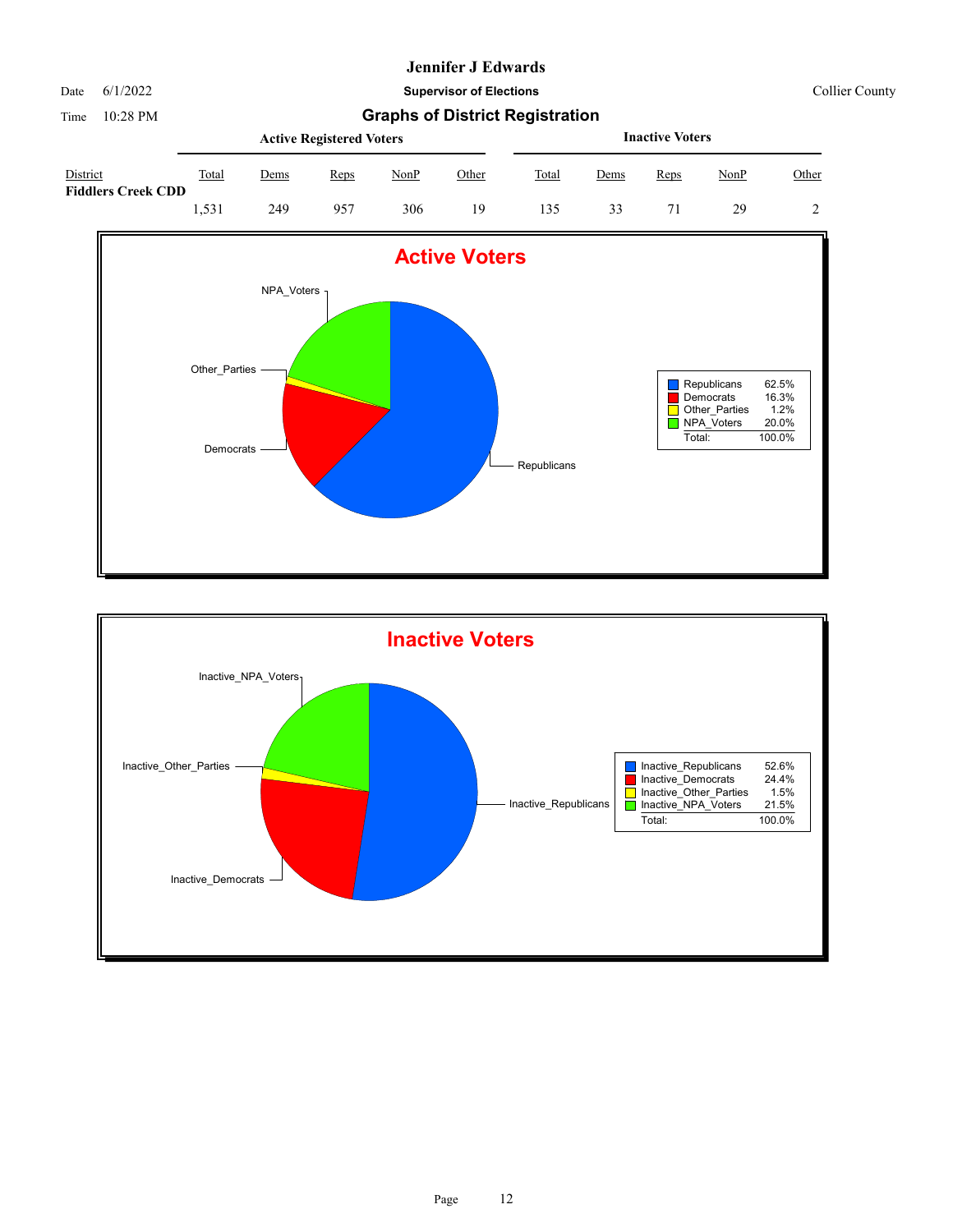Date 6/1/2022 **Supervisor of Elections** Collier County

|                                       |       |      | <b>Active Registered Voters</b> |      | <b>Inactive Voters</b> |              |      |      |      |       |
|---------------------------------------|-------|------|---------------------------------|------|------------------------|--------------|------|------|------|-------|
| District<br><b>Fiddlers Creek CDD</b> | Total | Dems | Reps                            | NonP | Other                  | <b>Total</b> | Dems | Reps | NonP | Other |
|                                       | 1.531 | 249  | 957                             | 306  | 19                     | 135          | 33   |      | 29   |       |



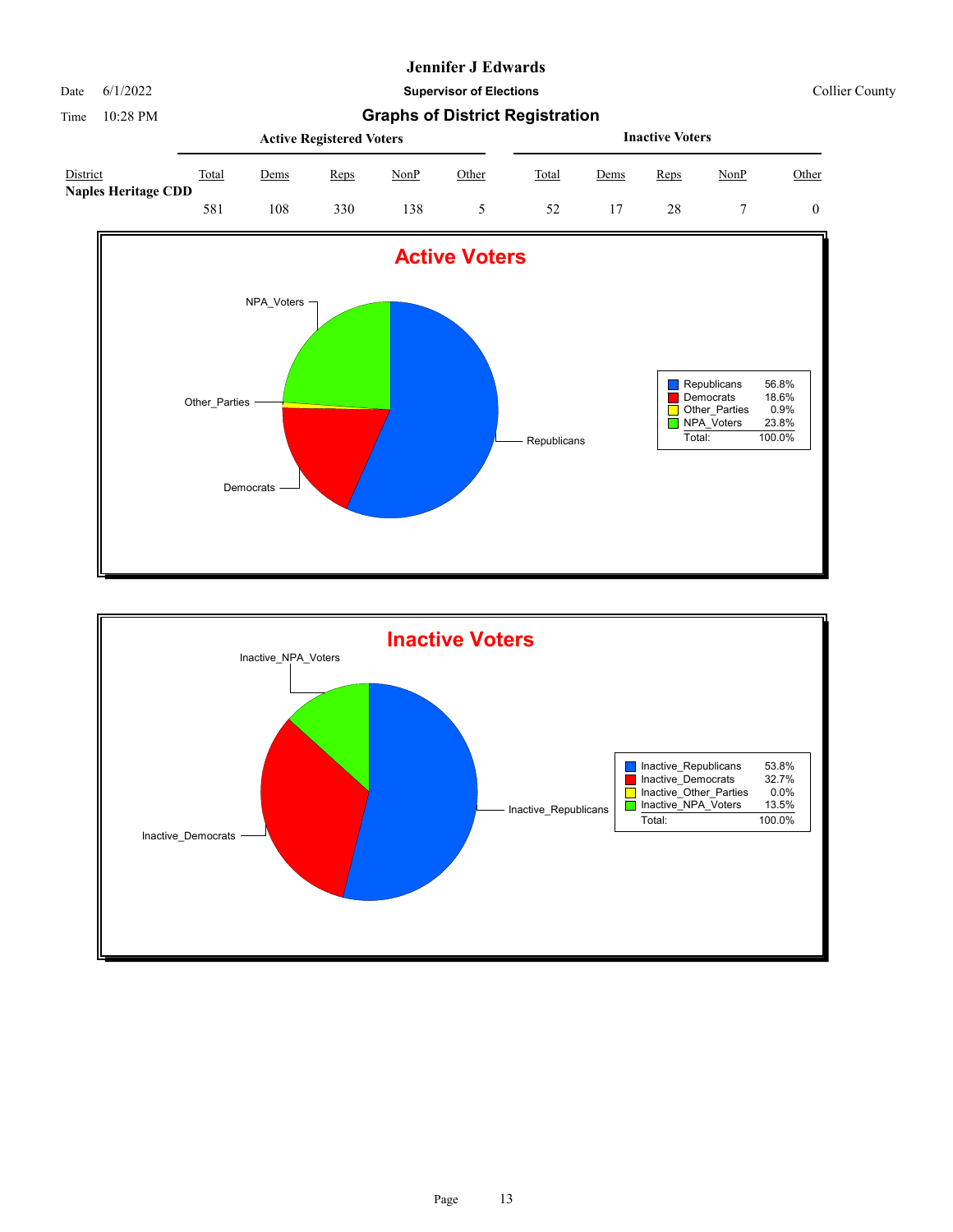Date 6/1/2022 **Supervisor of Elections** Collier County

|                                        | <b>Active Registered Voters</b><br>Total<br>NonP<br>Other<br>Reps<br>Dems |     |     |    |  |       | <b>Inactive Voters</b> |      |      |       |  |  |  |
|----------------------------------------|---------------------------------------------------------------------------|-----|-----|----|--|-------|------------------------|------|------|-------|--|--|--|
| District<br><b>Naples Heritage CDD</b> |                                                                           |     |     |    |  | Total | Dems                   | Reps | NonP | Other |  |  |  |
|                                        | 581                                                                       | 108 | 330 | 38 |  | 52    |                        | 28   |      |       |  |  |  |



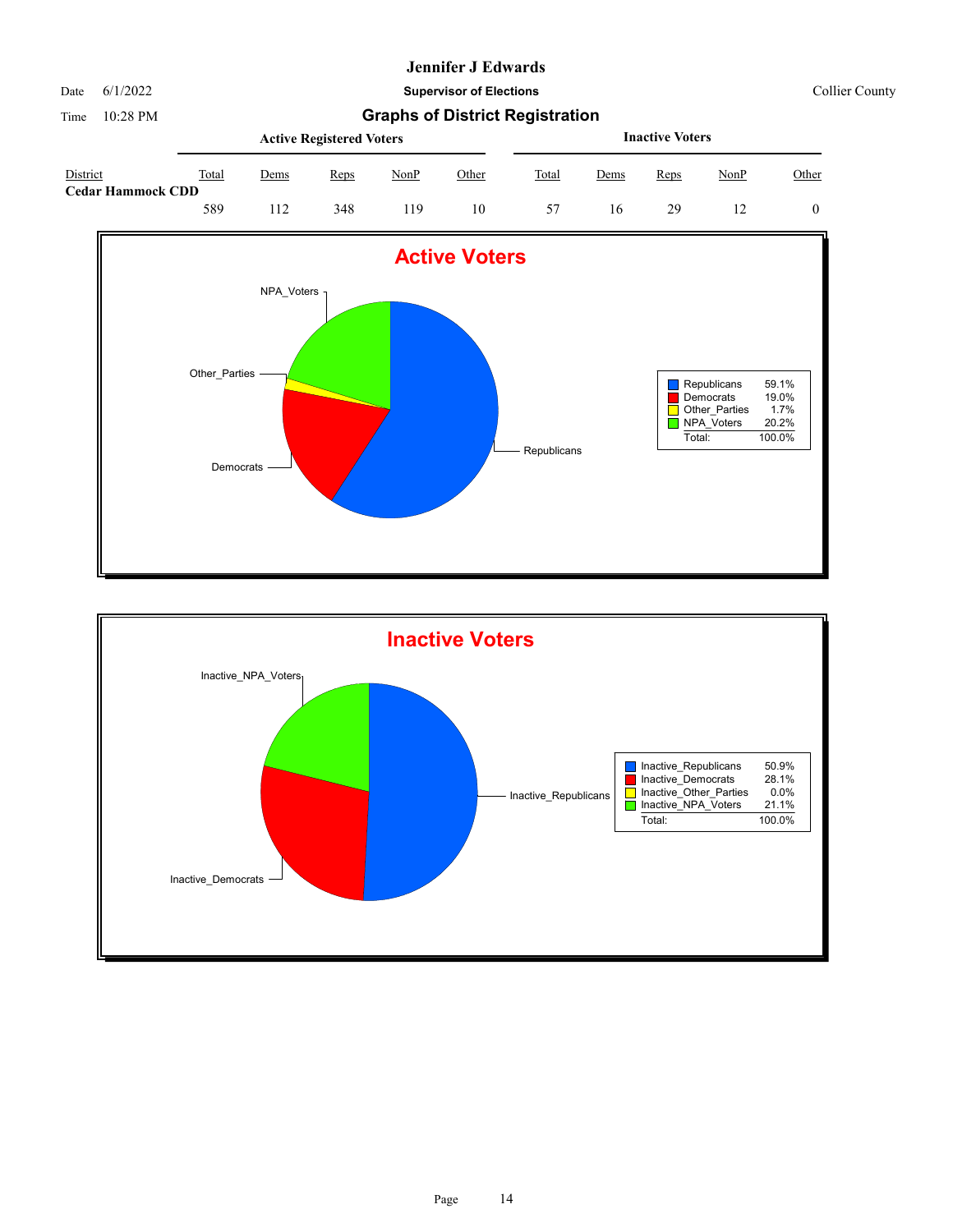Date 6/1/2022 **Supervisor of Elections** Collier County

|                                      |       |             | <b>Active Registered Voters</b> |             |       | <b>Inactive Voters</b> |             |      |             |       |  |
|--------------------------------------|-------|-------------|---------------------------------|-------------|-------|------------------------|-------------|------|-------------|-------|--|
| District<br><b>Cedar Hammock CDD</b> | Total | <u>Dems</u> | Reps                            | <u>NonP</u> | Other | Total                  | <u>Dems</u> | Reps | <u>NonP</u> | Other |  |
|                                      | 589   |             | 348                             | 19          | 10    | 57                     | 16          | 29   |             |       |  |



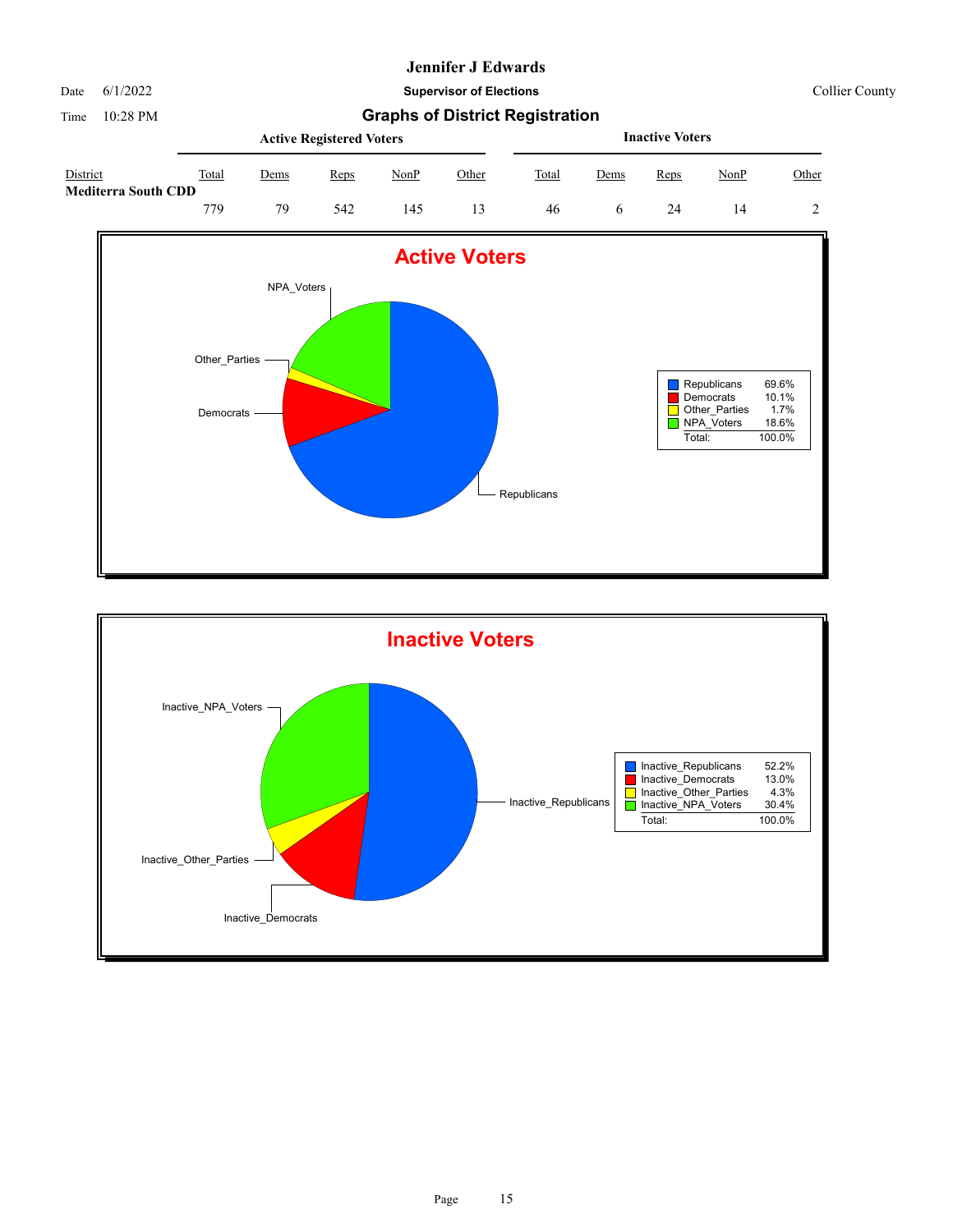Date 6/1/2022 **Supervisor of Elections** Collier County

Time 10:28 PM **Graphs of District Registration Active Registered Voters**





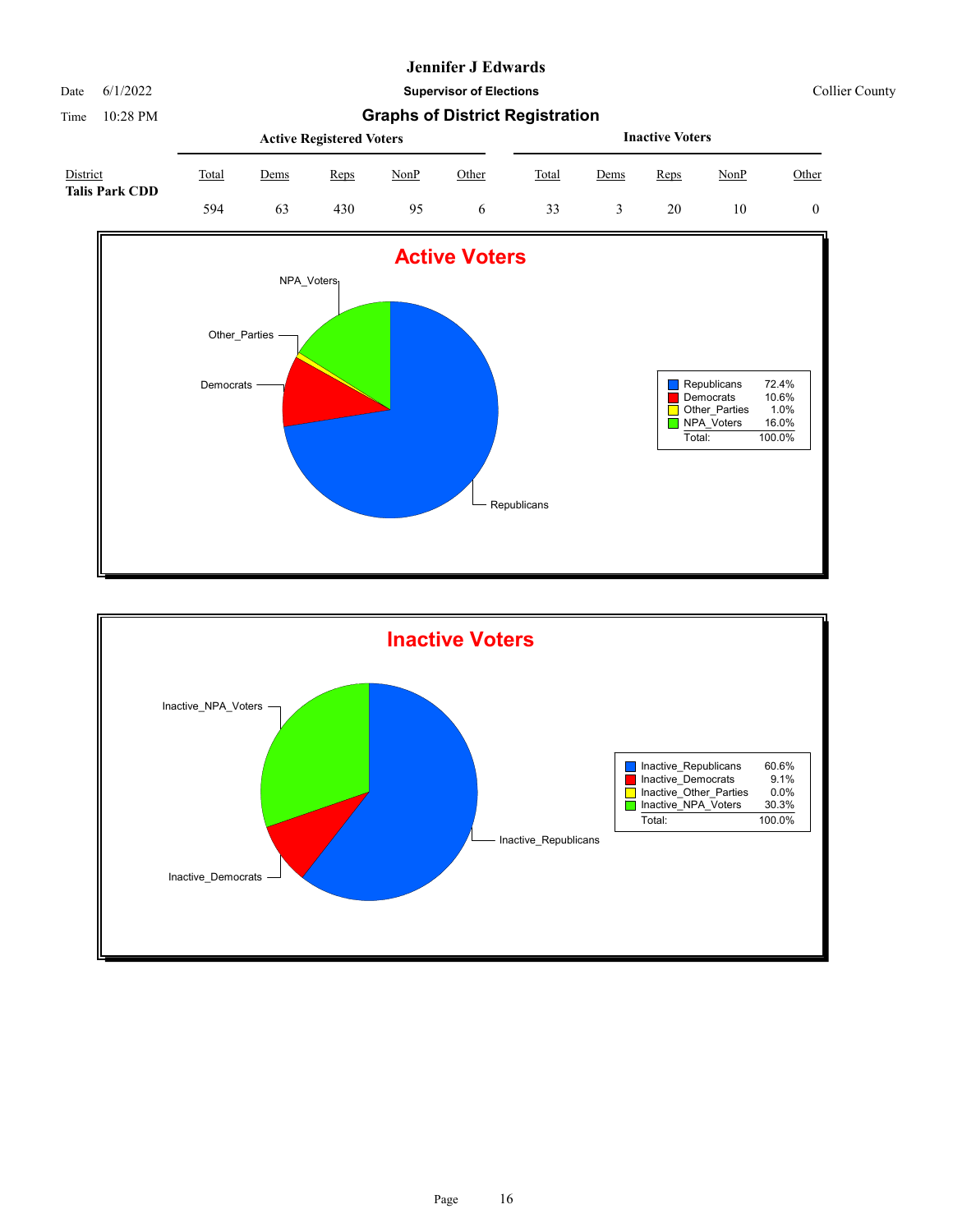Time 10:28 PM **Graphs of District Registration**

#### Date 6/1/2022 **Supervisor of Elections** Collier County

|                                   |       |      | <b>Active Registered Voters</b> |      | <b>Inactive Voters</b> |       |      |      |      |              |
|-----------------------------------|-------|------|---------------------------------|------|------------------------|-------|------|------|------|--------------|
| District<br><b>Talis Park CDD</b> | Total | Dems | Reps                            | NonP | Other                  | Total | Dems | Reps | NonP | <u>Other</u> |
|                                   | 594   | 63   | 430                             | 95   | O                      | 33    |      | 20   | 10   |              |



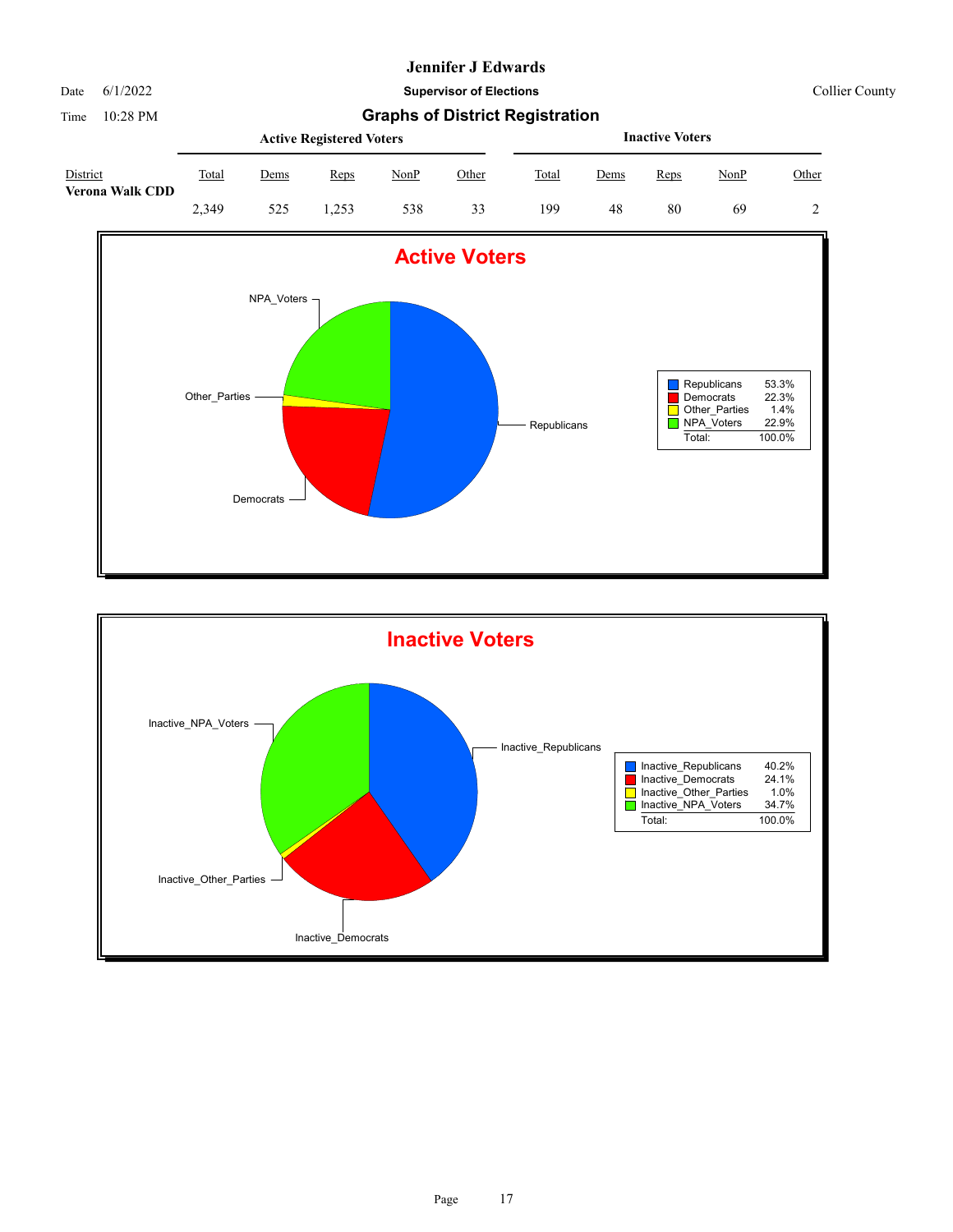Date 6/1/2022 **Supervisor of Elections** Collier County

|                                    | <b>Active Registered Voters</b> |             |      |      |       |       | <b>Inactive Voters</b> |      |      |       |  |  |
|------------------------------------|---------------------------------|-------------|------|------|-------|-------|------------------------|------|------|-------|--|--|
| District<br><b>Verona Walk CDD</b> | Total                           | <u>Dems</u> | Reps | NonP | Other | Total | <u>Dems</u>            | Reps | NonP | Other |  |  |
|                                    | 2,349                           | 525         | .253 | 538  | 33    | 199   | 48                     | 80   | 69   |       |  |  |



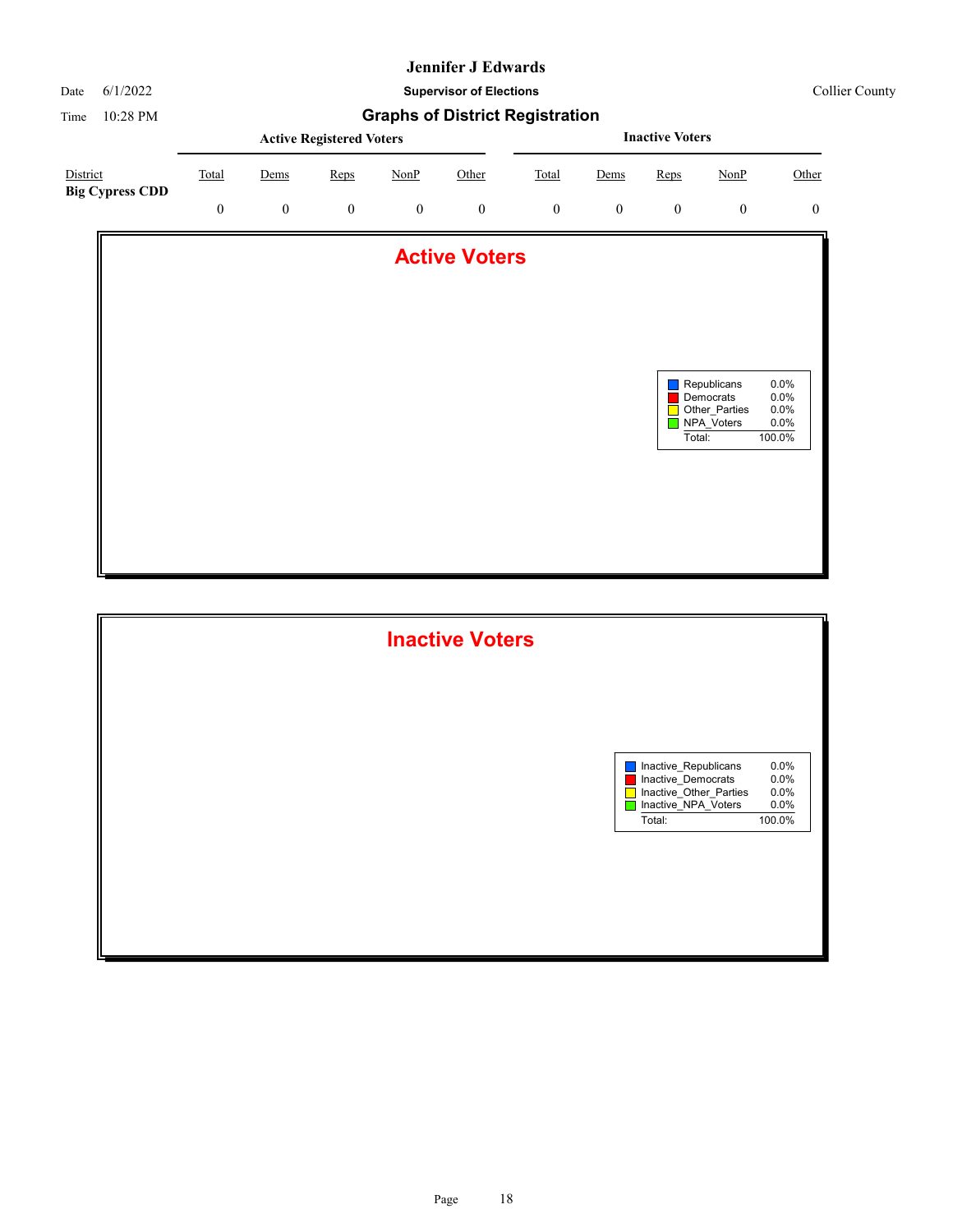

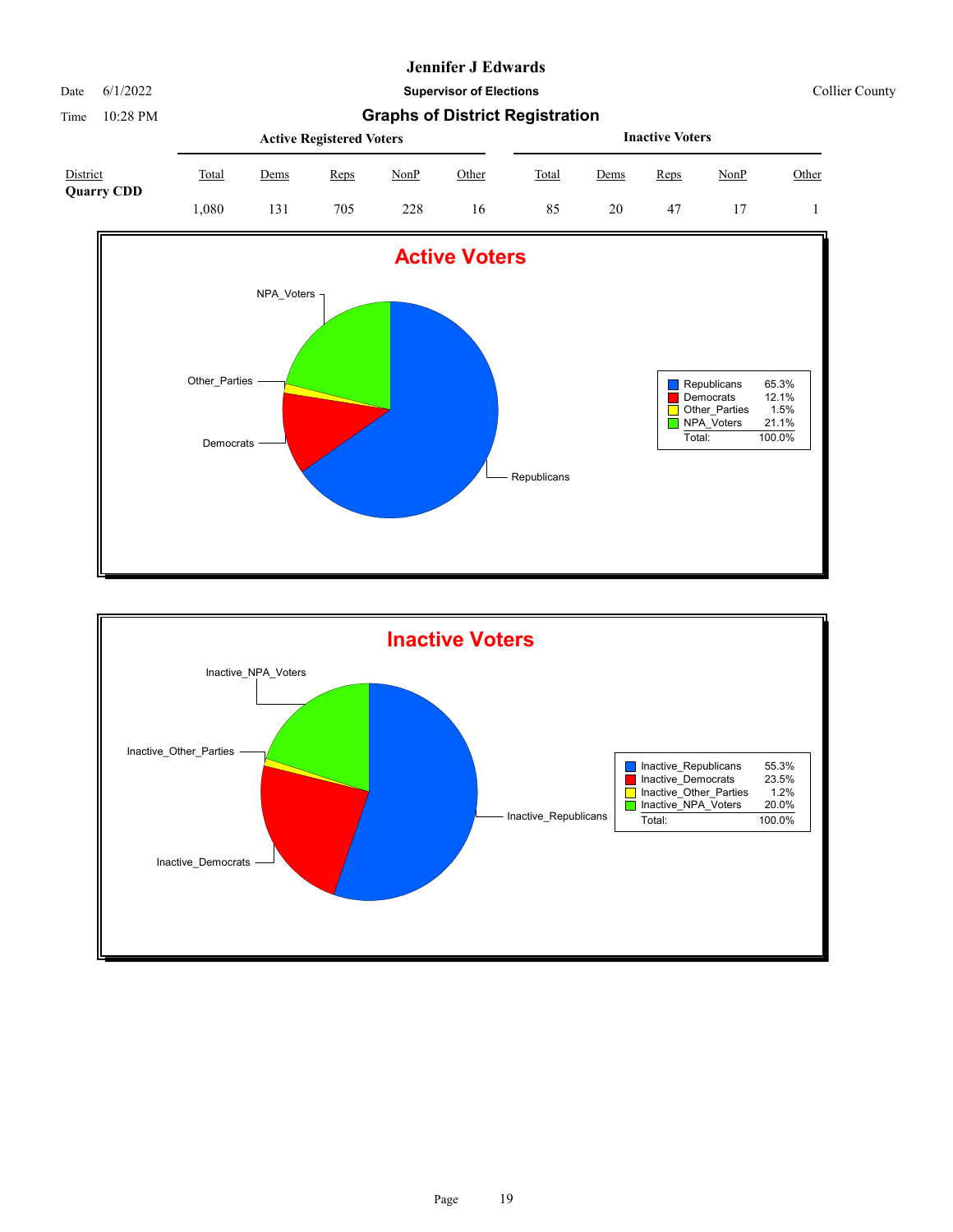Time 10:28 PM

Date 6/1/2022 **Supervisor of Elections** Collier County

|  | <b>Graphs of District Registration</b> |  |
|--|----------------------------------------|--|
|--|----------------------------------------|--|

| District<br><b>Quarry CDD</b> | <b>Active Registered Voters</b> |             |             |      |       |       | <b>Inactive Voters</b> |      |      |       |  |
|-------------------------------|---------------------------------|-------------|-------------|------|-------|-------|------------------------|------|------|-------|--|
|                               | Total                           | <u>Dems</u> | <b>Reps</b> | NonP | Other | Total | Dems                   | Reps | NonP | Other |  |
|                               | .080                            | 131         | 705         | 228  | 16    | 85    | 20                     | -47  |      |       |  |



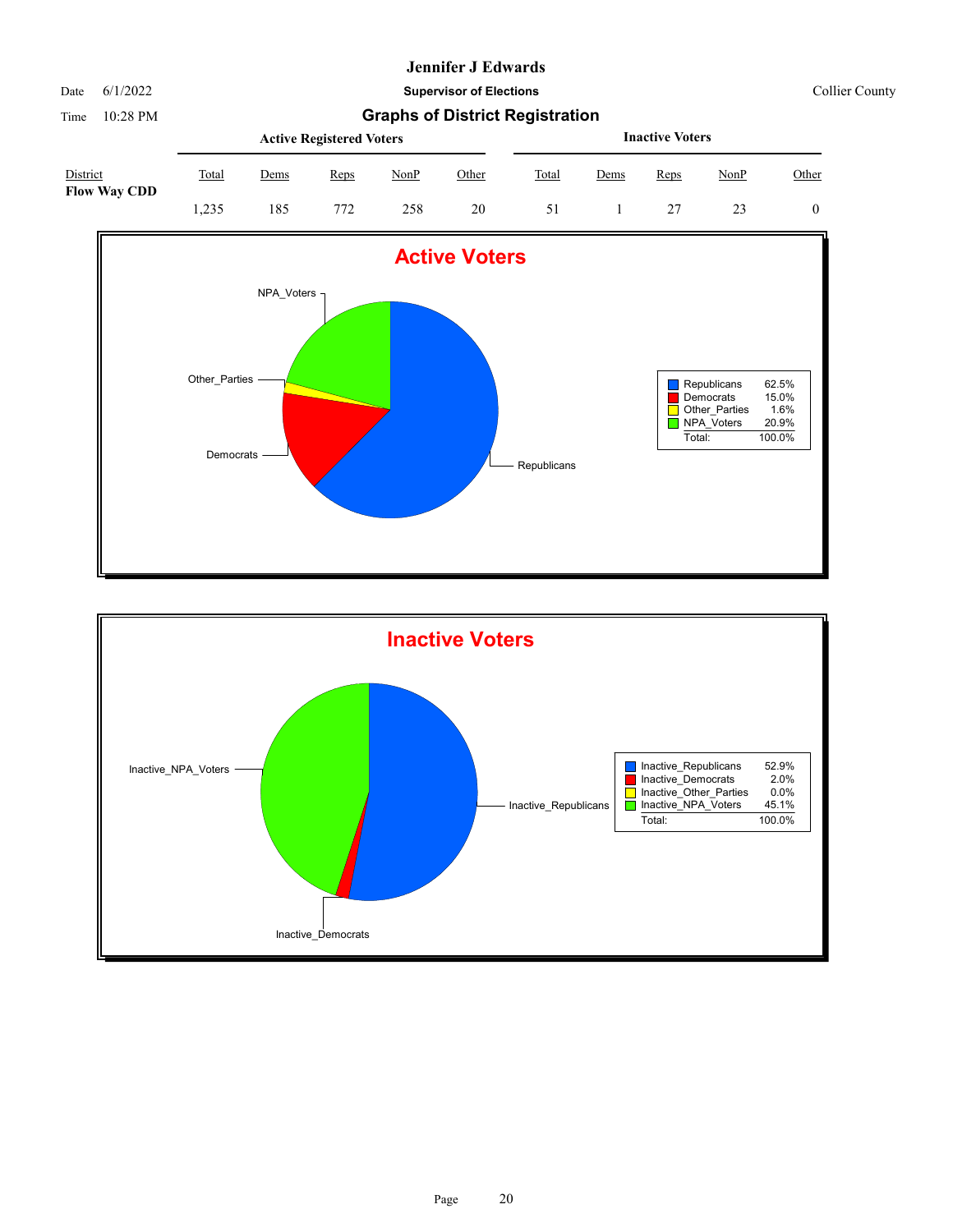Time 10:28 PM

Date 6/1/2022 **Supervisor of Elections** Collier County

|  |  | <b>Graphs of District Registration</b> |
|--|--|----------------------------------------|
|--|--|----------------------------------------|

|                                 | <b>Active Registered Voters</b> |      |      |      |       |       | <b>Inactive Voters</b> |      |      |       |  |  |
|---------------------------------|---------------------------------|------|------|------|-------|-------|------------------------|------|------|-------|--|--|
| District<br><b>Flow Way CDD</b> | Total                           | Dems | Reps | NonP | Other | Total | Dems                   | Reps | NonP | Other |  |  |
|                                 | .235                            | 185  | 772  | 258  | 20    | 51    |                        |      |      |       |  |  |



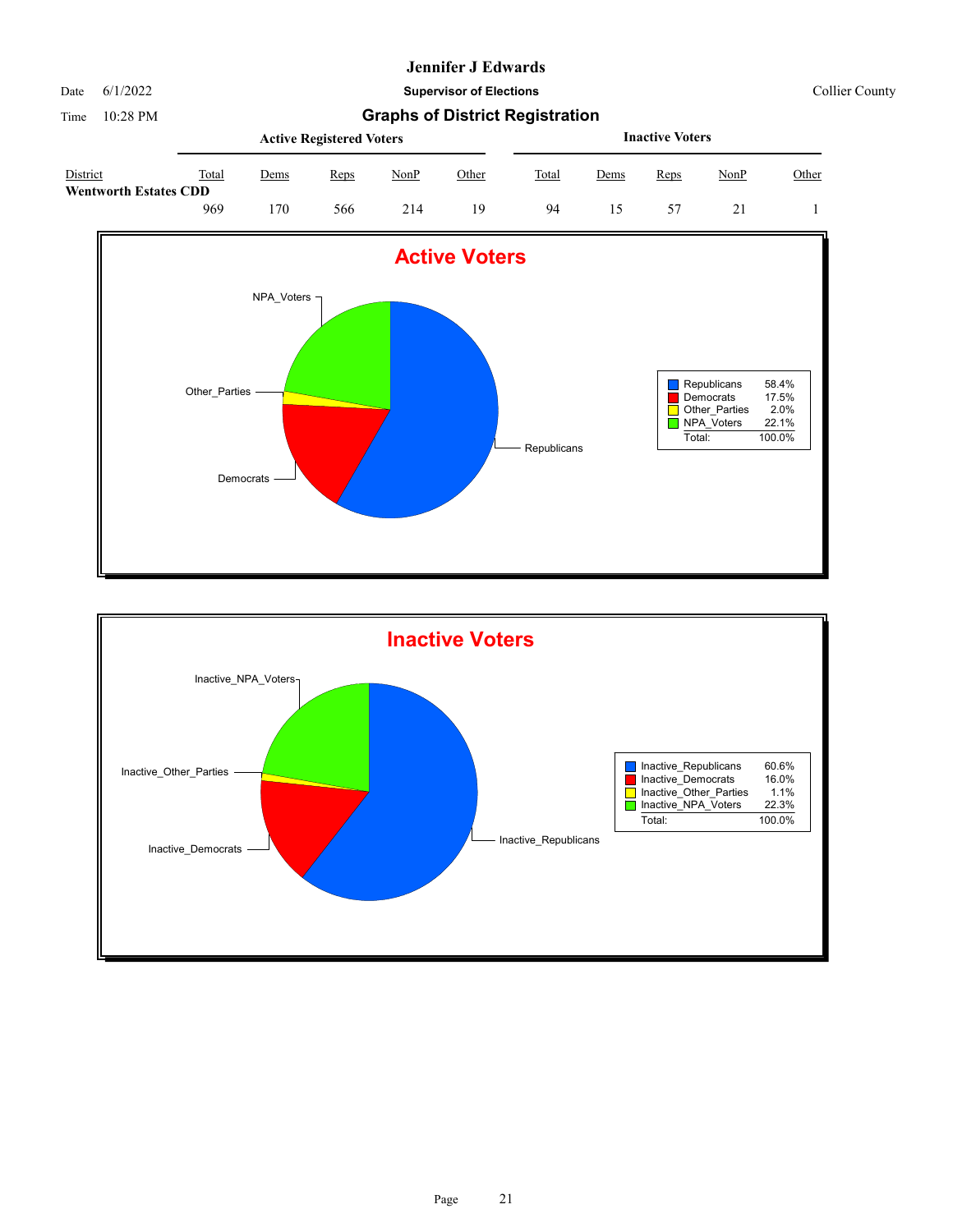Date 6/1/2022 **Supervisor of Elections** Collier County

|                                          |       | <b>Active Registered Voters</b> |      |      |       |       |             | <b>Inactive Voters</b> |             |       |  |  |  |
|------------------------------------------|-------|---------------------------------|------|------|-------|-------|-------------|------------------------|-------------|-------|--|--|--|
| District<br><b>Wentworth Estates CDD</b> | Total | <u>Dems</u>                     | Reps | NonP | Other | Total | <u>Dems</u> | Reps                   | <u>NonP</u> | Other |  |  |  |
|                                          | 969   | 70                              | 566  | 214  | 19    | 94    | 15          |                        |             |       |  |  |  |



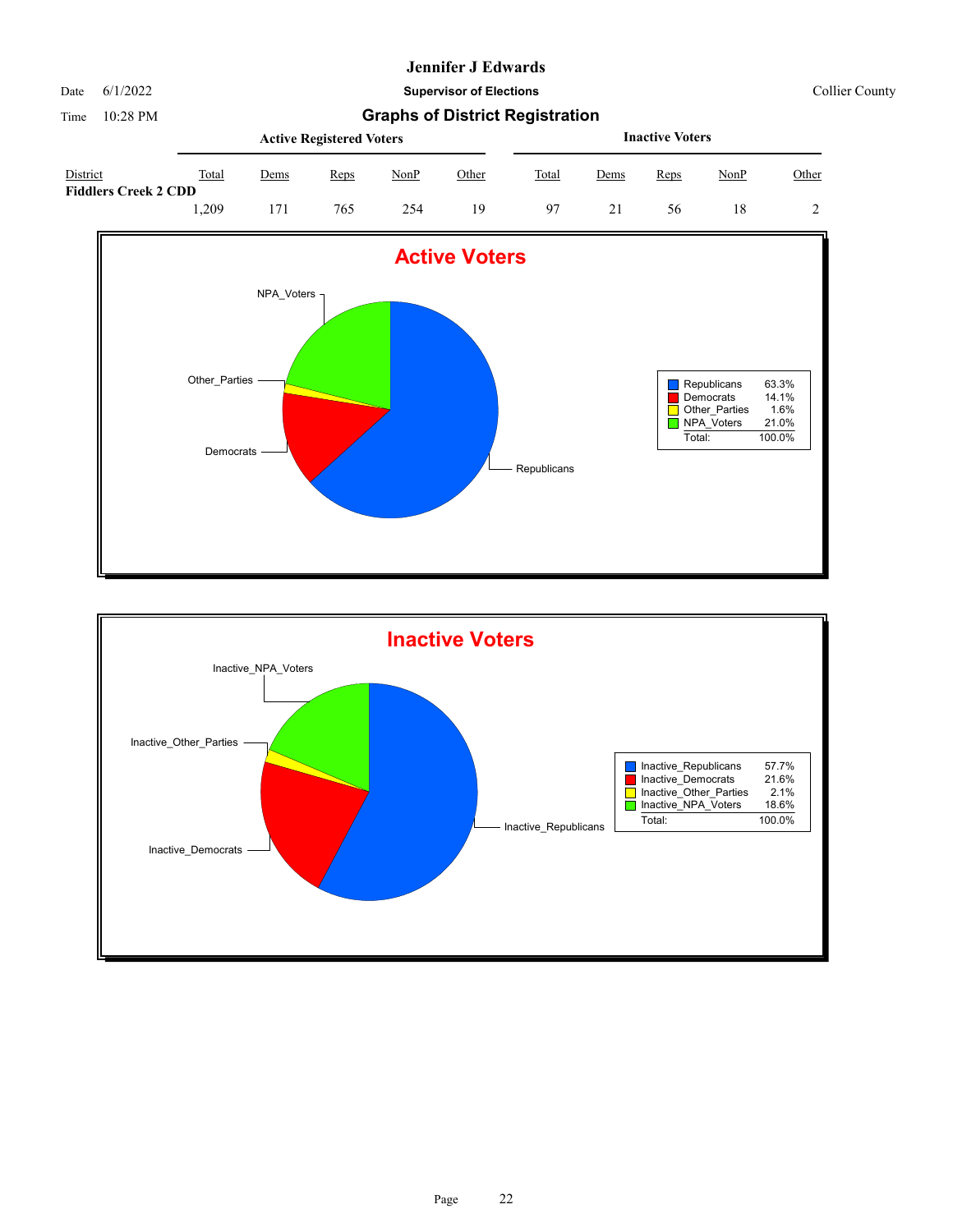Date 6/1/2022 **Supervisor of Elections** Collier County

|                                         | <b>Active Registered Voters</b> |      |      |      |              |       | <b>Inactive Voters</b> |      |      |       |  |  |
|-----------------------------------------|---------------------------------|------|------|------|--------------|-------|------------------------|------|------|-------|--|--|
| District<br><b>Fiddlers Creek 2 CDD</b> | Total                           | Dems | Reps | NonP | <u>Other</u> | Total | <u>Dems</u>            | Reps | NonP | Other |  |  |
|                                         | .209                            |      | 765  | 254  | 19           | 97    |                        | 56   |      |       |  |  |



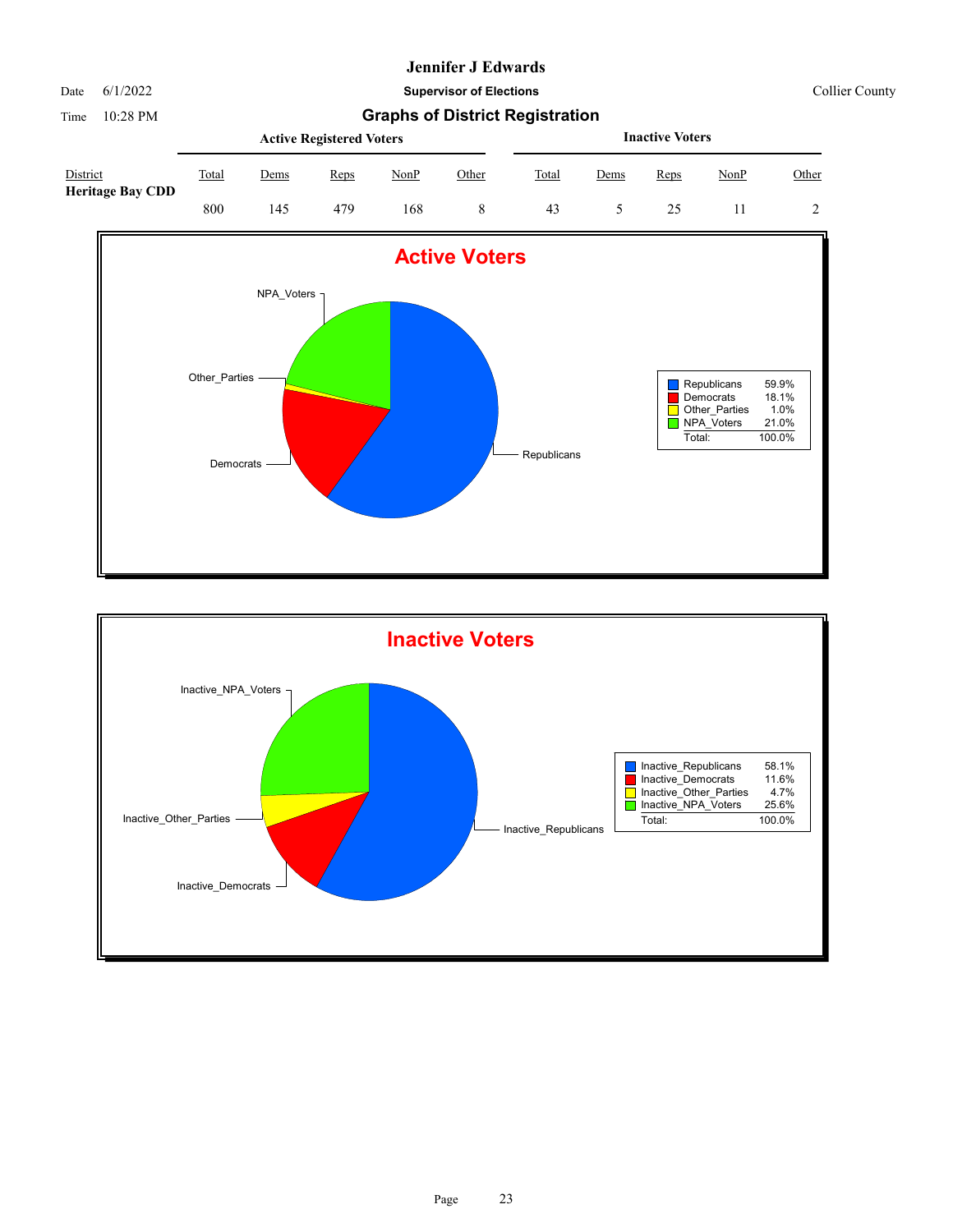Date 6/1/2022 **Supervisor of Elections** Collier County

|                                     | <b>Active Registered Voters</b> |      |      |      |       |       | <b>Inactive Voters</b> |      |      |       |  |  |
|-------------------------------------|---------------------------------|------|------|------|-------|-------|------------------------|------|------|-------|--|--|
| District<br><b>Heritage Bay CDD</b> | Total                           | Dems | Reps | NonP | Other | Total | Dems                   | Reps | NonP | Other |  |  |
|                                     | 800                             | 145  | 479  | 168  |       | 43    |                        |      |      |       |  |  |



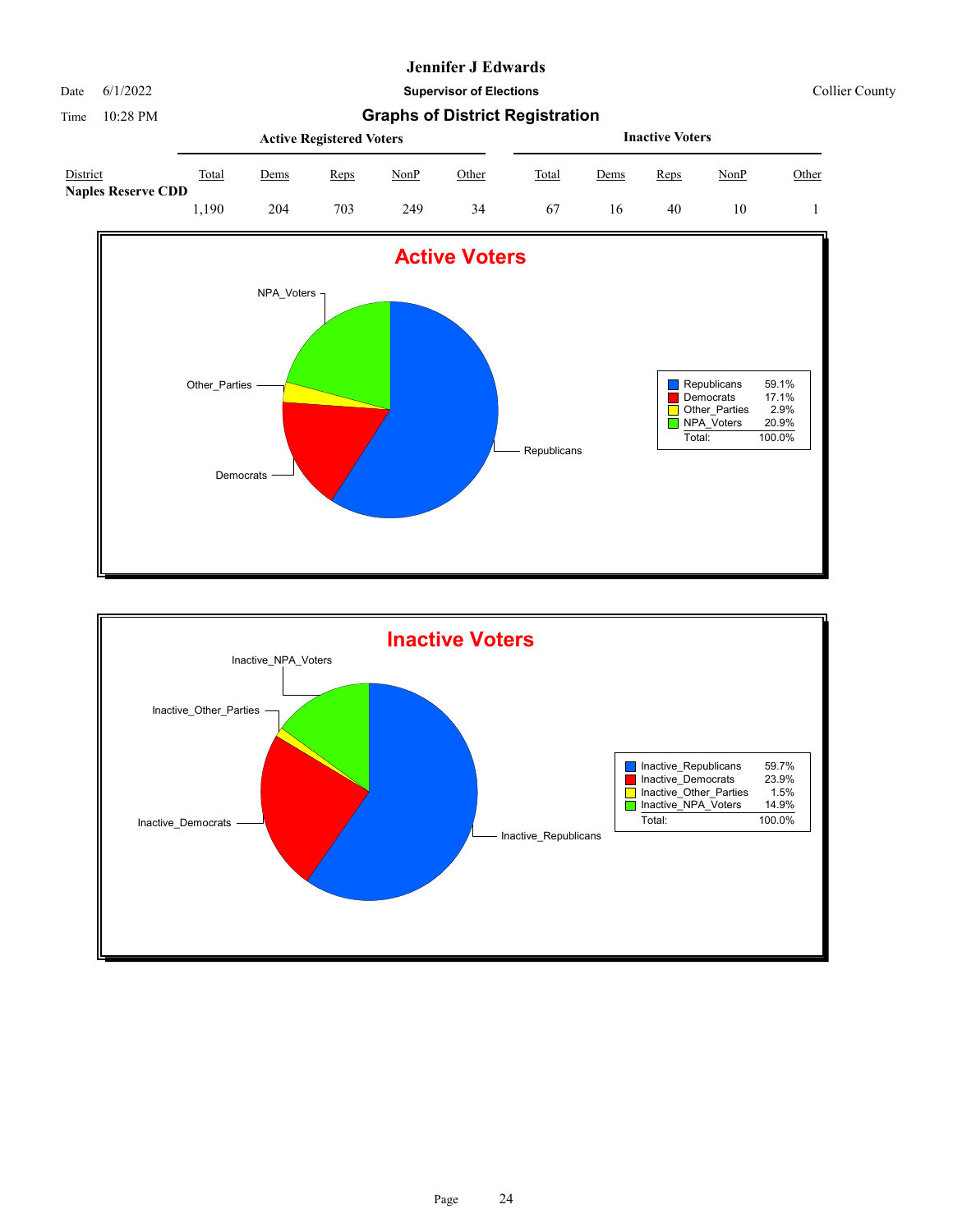Date 6/1/2022 **Supervisor of Elections** Collier County

|                                       | <b>Active Registered Voters</b> |      |      |      |       |       | <b>Inactive Voters</b> |      |             |       |  |  |
|---------------------------------------|---------------------------------|------|------|------|-------|-------|------------------------|------|-------------|-------|--|--|
| District<br><b>Naples Reserve CDD</b> | Total                           | Dems | Reps | NonP | Other | Total | <u>Dems</u>            | Reps | <u>NonP</u> | Other |  |  |
|                                       | .,190                           | 204  | 703  | 249  | 34    | 67    | 16                     | 40   | 10          |       |  |  |



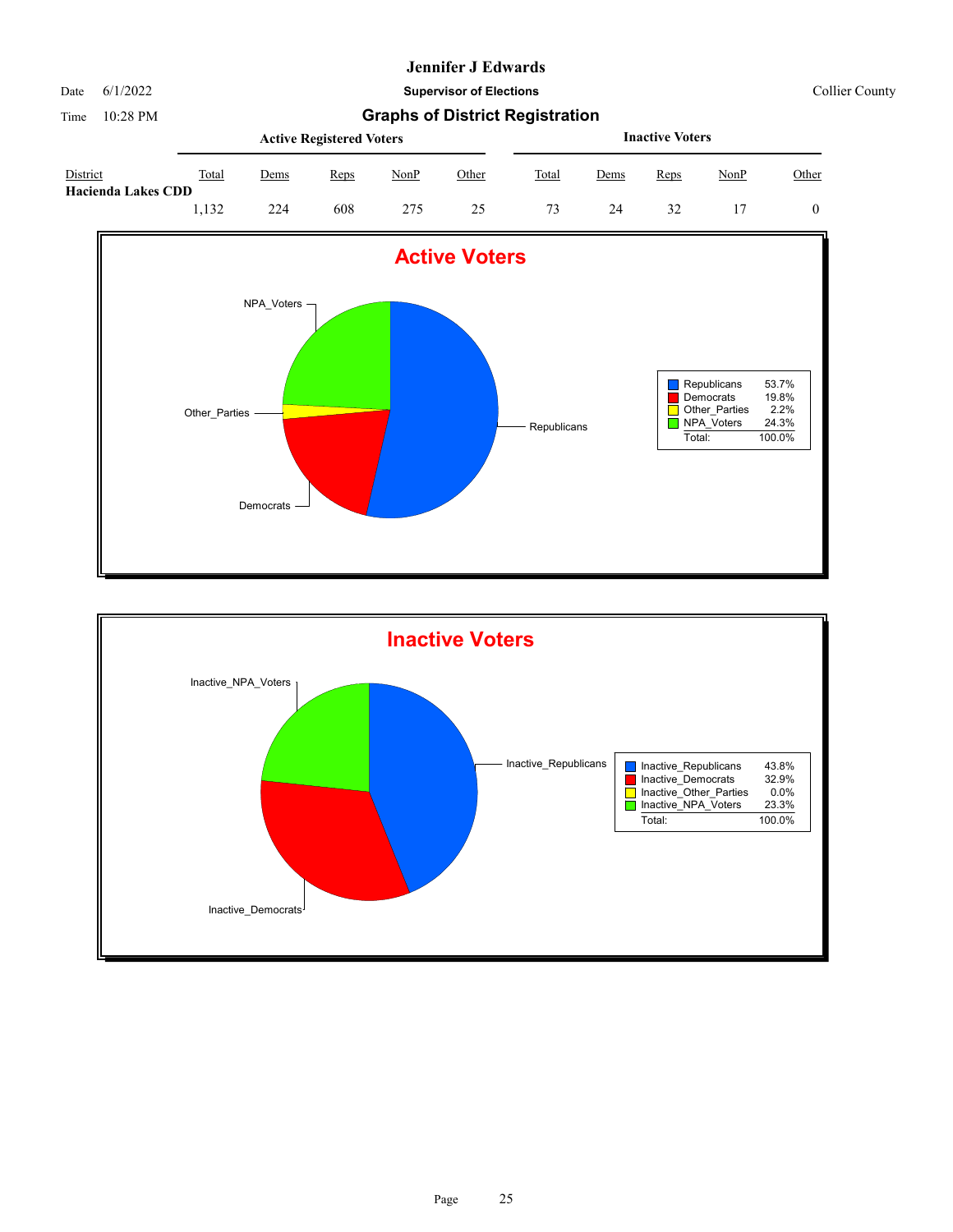Date 6/1/2022 **Supervisor of Elections** Collier County

|                                       | <b>Active Registered Voters</b> |                         |      |      |              |       | <b>Inactive Voters</b> |      |      |       |  |  |
|---------------------------------------|---------------------------------|-------------------------|------|------|--------------|-------|------------------------|------|------|-------|--|--|
| District<br><b>Hacienda Lakes CDD</b> | Total                           | Dems                    | Reps | NonP | <u>Other</u> | Total | <u>Dems</u>            | Reps | NonP | Other |  |  |
|                                       | .132                            | 224<br>608<br>275<br>25 |      |      |              |       | 24                     | 32   |      |       |  |  |



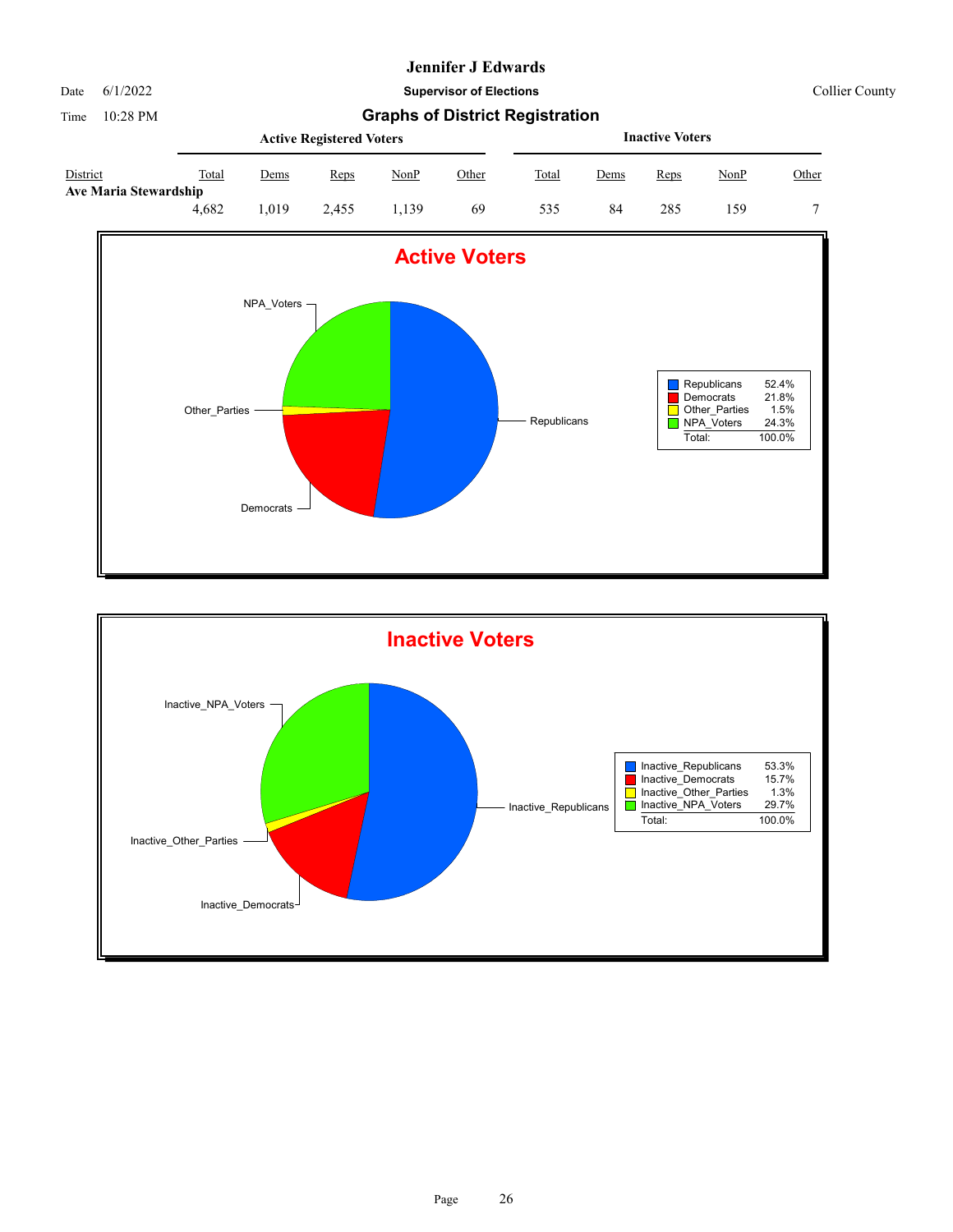Date 6/1/2022 **Supervisor of Elections** Collier County

|                                          | <b>Active Registered Voters</b> |      |       |       |       |       | <b>Inactive Voters</b> |      |      |       |  |  |
|------------------------------------------|---------------------------------|------|-------|-------|-------|-------|------------------------|------|------|-------|--|--|
| District<br><b>Ave Maria Stewardship</b> | Total                           | Dems | Reps  | NonP  | Other | Total | Dems                   | Reps | NonP | Other |  |  |
|                                          | 4.682                           | .019 | 2.455 | . 139 | 69    | 535   | 84                     | 285  | 159  |       |  |  |



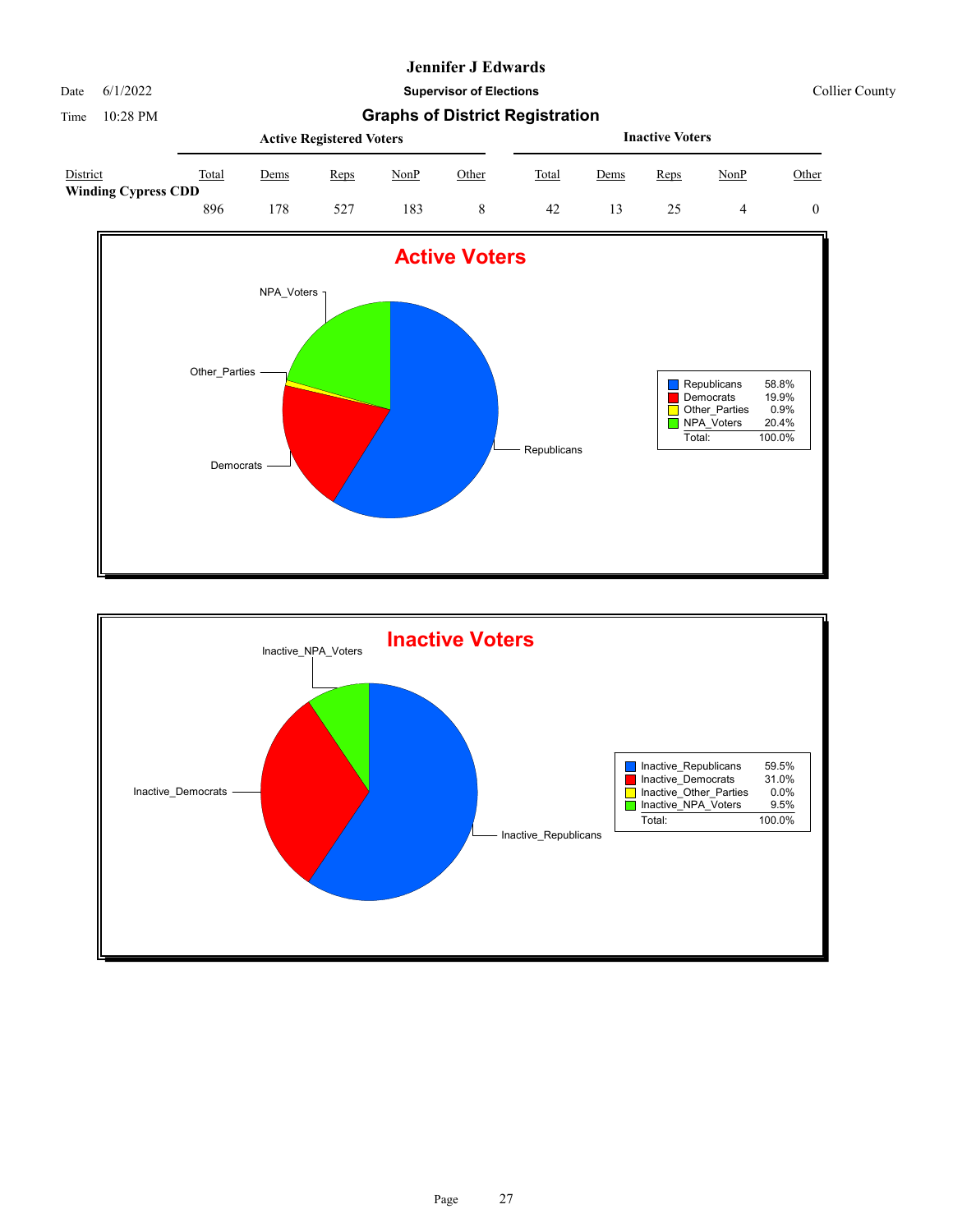Date 6/1/2022 **Supervisor of Elections** Collier County

|                                        |       |      | <b>Active Registered Voters</b> |      |       | <b>Inactive Voters</b> |      |      |      |       |  |
|----------------------------------------|-------|------|---------------------------------|------|-------|------------------------|------|------|------|-------|--|
| District<br><b>Winding Cypress CDD</b> | Total | Dems | Reps                            | NonP | Other | Total                  | Dems | Reps | NonP | Other |  |
|                                        | 896   | 78   | 527                             | 183  |       | 42                     | 13   |      |      |       |  |



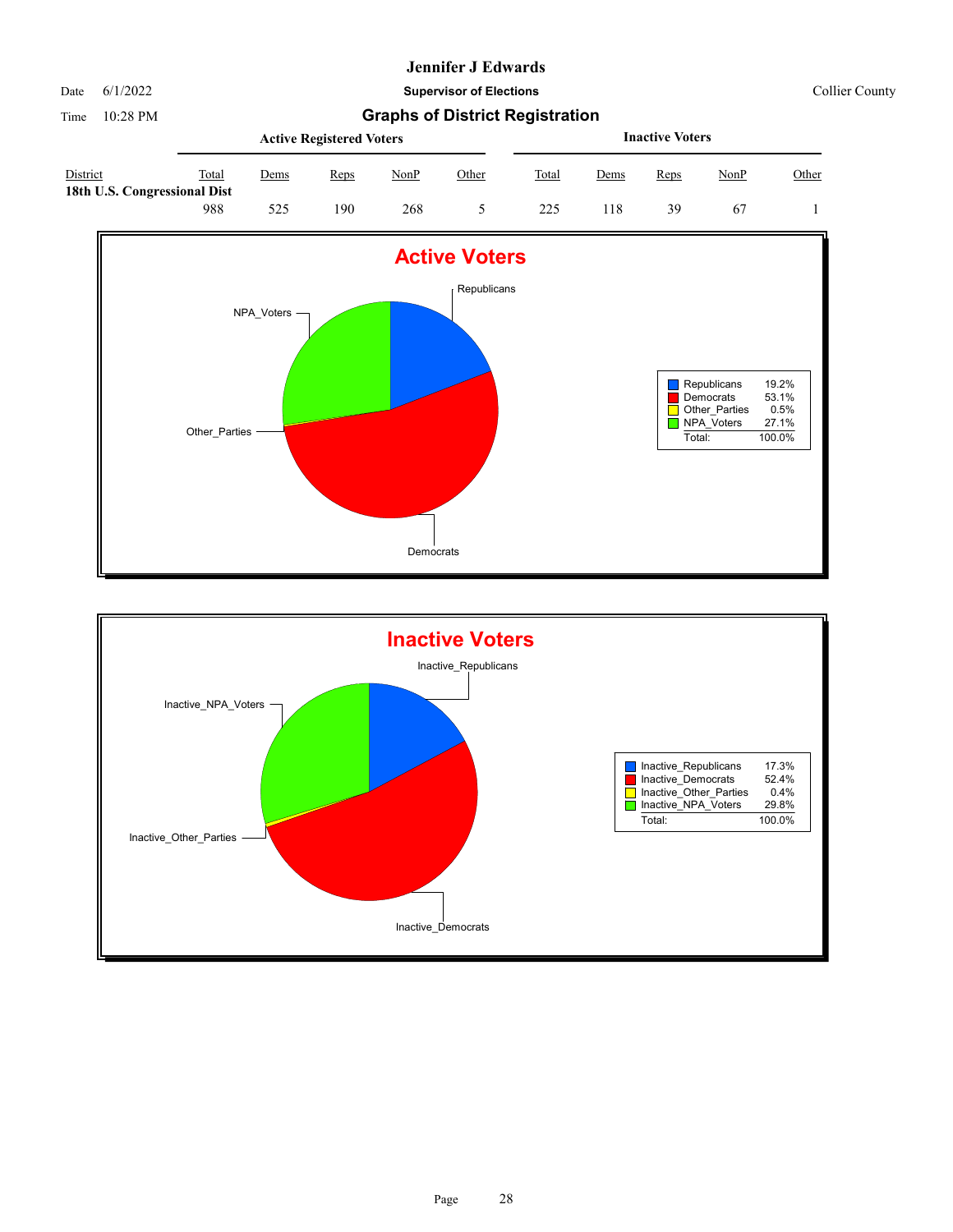Date 6/1/2022 **Supervisor of Elections** Collier County

|                                                 |       |      | <b>Active Registered Voters</b> |      |              |       |             | <b>Inactive Voters</b> |             |       |
|-------------------------------------------------|-------|------|---------------------------------|------|--------------|-------|-------------|------------------------|-------------|-------|
| <b>District</b><br>18th U.S. Congressional Dist | Total | Dems | Reps                            | NonP | <u>Other</u> | Total | <u>Dems</u> | Reps                   | <u>NonP</u> | Other |
|                                                 | 988   | 525  | 190                             | 268  |              | 225   | !18         | 39                     | 67          |       |



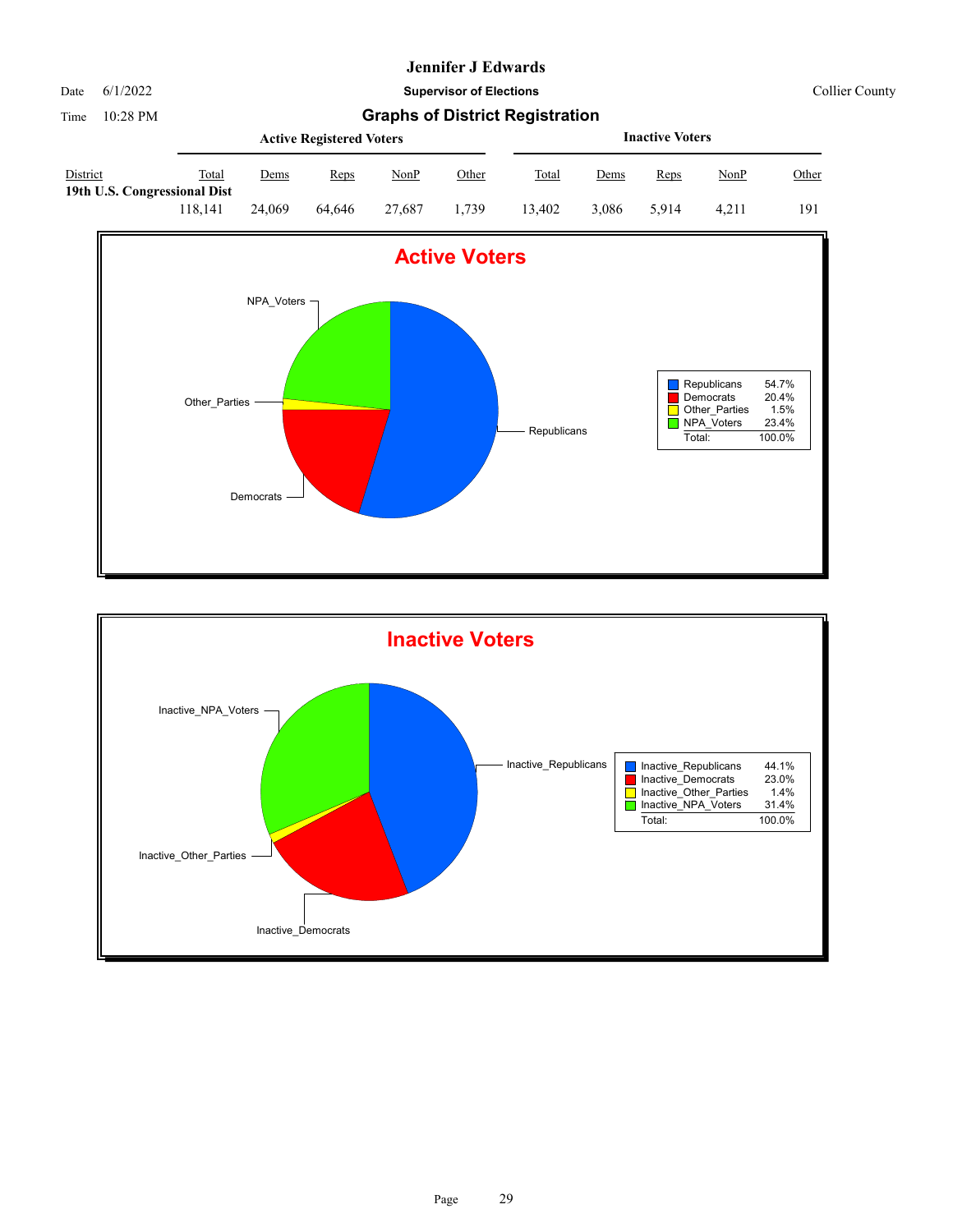

Date 6/1/2022 **Supervisor of Elections** Collier County

|                                          |         |        | <b>Active Registered Voters</b> |        | <b>Inactive Voters</b> |        |       |       |       |       |
|------------------------------------------|---------|--------|---------------------------------|--------|------------------------|--------|-------|-------|-------|-------|
| District<br>19th U.S. Congressional Dist | Total   | Dems   | Reps                            | NonP   | Other                  | Total  | Dems  | Reps  | NonP  | Other |
|                                          | 118.141 | 24,069 | 64.646                          | 27,687 | 1.739                  | 13.402 | 3.086 | 5.914 | 4.211 | 191   |



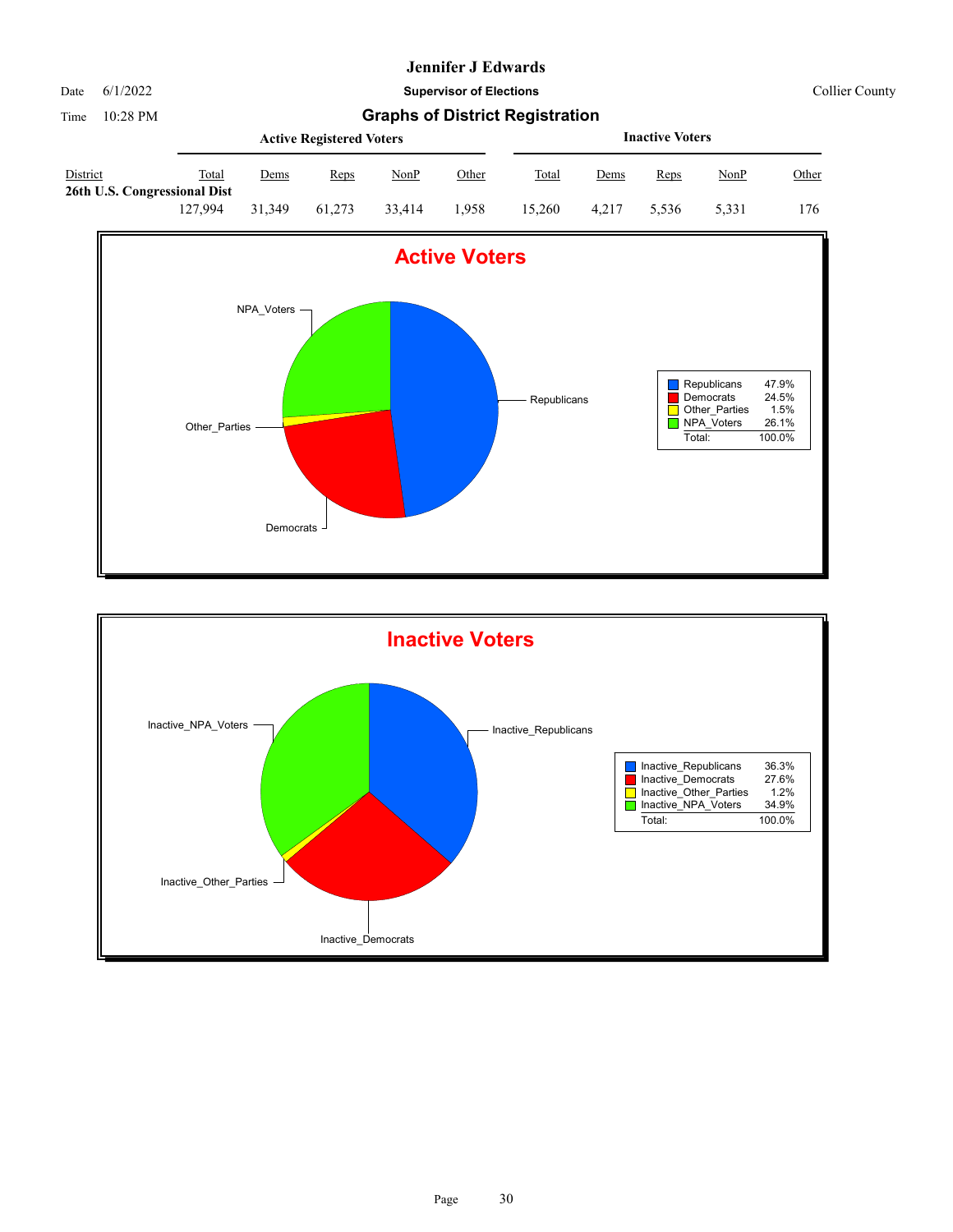

Date 6/1/2022 **Supervisor of Elections** Collier County

|                                                 |         |             | <b>Active Registered Voters</b> |        |       | <b>Inactive Voters</b> |             |       |       |       |  |
|-------------------------------------------------|---------|-------------|---------------------------------|--------|-------|------------------------|-------------|-------|-------|-------|--|
| <b>District</b><br>26th U.S. Congressional Dist | Total   | <u>Dems</u> | Reps                            | NonP   | Other | <b>Total</b>           | <u>Dems</u> | Reps  | NonP  | Other |  |
|                                                 | 127.994 | 31,349      | 61.273                          | 33.414 | 1.958 | 15.260                 | 4.217       | 5.536 | 5.331 | 176   |  |



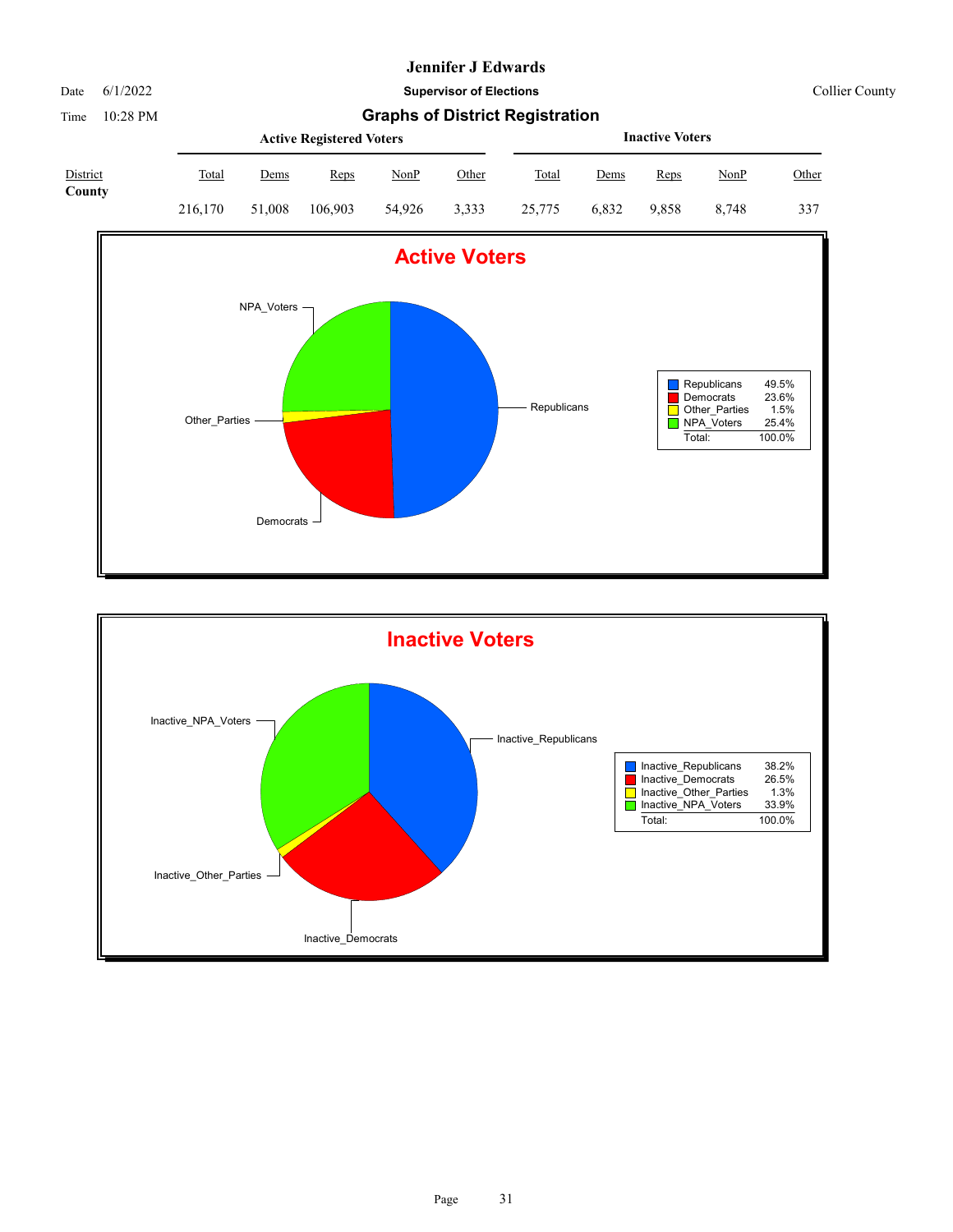Date 6/1/2022 **Supervisor of Elections** Collier County

Time 10:28 PM **Graphs of District Registration**

|                           |              |        | <b>Active Registered Voters</b> |        |       |        | <b>Inactive Voters</b> |       |             |       |  |  |
|---------------------------|--------------|--------|---------------------------------|--------|-------|--------|------------------------|-------|-------------|-------|--|--|
| <b>District</b><br>County | <b>Total</b> | Dems   | Reps                            | NonP   | Other | Total  | Dems                   | Reps  | <u>NonP</u> | Other |  |  |
|                           | 216,170      | 51,008 | 106,903                         | 54.926 | 3,333 | 25,775 | 6.832                  | 9.858 | 8.748       | 337   |  |  |



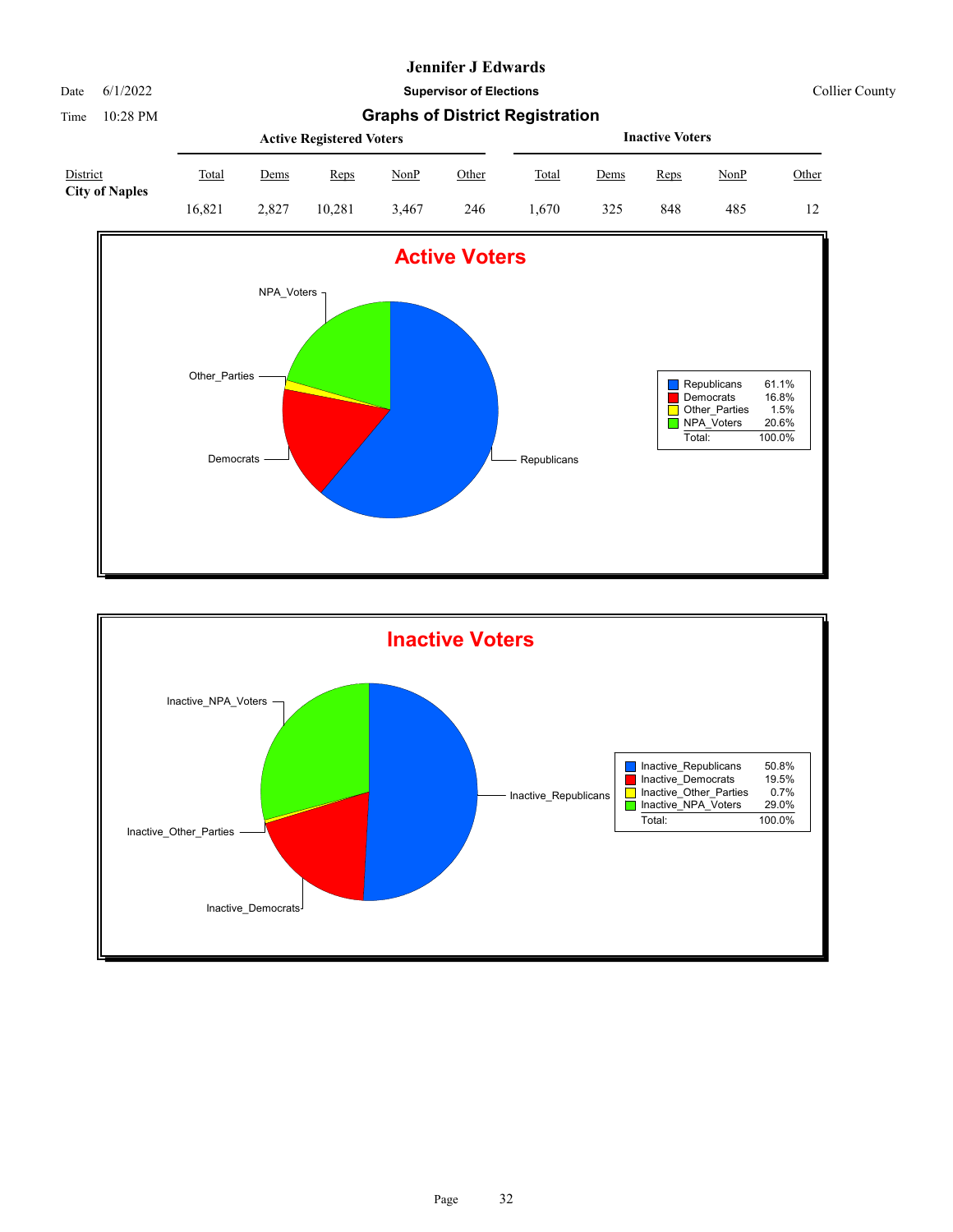#### Date 6/1/2022 **Supervisor of Elections** Collier County

|                                   |        |             | <b>Active Registered Voters</b> |       | <b>Inactive Voters</b> |       |             |      |             |       |
|-----------------------------------|--------|-------------|---------------------------------|-------|------------------------|-------|-------------|------|-------------|-------|
| District<br><b>City of Naples</b> | Total  | <u>Dems</u> | Reps                            | NonP  | <u>Other</u>           | Total | <u>Dems</u> | Reps | <u>NonP</u> | Other |
|                                   | 16.821 | 2.827       | 10.281                          | 3.467 | 246                    | 670   | 325         | 848  | 485         | 12    |



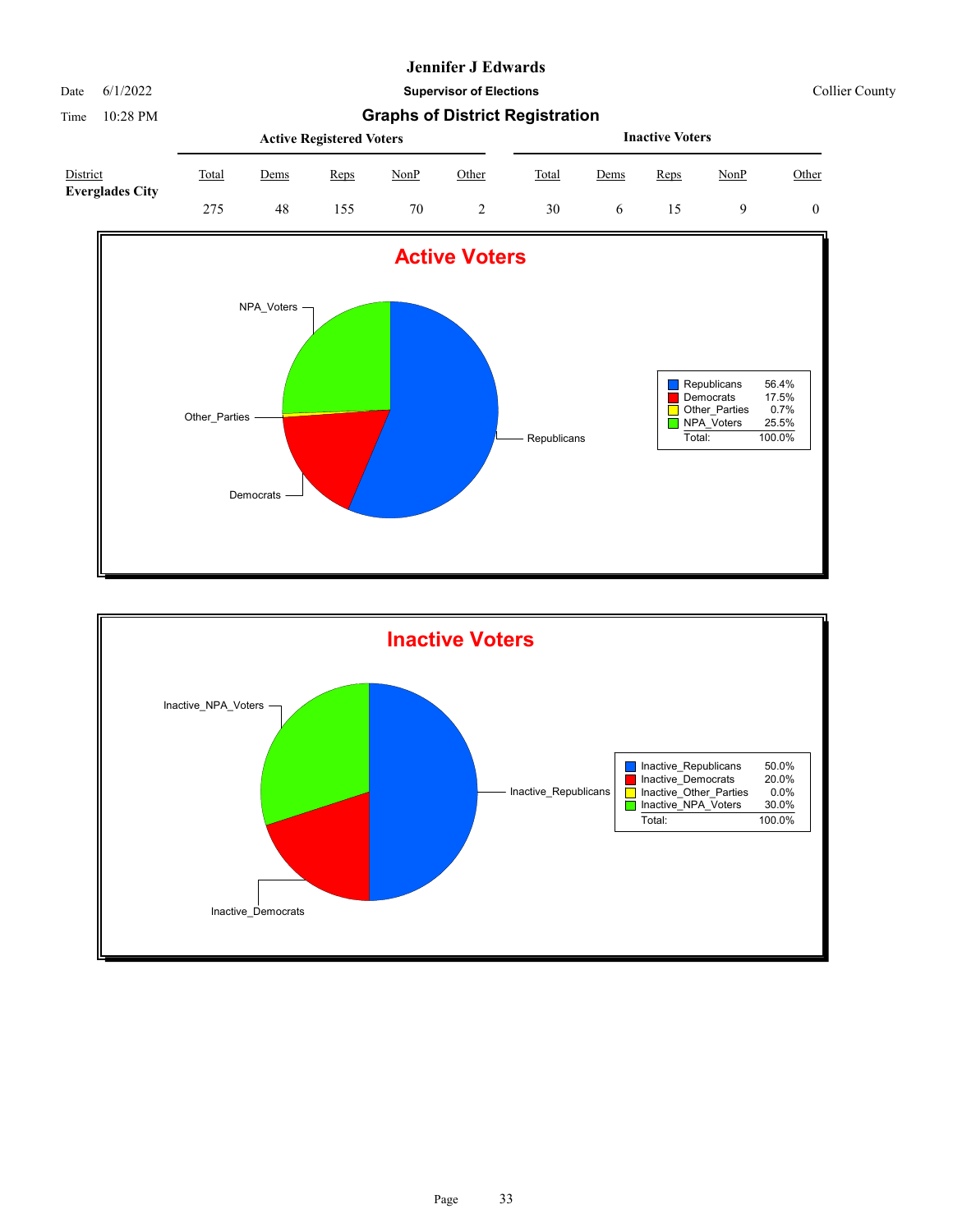Date 6/1/2022 **Supervisor of Elections** Collier County

|                                    |       |             | <b>Active Registered Voters</b> |      |       | <b>Inactive Voters</b> |             |      |      |       |  |
|------------------------------------|-------|-------------|---------------------------------|------|-------|------------------------|-------------|------|------|-------|--|
| District<br><b>Everglades City</b> | Total | <u>Dems</u> | Reps                            | NonP | Other | Total                  | <u>Dems</u> | Reps | NonP | Other |  |
|                                    | 275   | 48          | 155                             | 70   |       | 30                     |             |      |      |       |  |



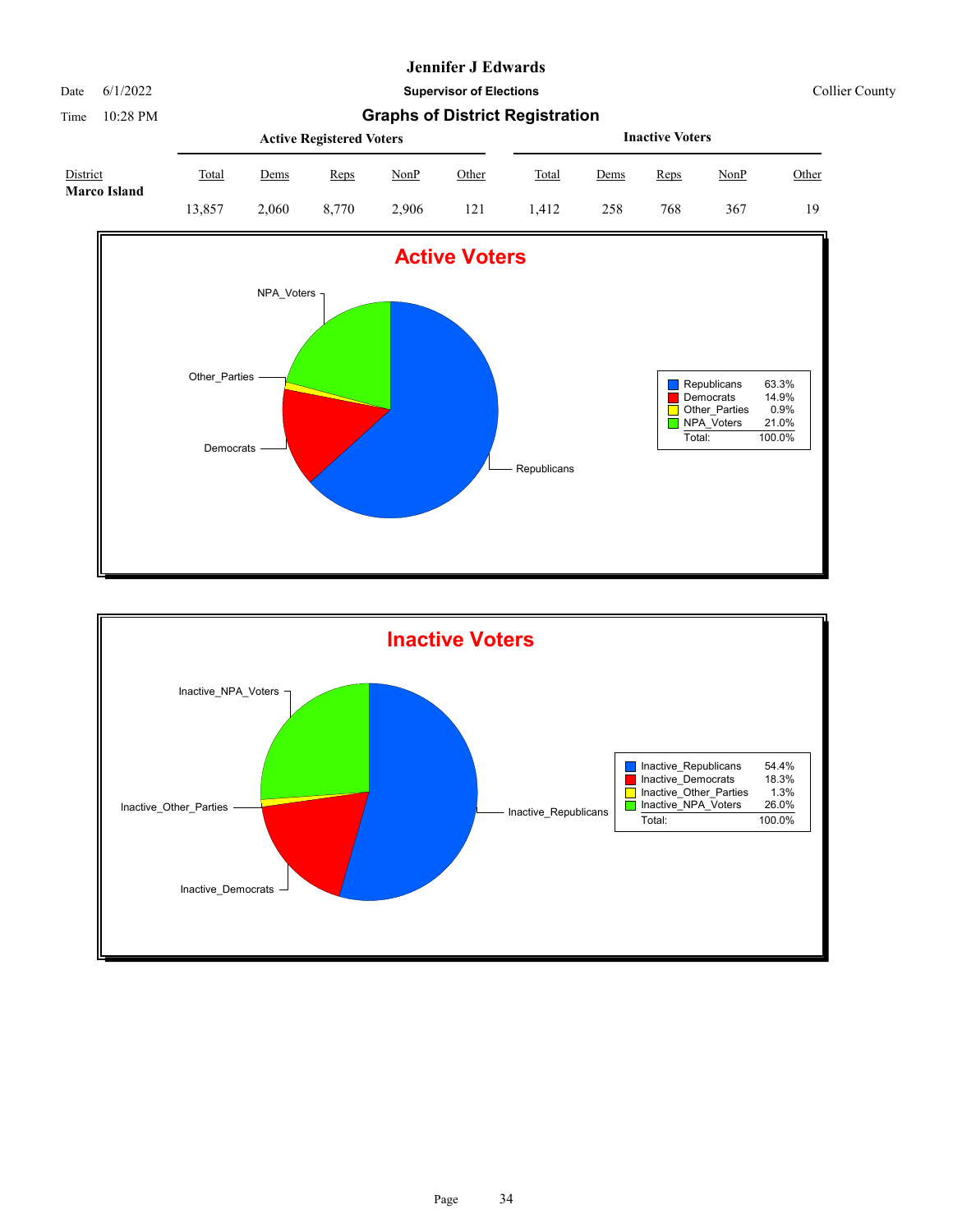Date 6/1/2022 **Supervisor of Elections** Collier County

Time 10:28 PM **Graphs of District Registration**

|                                 |              |             | <b>Active Registered Voters</b> |       |       | <b>Inactive Voters</b> |      |      |             |              |  |
|---------------------------------|--------------|-------------|---------------------------------|-------|-------|------------------------|------|------|-------------|--------------|--|
| District<br><b>Marco Island</b> | <b>Total</b> | <u>Dems</u> | Reps                            | NonP  | Other | <b>Total</b>           | Dems | Reps | <u>NonP</u> | <u>Other</u> |  |
|                                 | 13.857       | 2.060       | 8.770                           | 2.906 | 121   | .412                   | 258  | 768  | 367         | 19           |  |





Page 34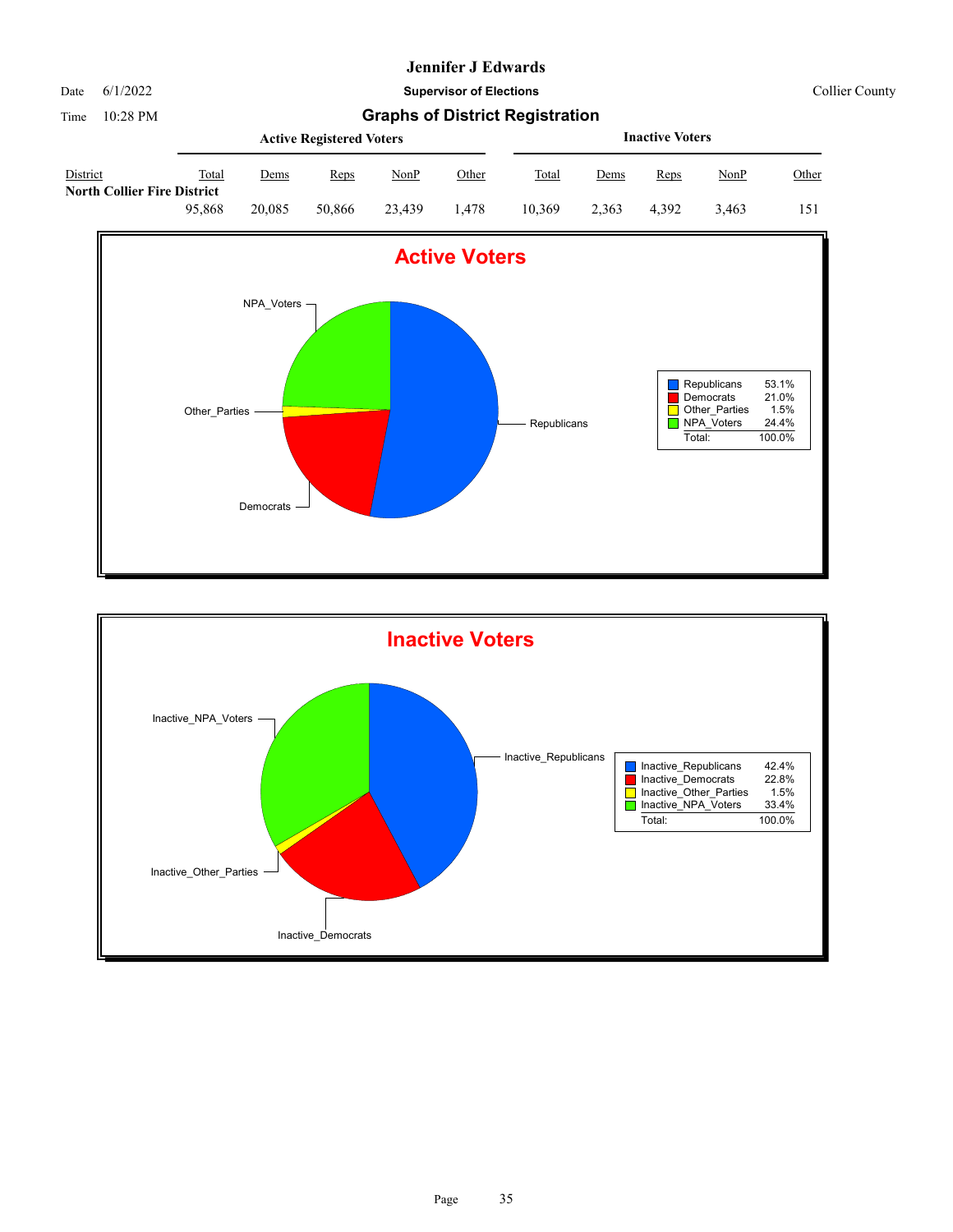

Date 6/1/2022 **Supervisor of Elections** Collier County

|                                         |        |        | <b>Active Registered Voters</b> |        | <b>Inactive Voters</b> |        |       |       |             |       |
|-----------------------------------------|--------|--------|---------------------------------|--------|------------------------|--------|-------|-------|-------------|-------|
| District<br>North Collier Fire District | Total  | Dems   | Reps                            | NonP   | Other                  | Total  | Dems  | Reps  | <u>NonP</u> | Other |
|                                         | 95.868 | 20.085 | 50,866                          | 23.439 | . 478                  | 10.369 | 2.363 | 4.392 | 3.463       | 151   |



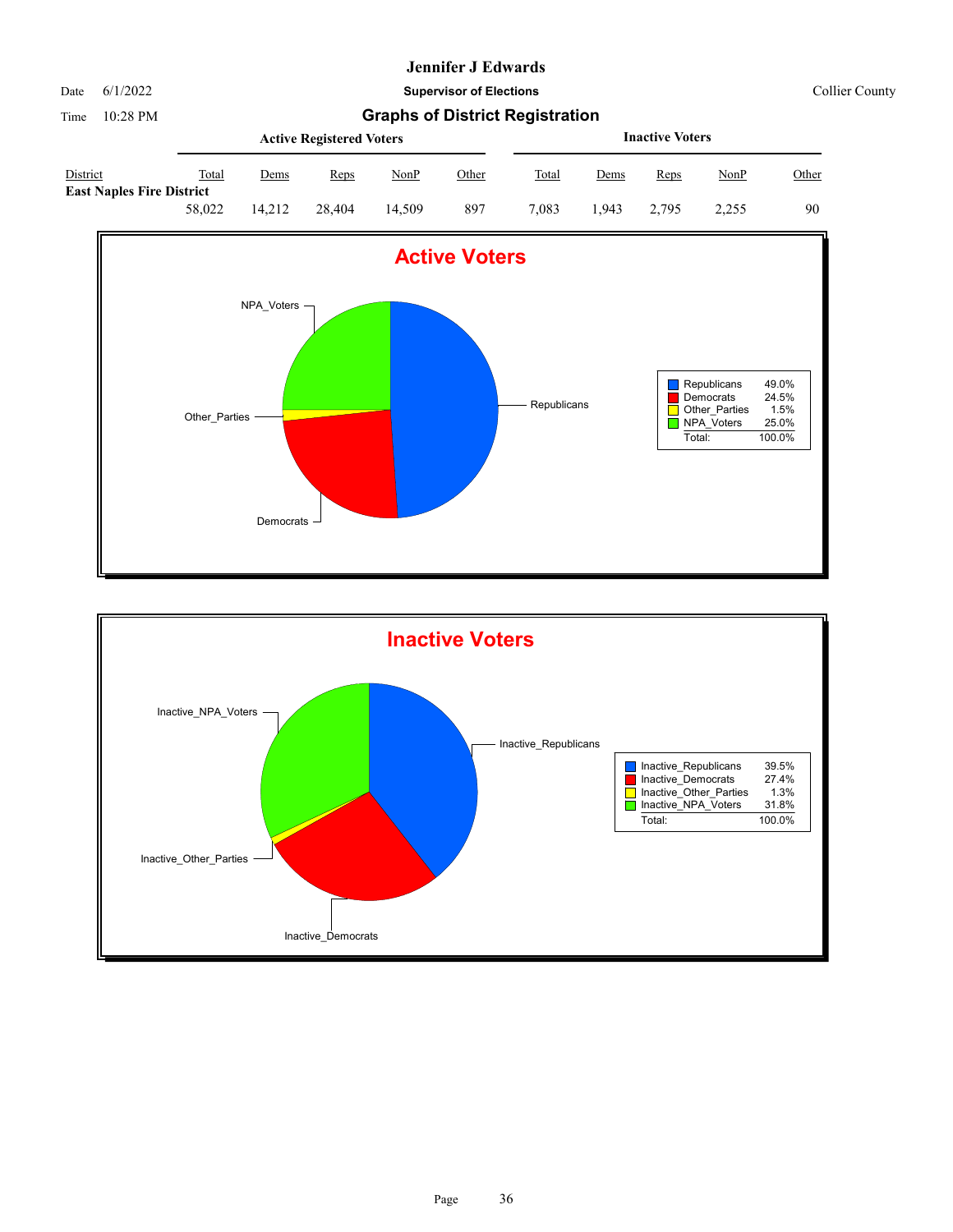

Date 6/1/2022 **Supervisor of Elections** Collier County

|                                                     |        |             | <b>Active Registered Voters</b> |        | <b>Inactive Voters</b> |       |             |       |       |       |
|-----------------------------------------------------|--------|-------------|---------------------------------|--------|------------------------|-------|-------------|-------|-------|-------|
| <b>District</b><br><b>East Naples Fire District</b> | Total  | <u>Dems</u> | Reps                            | NonP   | <u>Other</u>           | Total | <u>Dems</u> | Reps  | NonP  | Other |
|                                                     | 58,022 | 14.212      | 28.404                          | 14.509 | 897                    | 7.083 | .943        | 2.795 | 2.255 | 90    |



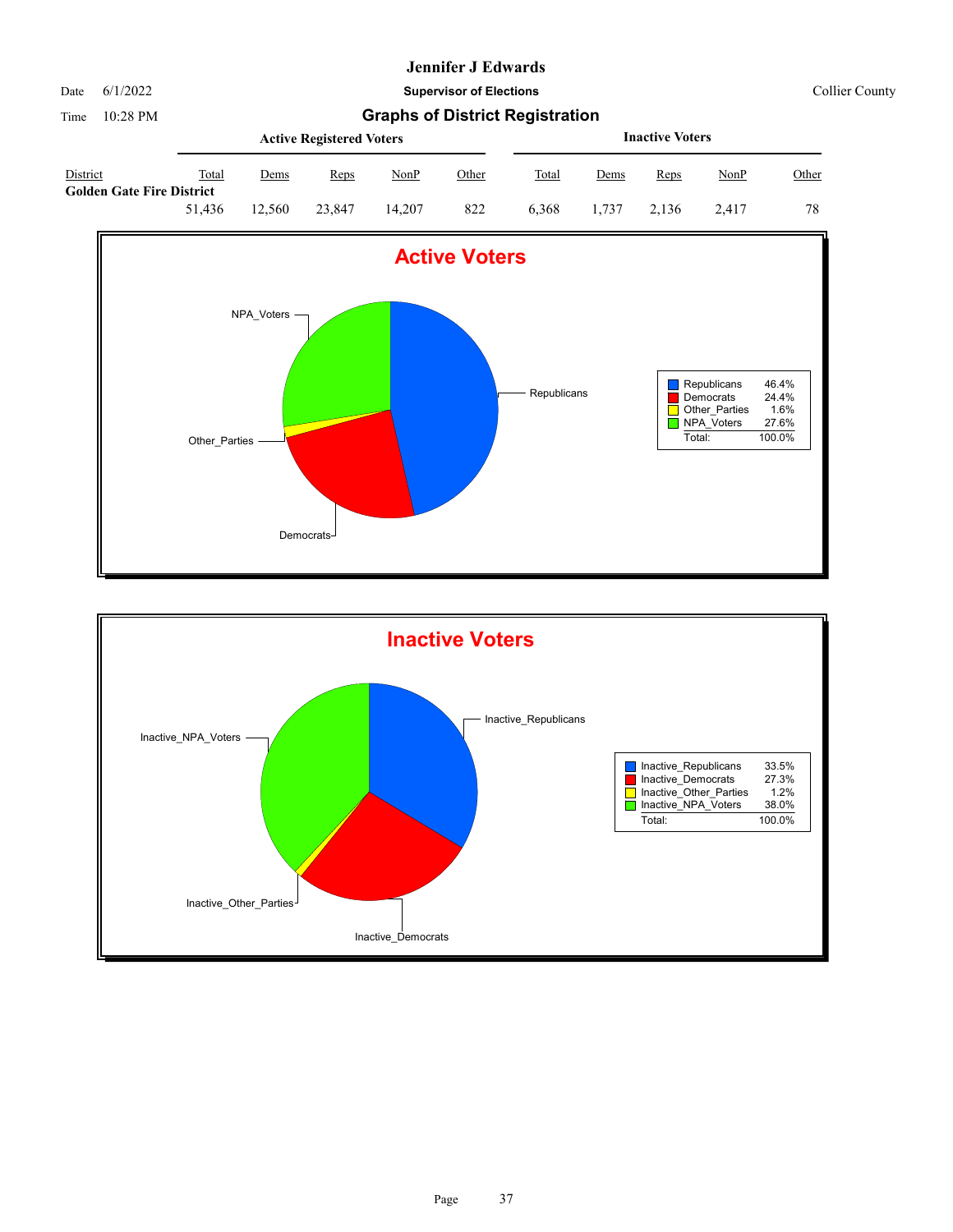

Date 6/1/2022 **Supervisor of Elections** Collier County

|                                              |        | <b>Active Registered Voters</b> |        |        |              |       | <b>Inactive Voters</b> |       |       |       |
|----------------------------------------------|--------|---------------------------------|--------|--------|--------------|-------|------------------------|-------|-------|-------|
| District<br><b>Golden Gate Fire District</b> | Total  | Dems                            | Reps   | NonP   | <u>Other</u> | Total | Dems                   | Reps  | NonP  | Other |
|                                              | 51.436 | 12.560                          | 23,847 | 14.207 | 822          | 6.368 | 1.737                  | 2.136 | 2.417 | 78    |



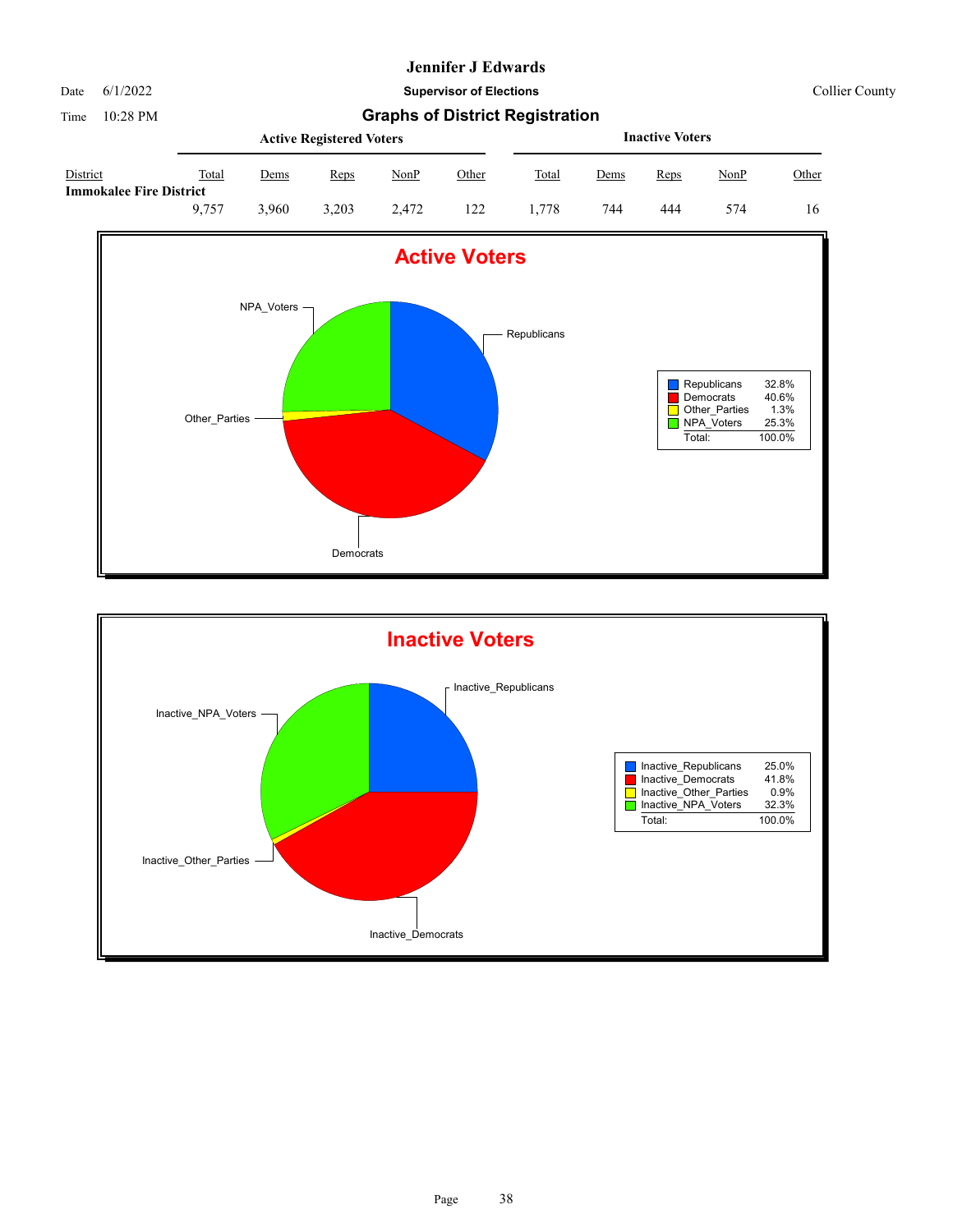Date 6/1/2022 **Supervisor of Elections** Collier County

Time 10:28 PM **Graphs of District Registration Active Registered Voters**

|                                            |       |             | <b>Active Registered Voters</b> |       | <b>Inactive Voters</b> |       |             |      |             |       |
|--------------------------------------------|-------|-------------|---------------------------------|-------|------------------------|-------|-------------|------|-------------|-------|
| District<br><b>Immokalee Fire District</b> | Total | <u>Dems</u> | Reps                            | NonP  | <u>Other</u>           | Total | <u>Dems</u> | Reps | <u>NonP</u> | Other |
|                                            | 9.757 | 3.960       | 3.203                           | 2.472 | 122                    | 1.778 | 744         | 444  | 574         | 16    |



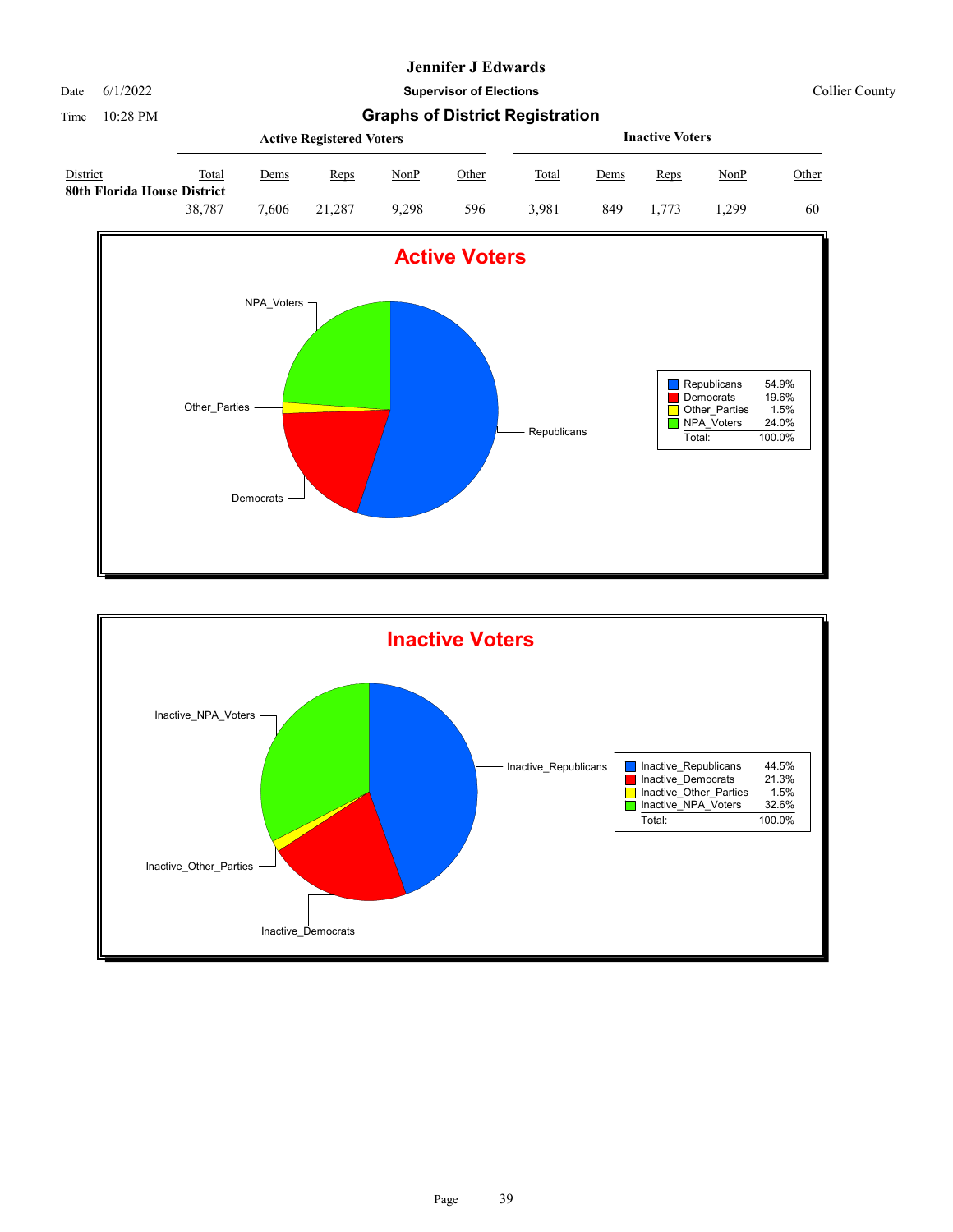Date 6/1/2022 **Supervisor of Elections** Collier County

|                                         |        |             | <b>Active Registered Voters</b> |             | <b>Inactive Voters</b> |              |             |             |             |       |
|-----------------------------------------|--------|-------------|---------------------------------|-------------|------------------------|--------------|-------------|-------------|-------------|-------|
| District<br>80th Florida House District | Total  | <u>Dems</u> | Reps                            | <u>NonP</u> | Other                  | <b>Total</b> | <u>Dems</u> | <b>Reps</b> | <u>NonP</u> | Other |
|                                         | 38.787 | 7.606       | 21.287                          | 9.298       | 596                    | 3.981        | 849         | 1.773       | 1.299       | 60    |



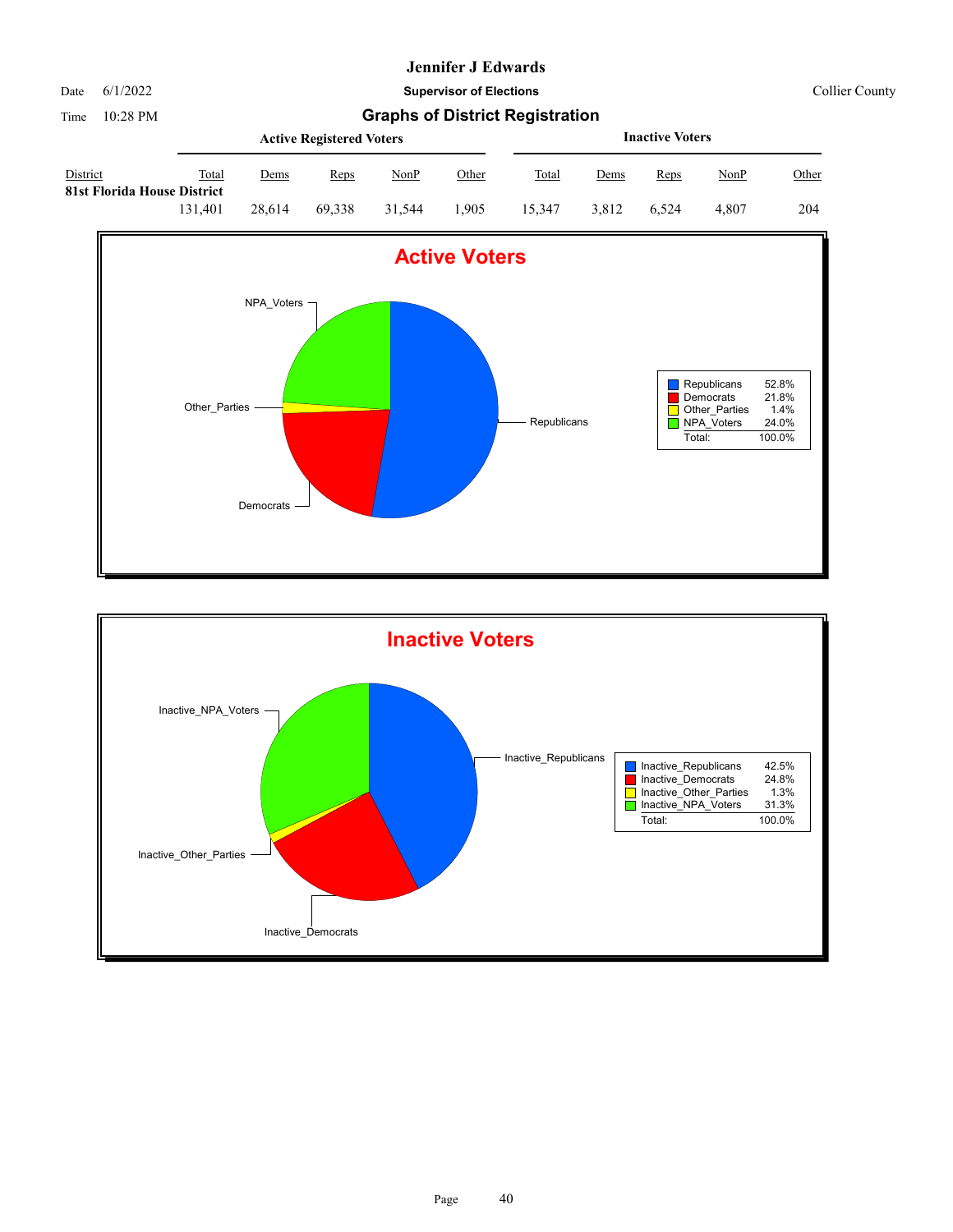

Date 6/1/2022 **Supervisor of Elections** Collier County

|                                         |         |             | <b>Active Registered Voters</b> |        | <b>Inactive Voters</b> |        |             |             |             |              |
|-----------------------------------------|---------|-------------|---------------------------------|--------|------------------------|--------|-------------|-------------|-------------|--------------|
| District<br>81st Florida House District | Total   | <u>Dems</u> | Reps                            | NonP   | <u>Other</u>           | Total  | <u>Dems</u> | <b>Reps</b> | <u>NonP</u> | <u>Other</u> |
|                                         | 131.401 | 28.614      | 69.338                          | 31.544 | 1.905                  | 15.347 | 3.812       | 6.524       | 4.807       | 204          |



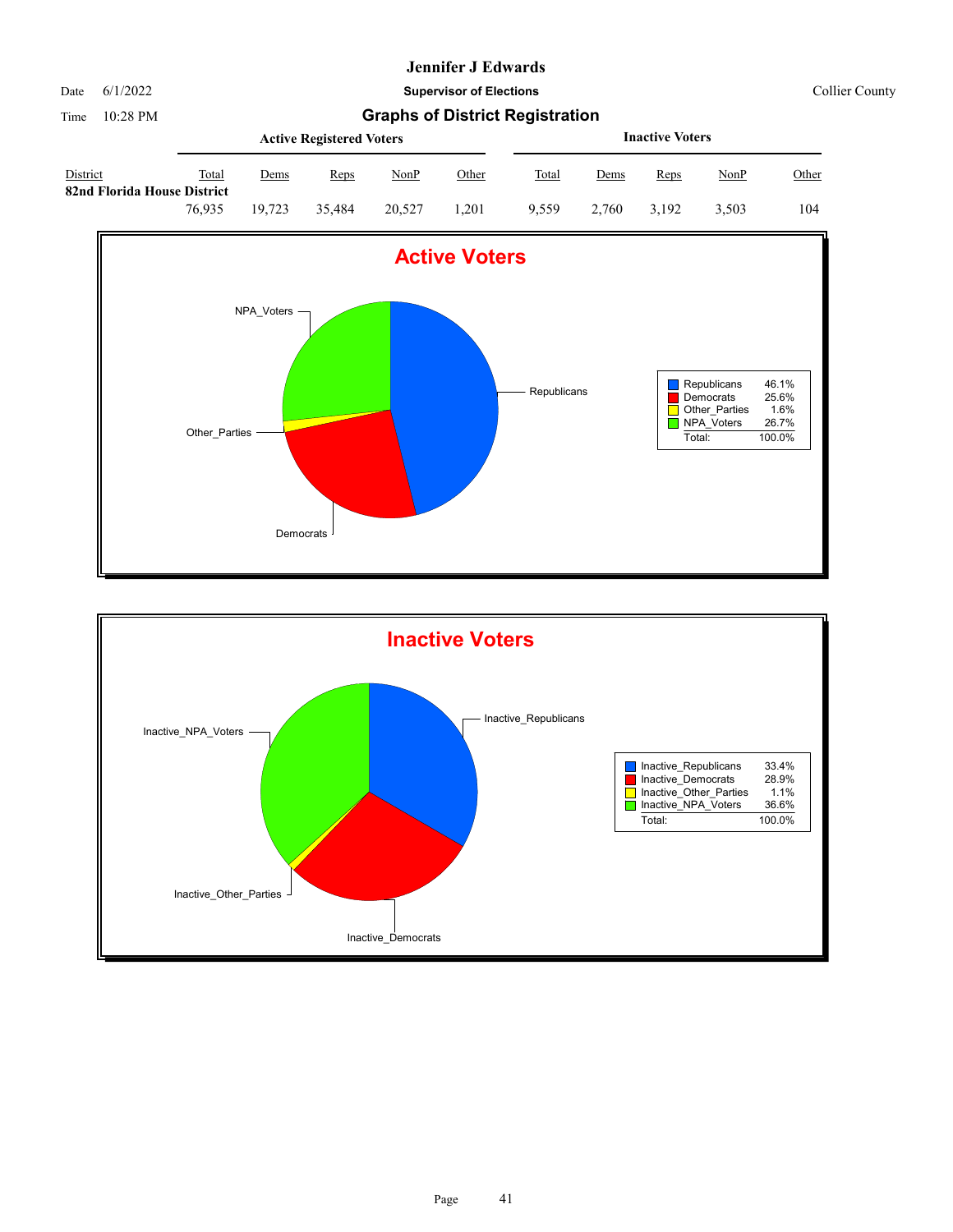

Date 6/1/2022 **Supervisor of Elections** Collier County

|                                         |        |        | <b>Active Registered Voters</b> |             |       | <b>Inactive Voters</b> |       |       |             |       |  |
|-----------------------------------------|--------|--------|---------------------------------|-------------|-------|------------------------|-------|-------|-------------|-------|--|
| District<br>82nd Florida House District | Total  | Dems   | Reps                            | <u>NonP</u> | Other | Total                  | Dems  | Reps  | <u>NonP</u> | Other |  |
|                                         | 76.935 | 19.723 | 35.484                          | 20,527      | .201  | 9.559                  | 2.760 | 3.192 | 3.503       | 104   |  |



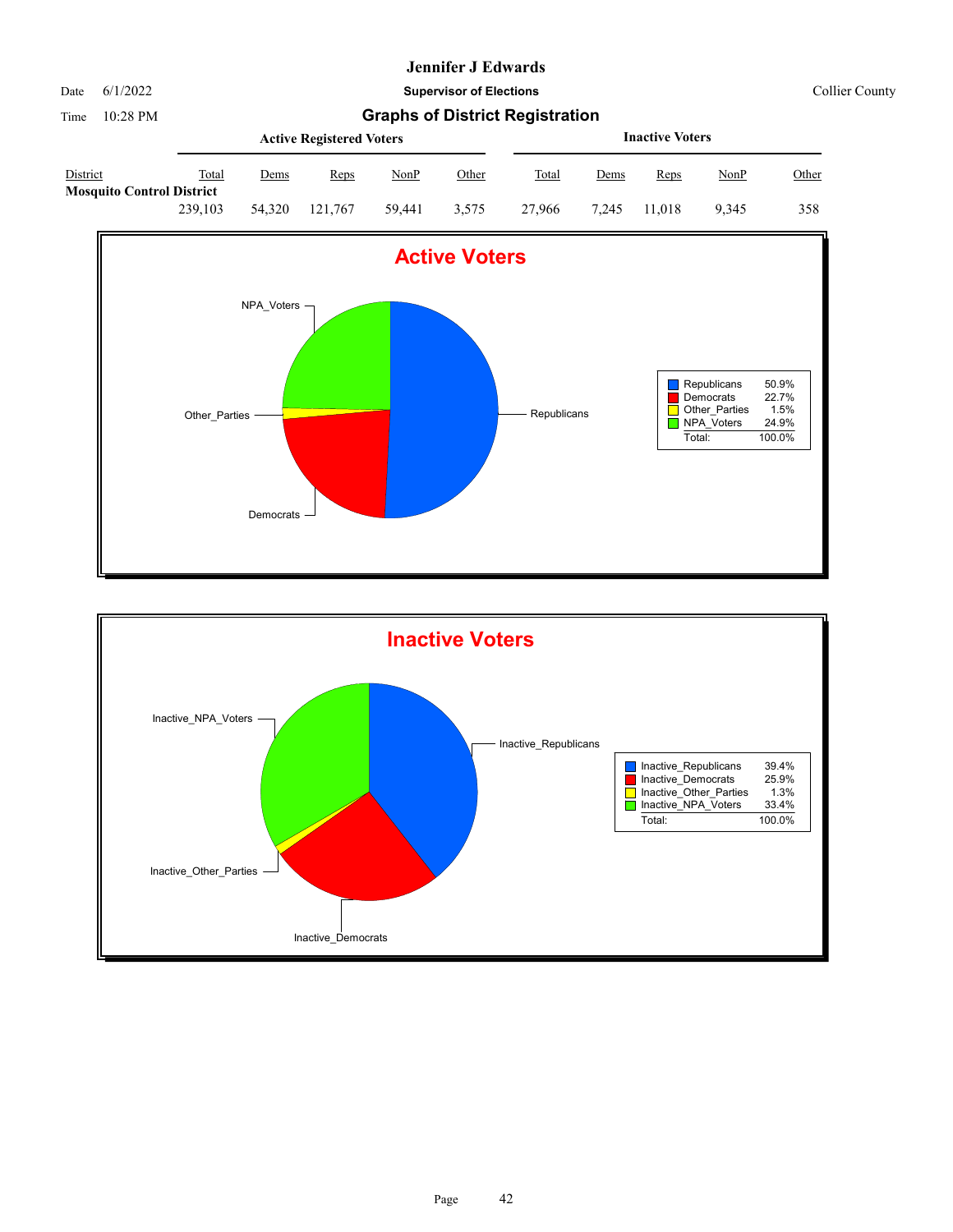

Date 6/1/2022 **Supervisor of Elections** Collier County

|                                              |         |        | <b>Active Registered Voters</b> |        |       |        | <b>Inactive Voters</b> |        |       |       |  |  |
|----------------------------------------------|---------|--------|---------------------------------|--------|-------|--------|------------------------|--------|-------|-------|--|--|
| District<br><b>Mosquito Control District</b> | Total   | Dems   | Reps                            | NonP   | Other | Total  | Dems                   | Reps   | NonP  | Other |  |  |
|                                              | 239,103 | 54,320 | 121.767                         | 59.441 | 3.575 | 27,966 | 7.245                  | 11.018 | 9.345 | 358   |  |  |



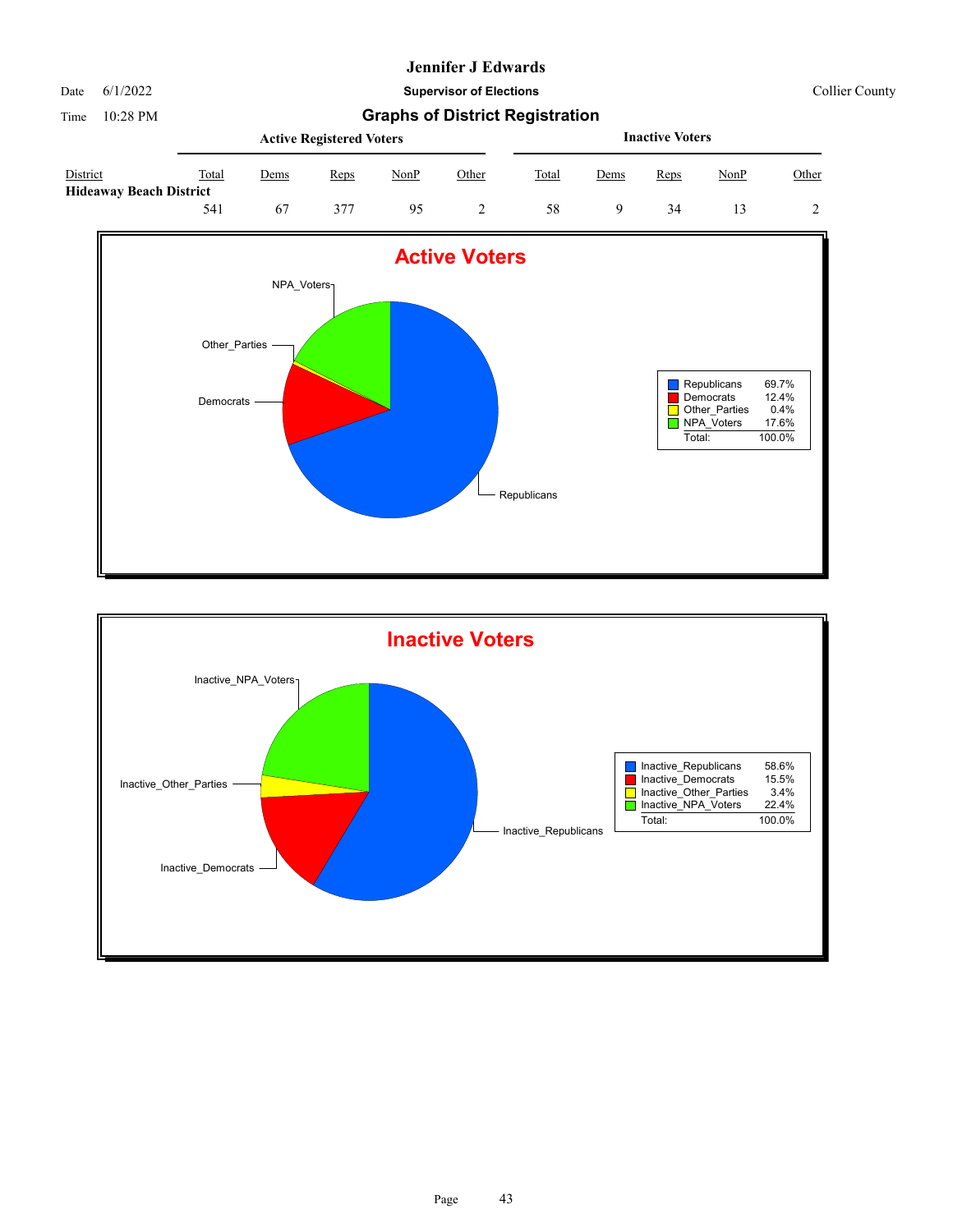#### Date 6/1/2022 **Supervisor of Elections** Collier County

Time 10:28 PM **Graphs of District Registration Active Registered Voters**

|                                            |       |      | <b>Active Registered Voters</b> |      |       | <b>Inactive Voters</b> |             |      |      |       |  |
|--------------------------------------------|-------|------|---------------------------------|------|-------|------------------------|-------------|------|------|-------|--|
| District<br><b>Hideaway Beach District</b> | Total | Dems | Reps                            | NonP | Other | Total                  | <u>Dems</u> | Reps | NonP | Other |  |
|                                            | 541   | 67   | 377                             | 95   |       | 58                     |             | 34   |      |       |  |



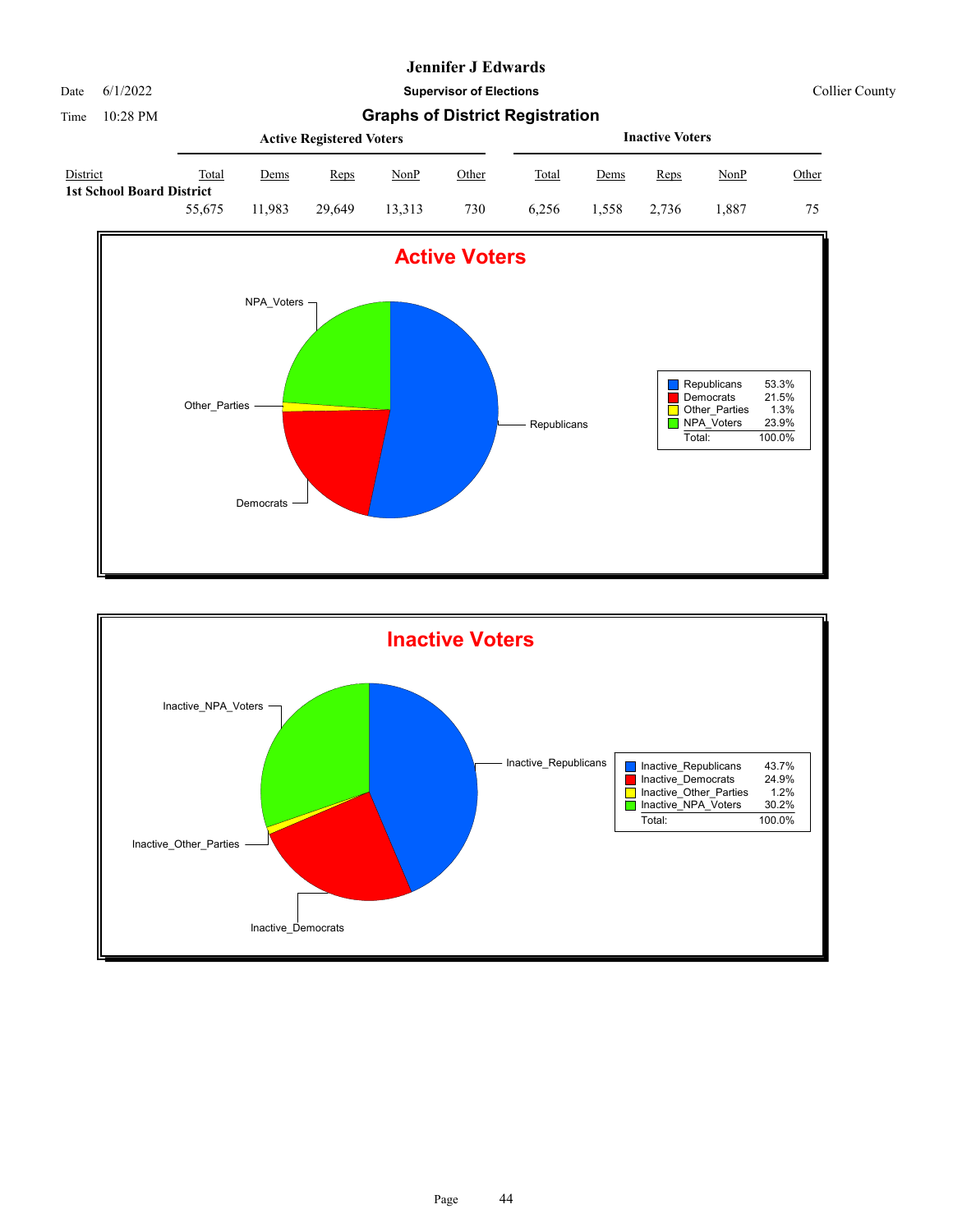Date 6/1/2022 **Supervisor of Elections** Collier County

|                                              |        |       | <b>Active Registered Voters</b> |        | <b>Inactive Voters</b> |              |             |             |             |              |
|----------------------------------------------|--------|-------|---------------------------------|--------|------------------------|--------------|-------------|-------------|-------------|--------------|
| District<br><b>1st School Board District</b> | Total  | Dems  | Reps                            | NonP   | <u>Other</u>           | <b>Total</b> | <u>Dems</u> | <b>Reps</b> | <u>NonP</u> | <u>Other</u> |
|                                              | 55.675 | 1.983 | 29.649                          | 13.313 | 730                    | 6.256        | l.558       | 2.736       | 1.887       | 75           |



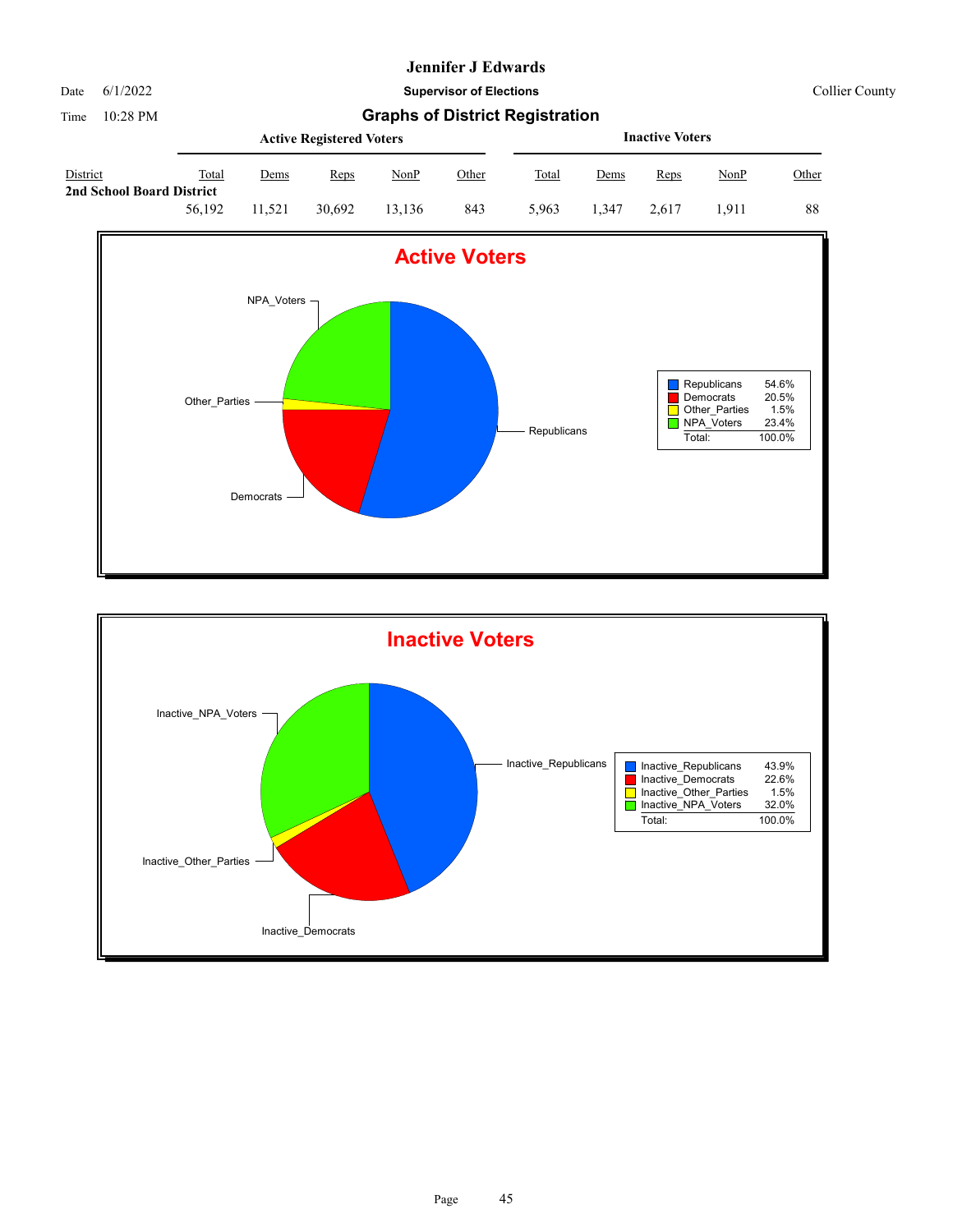Date 6/1/2022 **Supervisor of Elections** Collier County

|                                       |        |       | <b>Active Registered Voters</b> |        | <b>Inactive Voters</b> |       |       |       |             |       |
|---------------------------------------|--------|-------|---------------------------------|--------|------------------------|-------|-------|-------|-------------|-------|
| District<br>2nd School Board District | Total  | Dems  | Reps                            | NonP   | <u>Other</u>           | Total | Dems  | Reps  | <u>NonP</u> | Other |
|                                       | 56,192 | 1.521 | 30.692                          | 13.136 | 843                    | 5.963 | 1.347 | 2.617 | l.911       | 88    |



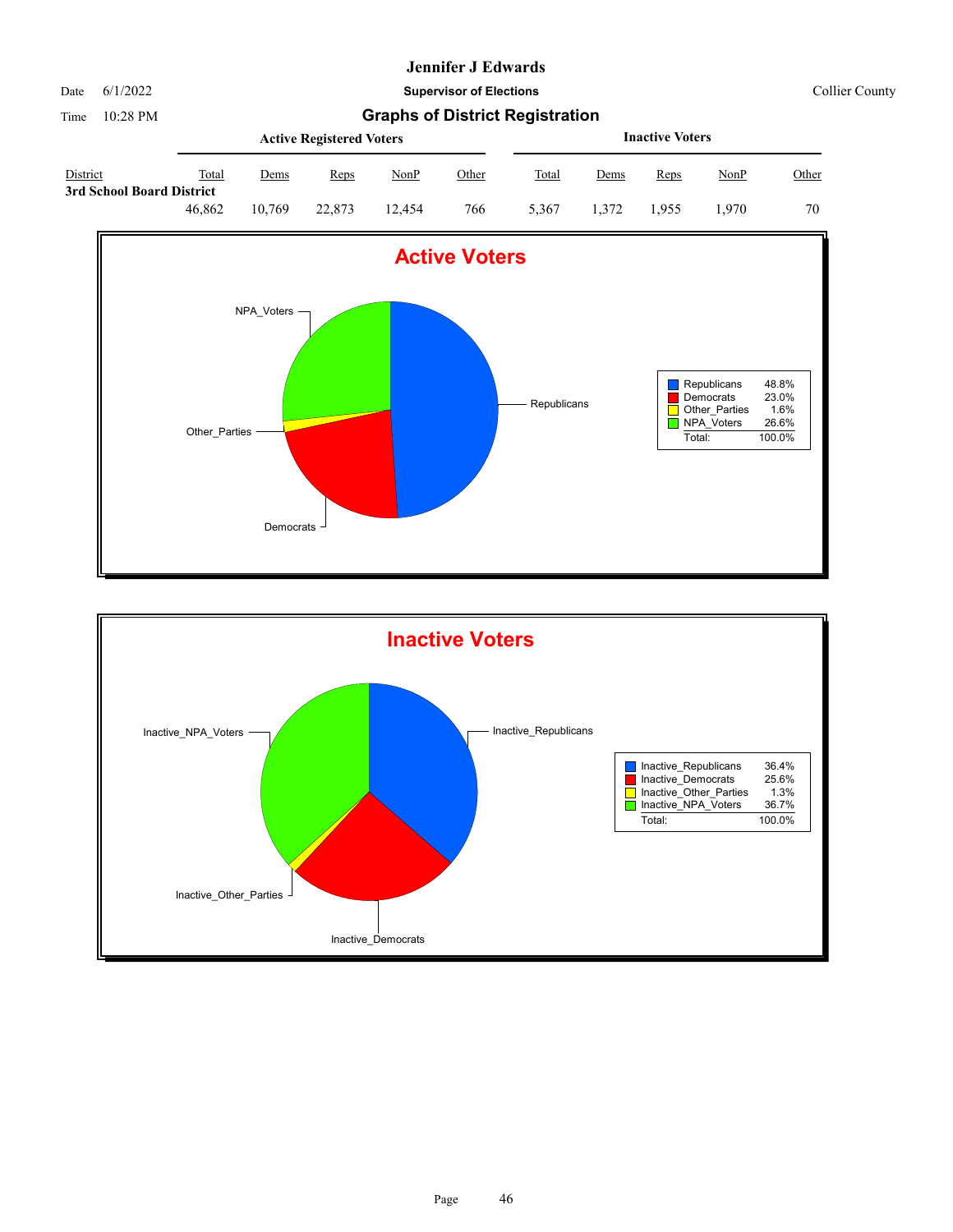

Date 6/1/2022 **Supervisor of Elections** Collier County

|                                       |        |             | <b>Active Registered Voters</b> |        | <b>Inactive Voters</b> |       |             |       |             |       |
|---------------------------------------|--------|-------------|---------------------------------|--------|------------------------|-------|-------------|-------|-------------|-------|
| District<br>3rd School Board District | Total  | <u>Dems</u> | Reps                            | NonP   | <u>Other</u>           | Total | <u>Dems</u> | Reps  | <u>NonP</u> | Other |
|                                       | 46.862 | 10.769      | 22,873                          | 12.454 | 766                    | 5.367 | 1.372       | 1.955 | .970        | 70    |



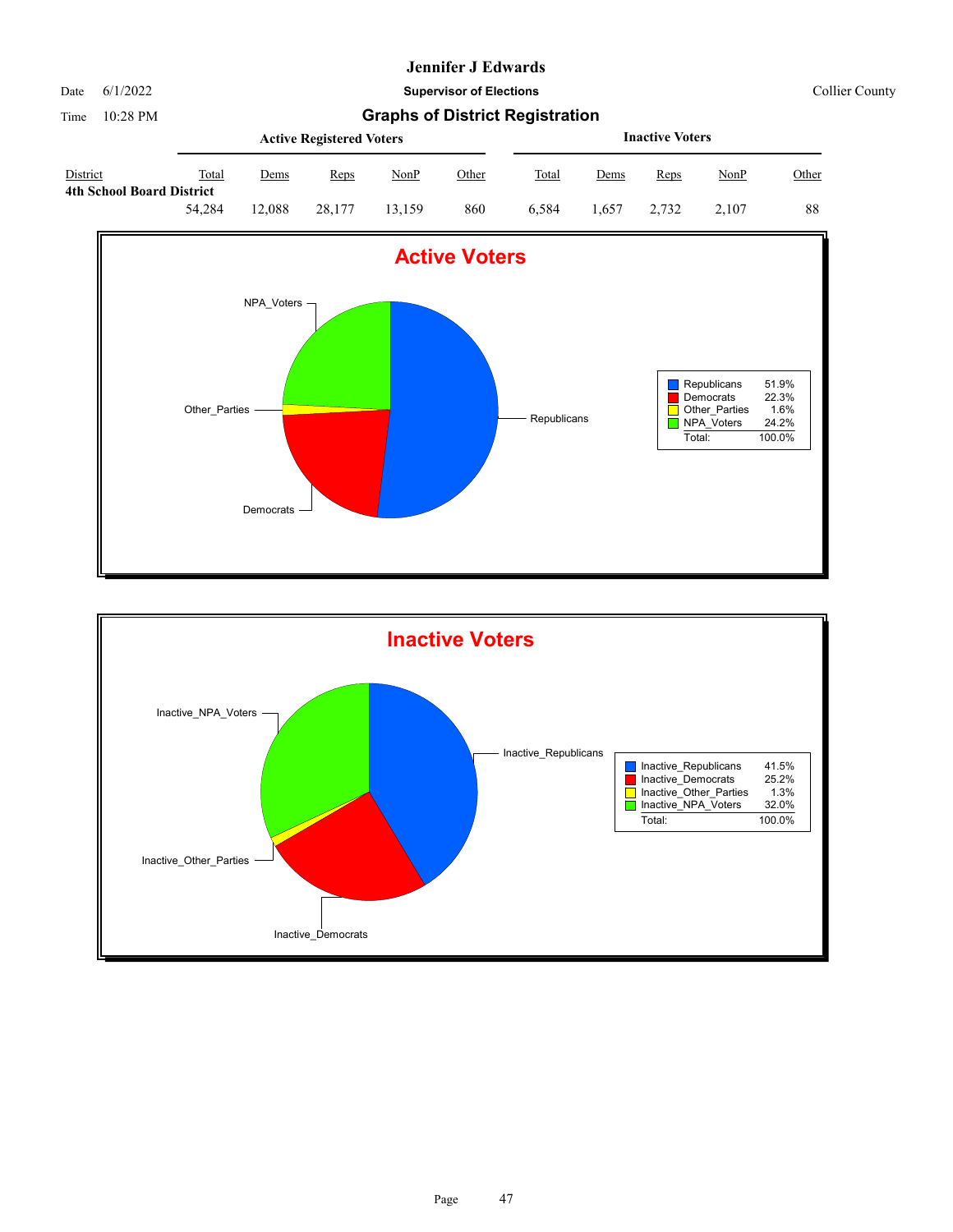Date 6/1/2022 **Supervisor of Elections** Collier County

|                                                     |        |        | <b>Active Registered Voters</b> |        |              | <b>Inactive Voters</b> |             |       |             |       |  |
|-----------------------------------------------------|--------|--------|---------------------------------|--------|--------------|------------------------|-------------|-------|-------------|-------|--|
| <b>District</b><br><b>4th School Board District</b> | Total  | Dems   | Reps                            | NonP   | <u>Other</u> | Total                  | <u>Dems</u> | Reps  | <u>NonP</u> | Other |  |
|                                                     | 54,284 | 12.088 | 28.177                          | 13.159 | 860          | 6.584                  | 1.657       | 2.732 | 2.107       | 88    |  |



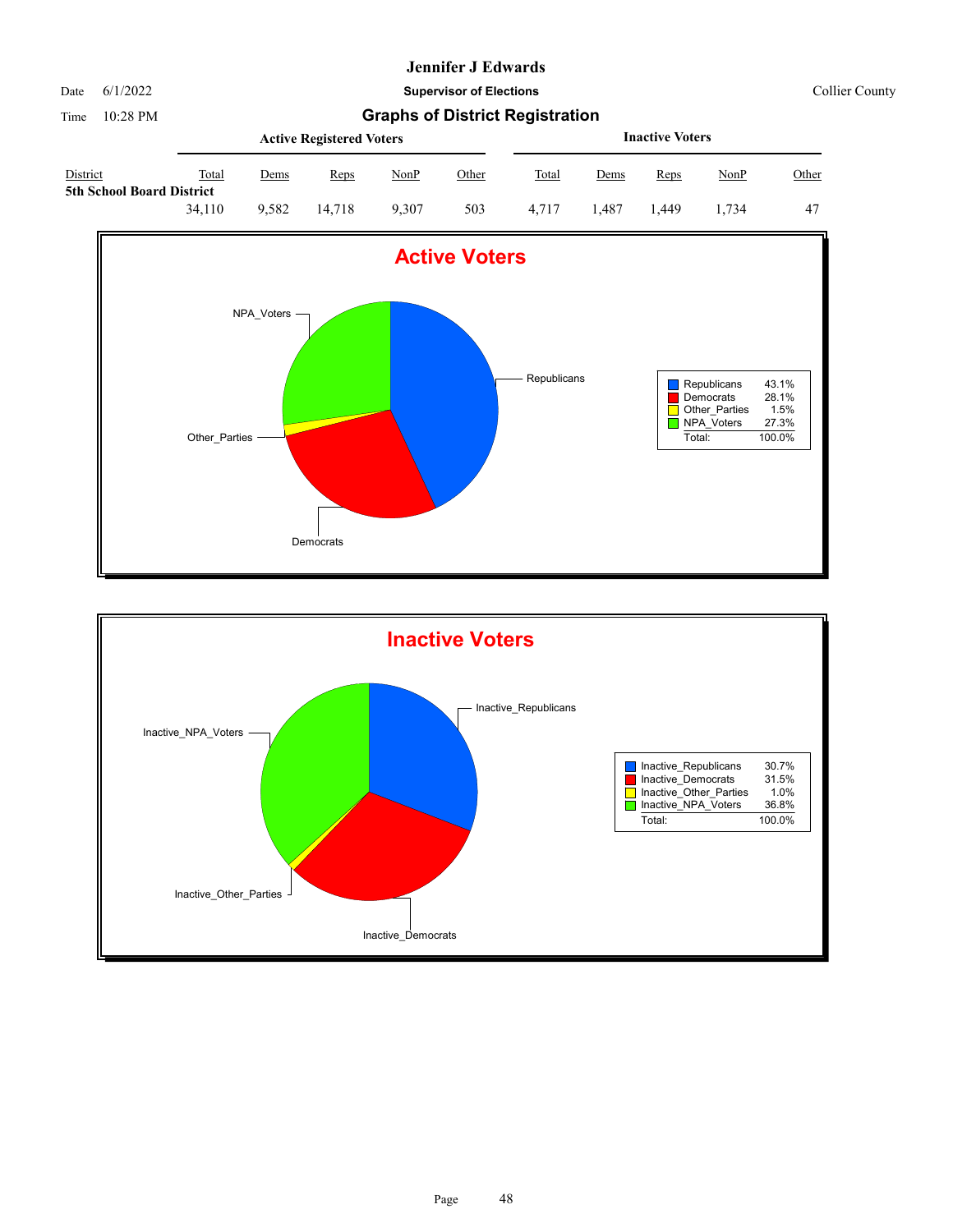

**5th School Board District**

### **Jennifer J Edwards**

Date 6/1/2022 **Supervisor of Elections** Collier County

Time 10:28 PM **Graphs of District Registration Active Registered Voters**





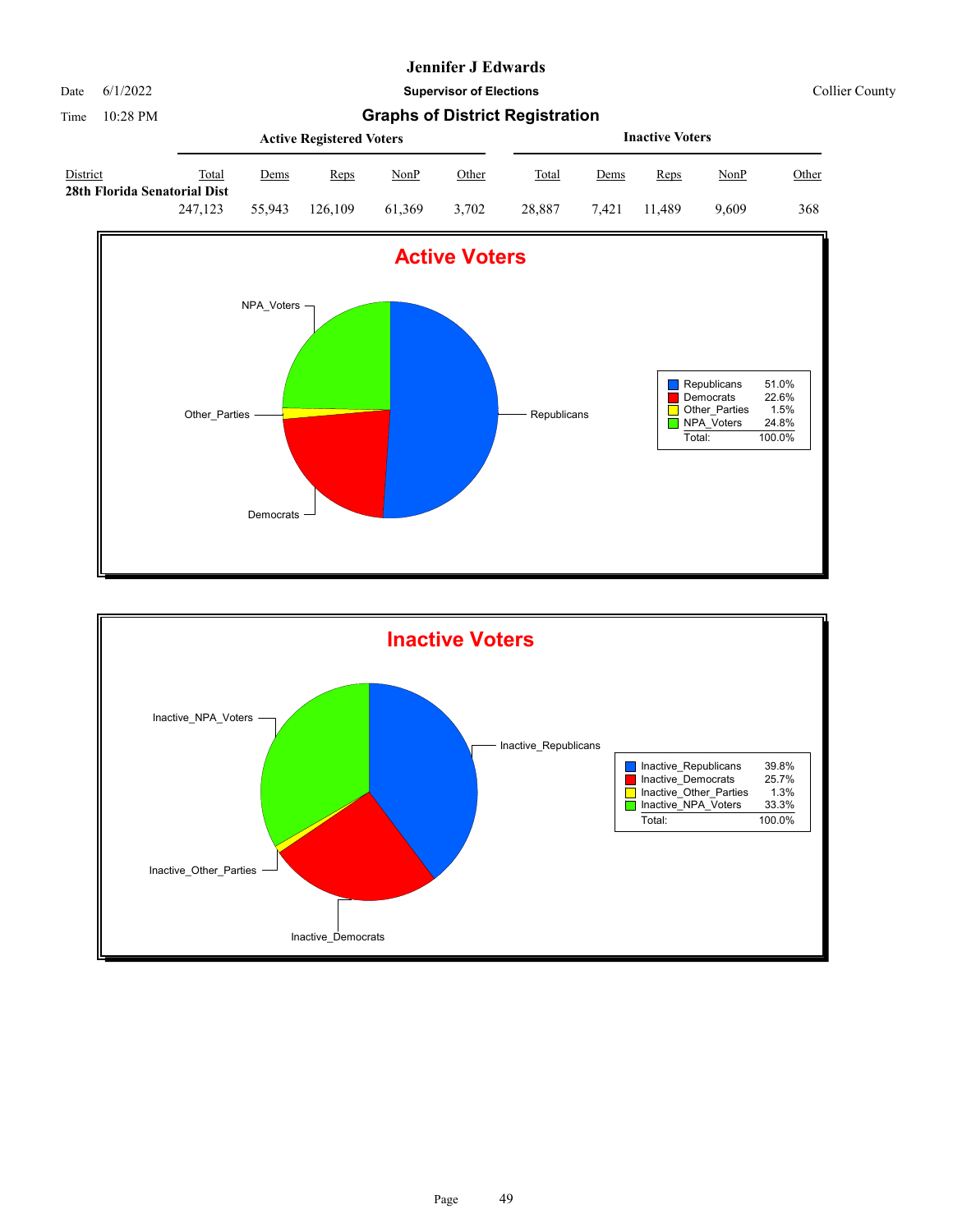

Date 6/1/2022 **Supervisor of Elections** Collier County

|                                          |         |             | <b>Active Registered Voters</b> |        | <b>Inactive Voters</b> |        |             |             |             |              |
|------------------------------------------|---------|-------------|---------------------------------|--------|------------------------|--------|-------------|-------------|-------------|--------------|
| District<br>28th Florida Senatorial Dist | Total   | <u>Dems</u> | Reps                            | NonP   | <u>Other</u>           | Total  | <u>Dems</u> | <b>Reps</b> | <u>NonP</u> | <u>Other</u> |
|                                          | 247,123 | 55,943      | 126.109                         | 61.369 | 3.702                  | 28.887 | 7.421       | 11.489      | 9.609       | 368          |



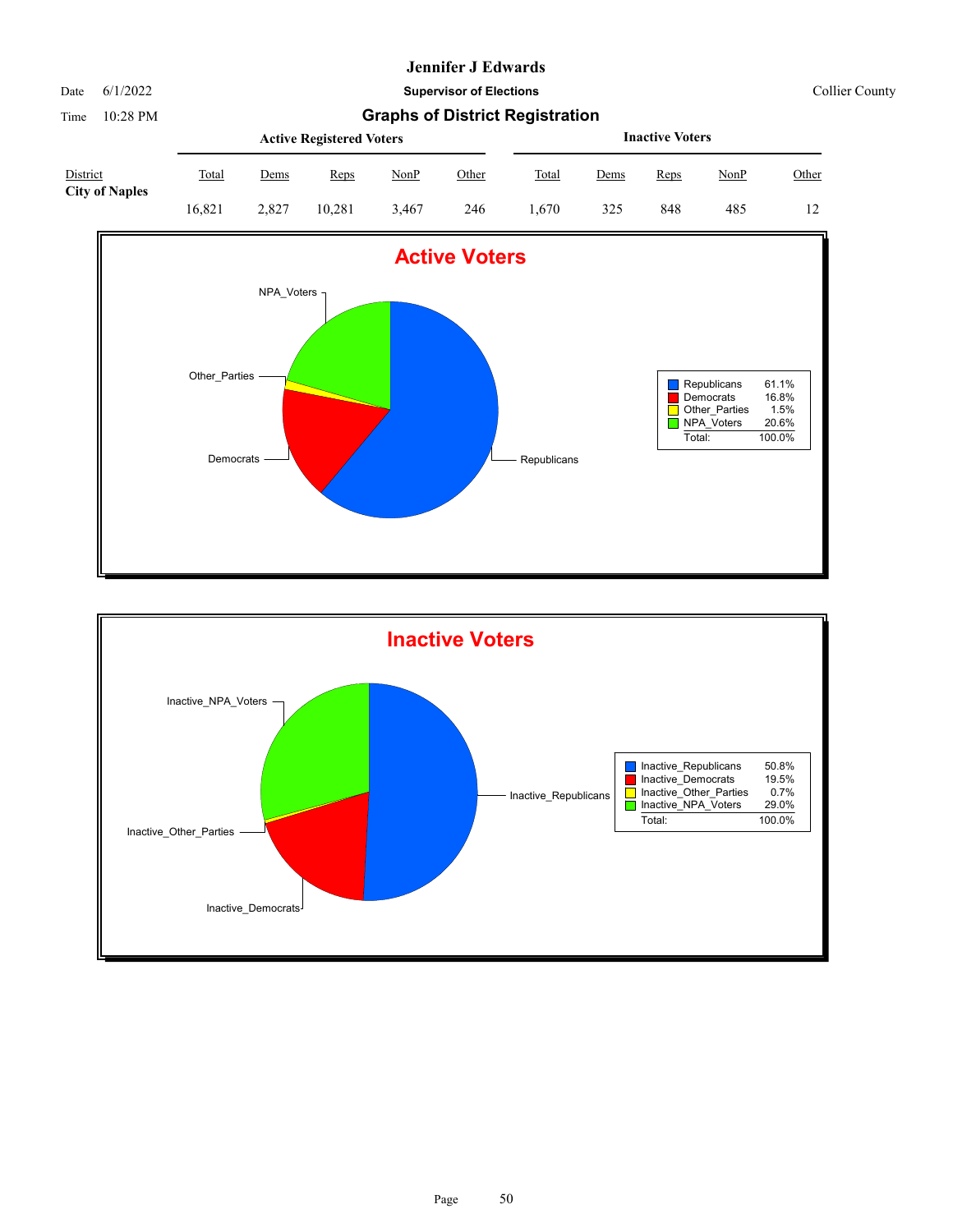#### Date 6/1/2022 **Supervisor of Elections** Collier County

|                                   |        |             | <b>Active Registered Voters</b> |       |              |       | <b>Inactive Voters</b> |      |             |       |  |  |
|-----------------------------------|--------|-------------|---------------------------------|-------|--------------|-------|------------------------|------|-------------|-------|--|--|
| District<br><b>City of Naples</b> | Total  | <u>Dems</u> | Reps                            | NonP  | <u>Other</u> | Total | <u>Dems</u>            | Reps | <u>NonP</u> | Other |  |  |
|                                   | 16.821 | 2.827       | 10.281                          | 3.467 | 246          | 670   | 325                    | 848  | 485         | 12    |  |  |



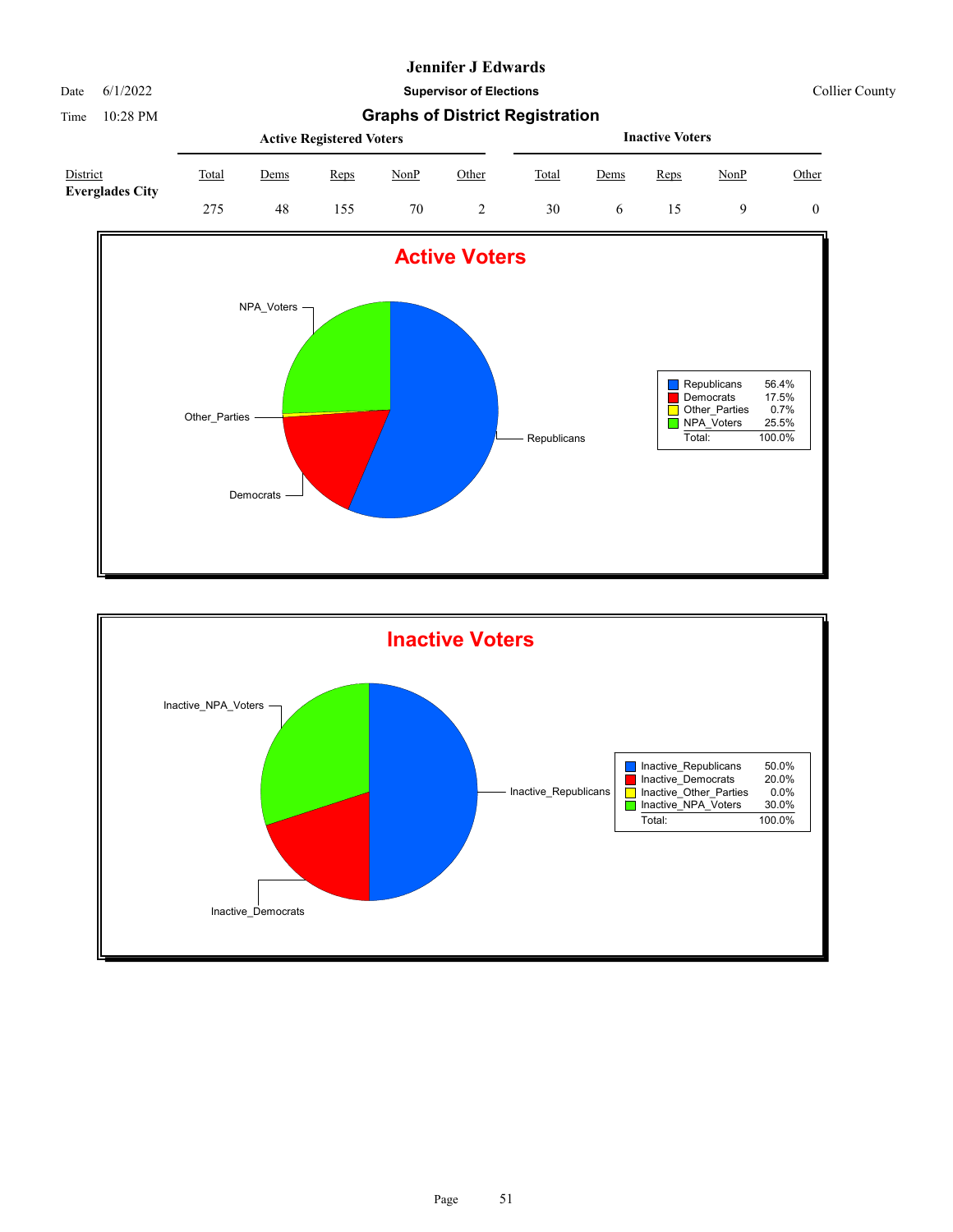Date 6/1/2022 **Supervisor of Elections** Collier County

|                                    |       |             | <b>Active Registered Voters</b> |      | <b>Inactive Voters</b> |       |      |      |      |       |
|------------------------------------|-------|-------------|---------------------------------|------|------------------------|-------|------|------|------|-------|
| District<br><b>Everglades City</b> | Total | <u>Dems</u> | Reps                            | NonP | Other                  | Total | Dems | Reps | NonP | Other |
|                                    | 275   | 48          | 155                             | 70   |                        | 30    |      |      |      |       |



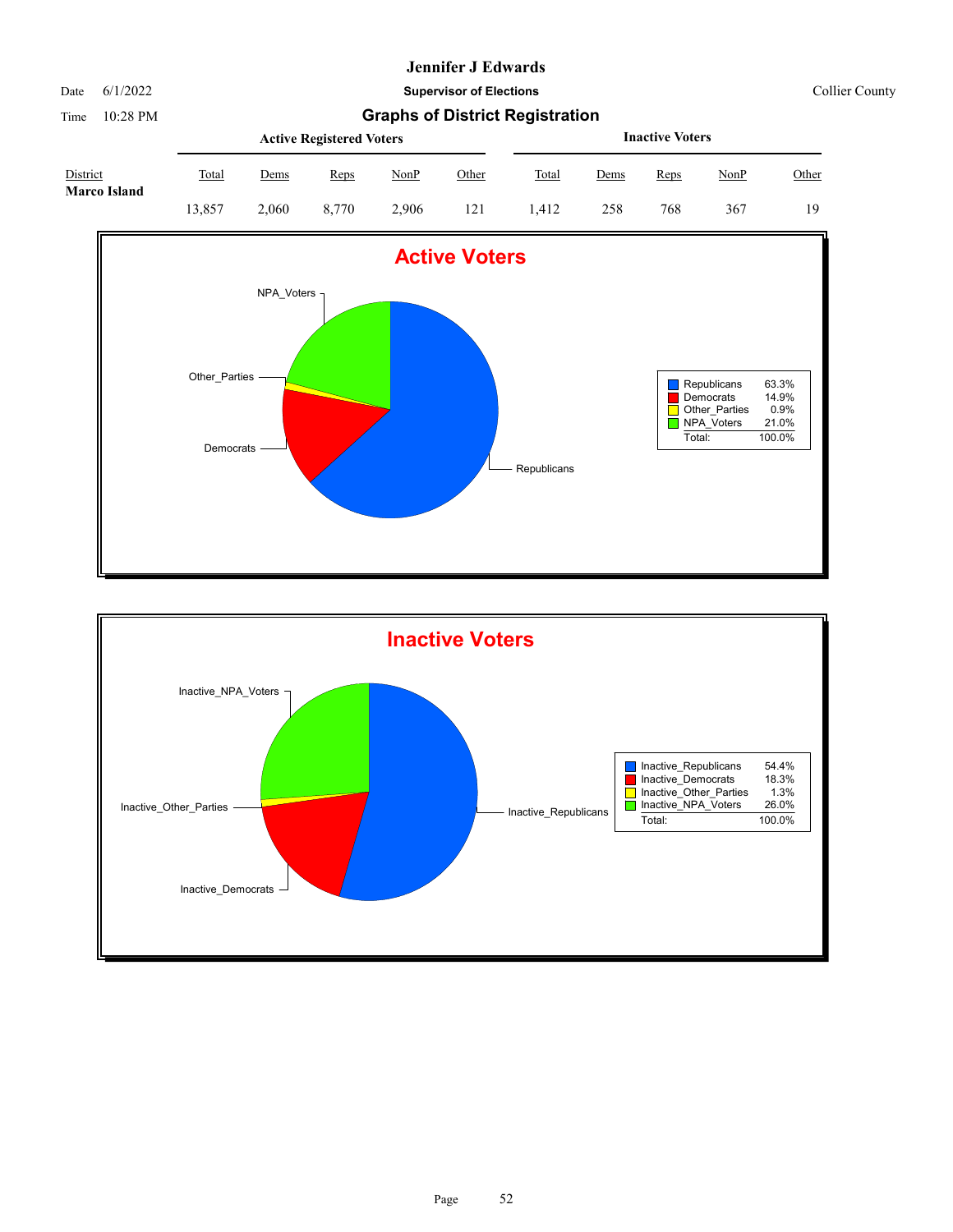Date 6/1/2022 **Supervisor of Elections** Collier County

| District<br><b>Marco Island</b> |        | <b>Inactive Voters</b> |             |       |       |       |      |             |      |       |
|---------------------------------|--------|------------------------|-------------|-------|-------|-------|------|-------------|------|-------|
|                                 | Total  | <u>Dems</u>            | <b>Reps</b> | NonP  | Other | Total | Dems | <b>Reps</b> | NonP | Other |
|                                 | 13.857 | 2.060                  | 8.770       | 2.906 | 121   | .412  | 258  | 768         | 367  | 19    |